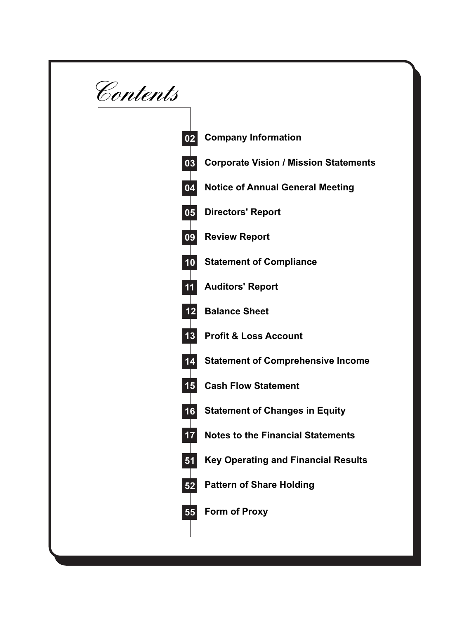**Contents**

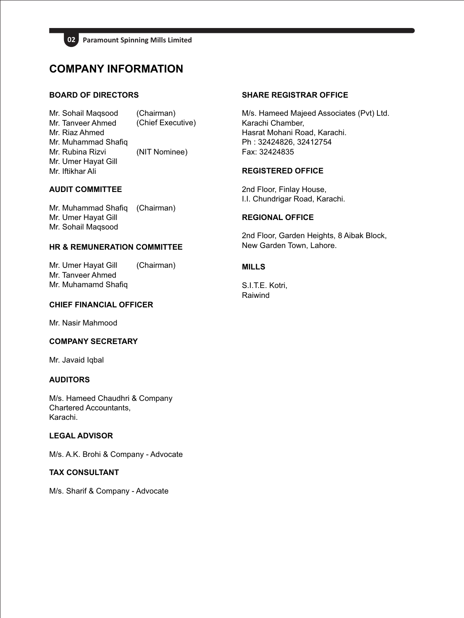

## **COMPANY INFORMATION**

## **BOARD OF DIRECTORS**

Mr. Sohail Maqsood Mr. Tanveer Ahmed Mr. Riaz Ahmed Mr. Muhammad Shafiq Mr. Rubina Rizvi Mr. Umer Hayat Gill Mr. Iftikhar Ali (Chairman) (Chief Executive) (NIT Nominee)

## **AUDIT COMMITTEE**

Mr. Muhammad Shafiq Mr. Umer Hayat Gill Mr. Sohail Maqsood (Chairman)

## **HR & REMUNERATION COMMITTEE**

Mr. Umer Hayat Gill Mr. Tanveer Ahmed Mr. Muhamamd Shafiq (Chairman)

## **CHIEF FINANCIAL OFFICER**

Mr. Nasir Mahmood

## **COMPANY SECRETARY**

Mr. Javaid Iqbal

## **AUDITORS**

M/s. Hameed Chaudhri & Company Chartered Accountants, Karachi.

## **LEGAL ADVISOR**

M/s. A.K. Brohi & Company - Advocate

## **TAX CONSULTANT**

M/s. Sharif & Company - Advocate

## **SHARE REGISTRAR OFFICE**

M/s. Hameed Majeed Associates (Pvt) Ltd. Karachi Chamber, Hasrat Mohani Road, Karachi. Ph : 32424826, 32412754 Fax: 32424835

## **REGISTERED OFFICE**

2nd Floor, Finlay House, I.I. Chundrigar Road, Karachi.

## **REGIONAL OFFICE**

2nd Floor, Garden Heights, 8 Aibak Block, New Garden Town, Lahore.

## **MILLS**

S.I.T.E. Kotri, Raiwind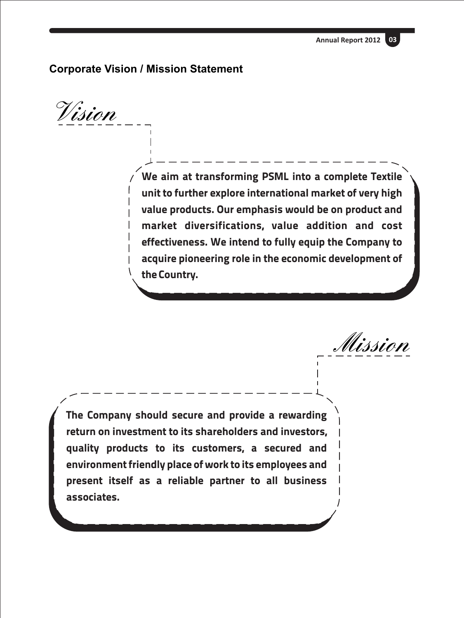**Annual Report 2012 03**

## **Corporate Vision / Mission Statement**

**Vision**

**We aim at transforming PSML into a complete Textile unit to further explore international market of very high value products. Our emphasis would be on product and market diversifications, value addition and cost effectiveness. We intend to fully equip the Company to acquire pioneering role in the economic development of the Country.** 

**Mission**

**The Company should secure and provide a rewarding return on investment to its shareholders and investors, quality products to its customers, a secured and environment friendly place of work to its employees and present itself as a reliable partner to all business associates.**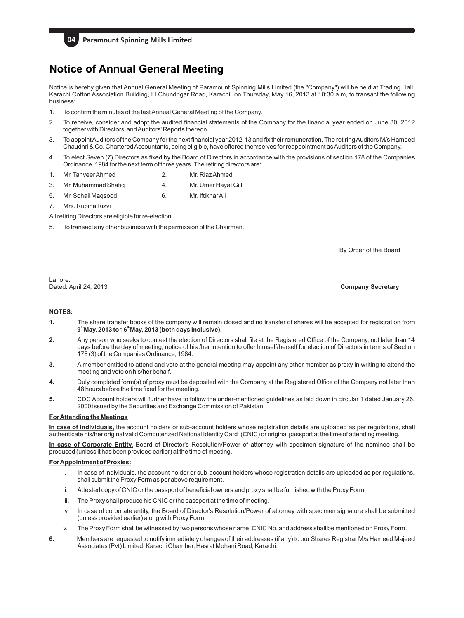

## **Notice of Annual General Meeting**

Notice is hereby given that Annual General Meeting of Paramount Spinning Mills Limited (the "Company") will be held at Trading Hall, Karachi Cotton Association Building, I.I.Chundrigar Road, Karachi on Thursday, May 16, 2013 at 10:30 a.m, to transact the following business:

- 1. To confirm the minutes of the last Annual General Meeting of the Company.
- 2. To receive, consider and adopt the audited financial statements of the Company for the financial year ended on June 30, 2012 together with Directors' and Auditors' Reports thereon.
- 3. To appoint Auditors of the Company for the next financial year 2012-13 and fix their remuneration. The retiring Auditors M/s Hameed Chaudhri & Co. Chartered Accountants, being eligible, have offered themselves for reappointment as Auditors of the Company.
- 4. To elect Seven (7) Directors as fixed by the Board of Directors in accordance with the provisions of section 178 of the Companies Ordinance, 1984 for the next term of three years. The retiring directors are:
- 1. Mr. Tanveer Ahmed 2. Mr. Riaz Ahmed
- 3. Mr. Muhammad Shafiq 4. Mr. Umer Hayat Gill
- 5. Mr. Sohail Maqsood 6. Mr. Iftikhar Ali
- 7. Mrs. Rubina Rizvi
- All retiring Directors are eligible for re-election.
- 5. To transact any other business with the permission of the Chairman.

By Order of the Board

Lahore: Dated: April 24, 2013

**Company Secretary**

## **NOTES:**

- **1.** The share transfer books of the company will remain closed and no transfer of shares will be accepted for registration from **th th 9 May, 2013 to 16 May, 2013 (both days inclusive).**
- **2.** Any person who seeks to contest the election of Directors shall file at the Registered Office of the Company, not later than 14 days before the day of meeting, notice of his /her intention to offer himself/herself for election of Directors in terms of Section 178 (3) of the Companies Ordinance, 1984.
- **3.** A member entitled to attend and vote at the general meeting may appoint any other member as proxy in writing to attend the meeting and vote on his/her behalf.
- **4.** Duly completed form(s) of proxy must be deposited with the Company at the Registered Office of the Company not later than 48 hours before the time fixed for the meeting.
- **5.** CDC Account holders will further have to follow the under-mentioned guidelines as laid down in circular 1 dated January 26, 2000 issued by the Securities and Exchange Commission of Pakistan.

#### **For Attending the Meetings**

**In case of individuals,** the account holders or sub-account holders whose registration details are uploaded as per regulations, shall authenticate his/her original valid Computerized National Identity Card (CNIC) or original passport at the time of attending meeting.

**In case of Corporate Entity,** Board of Director's Resolution/Power of attorney with specimen signature of the nominee shall be produced (unless it has been provided earlier) at the time of meeting.

#### **For Appointment of Proxies:**

- i. In case of individuals, the account holder or sub-account holders whose registration details are uploaded as per regulations, shall submit the Proxy Form as per above requirement.
- ii. Attested copy of CNIC or the passport of beneficial owners and proxy shall be furnished with the Proxy Form.
- iii. The Proxy shall produce his CNIC or the passport at the time of meeting.
- iv. In case of corporate entity, the Board of Director's Resolution/Power of attorney with specimen signature shall be submitted (unless provided earlier) along with Proxy Form.
- v. The Proxy Form shall be witnessed by two persons whose name, CNIC No. and address shall be mentioned on Proxy Form.
- **6.** Members are requested to notify immediately changes of their addresses (if any) to our Shares Registrar M/s Hameed Majeed Associates (Pvt) Limited, Karachi Chamber, Hasrat Mohani Road, Karachi.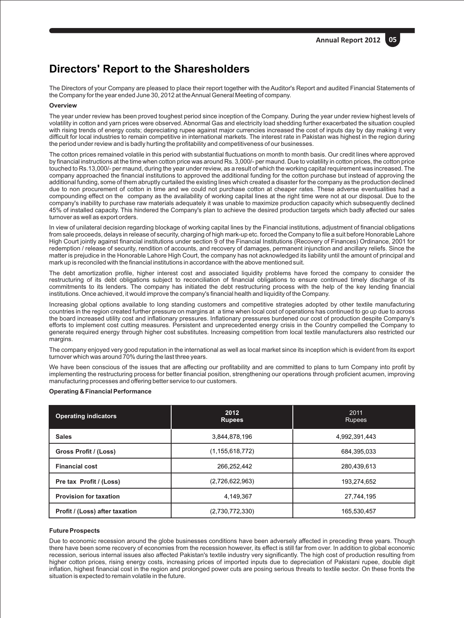## **Directors' Report to the Sharesholders**

The Directors of your Company are pleased to place their report together with the Auditor's Report and audited Financial Statements of the Company for the year ended June 30, 2012 at the Annual General Meeting of company.

## **Overview**

The year under review has been proved toughest period since inception of the Company. During the year under review highest levels of volatility in cotton and yarn prices were observed. Abnormal Gas and electricity load shedding further exacerbated the situation coupled with rising trends of energy costs; depreciating rupee against major currencies increased the cost of inputs day by day making it very difficult for local industries to remain competitive in international markets. The interest rate in Pakistan was highest in the region during the period under review and is badly hurting the profitability and competitiveness of our businesses.

The cotton prices remained volatile in this period with substantial fluctuations on month to month basis. Our credit lines where approved by financial instructions at the time when cotton price was around Rs. 3,000/- per maund. Due to volatility in cotton prices, the cotton price touched to Rs.13,000/- per maund, during the year under review, as a result of which the working capital requirement was increased. The company approached the financial institutions to approved the additional funding for the cotton purchase but instead of approving the additional funding, some of them abruptly curtailed the existing lines which created a disaster for the company as the production declined due to non procurement of cotton in time and we could not purchase cotton at cheaper rates. These adverse eventualities had a compounding effect on the company as the availability of working capital lines at the right time were not at our disposal. Due to the company's inability to purchase raw materials adequately it was unable to maximize production capacity which subsequently declined 45% of installed capacity. This hindered the Company's plan to achieve the desired production targets which badly affected our sales turnover as well as export orders.

In view of unilateral decision regarding blockage of working capital lines by the Financial institutions, adjustment of financial obligations from sale proceeds, delays in release of security, charging of high mark-up etc. forced the Company to file a suit before Honorable Lahore High Court jointly against financial institutions under section 9 of the Financial Institutions (Recovery of Finances) Ordinance, 2001 for redemption / release of security, rendition of accounts, and recovery of damages, permanent injunction and ancillary reliefs. Since the matter is prejudice in the Honorable Lahore High Court, the company has not acknowledged its liability until the amount of principal and mark up is reconciled with the financial institutions in accordance with the above mentioned suit.

The debt amortization profile, higher interest cost and associated liquidity problems have forced the company to consider the restructuring of its debt obligations subject to reconciliation of financial obligations to ensure continued timely discharge of its commitments to its lenders. The company has initiated the debt restructuring process with the help of the key lending financial institutions. Once achieved, it would improve the company's financial health and liquidity of the Company.

Increasing global options available to long standing customers and competitive strategies adopted by other textile manufacturing countries in the region created further pressure on margins at a time when local cost of operations has continued to go up due to across the board increased utility cost and inflationary pressures. Inflationary pressures burdened our cost of production despite Company's efforts to implement cost cutting measures. Persistent and unprecedented energy crisis in the Country compelled the Company to generate required energy through higher cost substitutes. Increasing competition from local textile manufacturers also restricted our margins.

The company enjoyed very good reputation in the international as well as local market since its inception which is evident from its export turnover which was around 70% during the last three years.

We have been conscious of the issues that are affecting our profitability and are committed to plans to turn Company into profit by implementing the restructuring process for better financial position, strengthening our operations through proficient acumen, improving manufacturing processes and offering better service to our customers.

#### **Operating & Financial Performance**

| <b>Operating indicators</b>    | 2012<br><b>Rupees</b> | 2011<br><b>Rupees</b> |
|--------------------------------|-----------------------|-----------------------|
| <b>Sales</b>                   | 3,844,878,196         | 4,992,391,443         |
| Gross Profit / (Loss)          | (1, 155, 618, 772)    | 684,395,033           |
| <b>Financial cost</b>          | 266,252,442           | 280,439,613           |
| Pre tax Profit / (Loss)        | (2,726,622,963)       | 193.274.652           |
| <b>Provision for taxation</b>  | 4,149,367             | 27,744,195            |
| Profit / (Loss) after taxation | (2,730,772,330)       | 165,530,457           |

## **Future Prospects**

Due to economic recession around the globe businesses conditions have been adversely affected in preceding three years. Though there have been some recovery of economies from the recession however, its effect is still far from over. In addition to global economic recession, serious internal issues also affected Pakistan's textile industry very significantly. The high cost of production resulting from higher cotton prices, rising energy costs, increasing prices of imported inputs due to depreciation of Pakistani rupee, double digit inflation, highest financial cost in the region and prolonged power cuts are posing serious threats to textile sector. On these fronts the situation is expected to remain volatile in the future.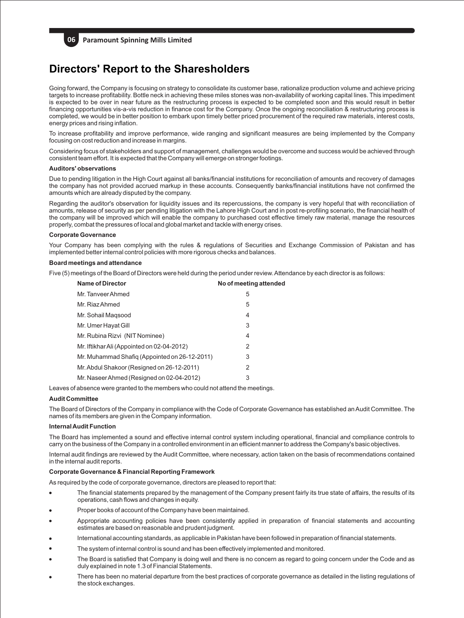

**06 Paramount Spinning Mills Limited** 

## **Directors' Report to the Sharesholders**

Going forward, the Company is focusing on strategy to consolidate its customer base, rationalize production volume and achieve pricing targets to increase profitability. Bottle neck in achieving these miles stones was non-availability of working capital lines. This impediment is expected to be over in near future as the restructuring process is expected to be completed soon and this would result in better financing opportunities vis-a-vis reduction in finance cost for the Company. Once the ongoing reconciliation & restructuring process is completed, we would be in better position to embark upon timely better priced procurement of the required raw materials, interest costs, energy prices and rising inflation.

To increase profitability and improve performance, wide ranging and significant measures are being implemented by the Company focusing on cost reduction and increase in margins.

Considering focus of stakeholders and support of management, challenges would be overcome and success would be achieved through consistent team effort. It is expected that the Company will emerge on stronger footings.

#### **Auditors' observations**

Due to pending litigation in the High Court against all banks/financial institutions for reconciliation of amounts and recovery of damages the company has not provided accrued markup in these accounts. Consequently banks/financial institutions have not confirmed the amounts which are already disputed by the company.

Regarding the auditor's observation for liquidity issues and its repercussions, the company is very hopeful that with reconciliation of amounts, release of security as per pending litigation with the Lahore High Court and in post re-profiling scenario, the financial health of the company will be improved which will enable the company to purchased cost effective timely raw material, manage the resources properly, combat the pressures of local and global market and tackle with energy crises.

#### **Corporate Governance**

Your Company has been complying with the rules & regulations of Securities and Exchange Commission of Pakistan and has implemented better internal control policies with more rigorous checks and balances.

#### **Board meetings and attendance**

Five (5) meetings of the Board of Directors were held during the period under review. Attendance by each director is as follows:

| <b>Name of Director</b>                       | No of meeting attended |
|-----------------------------------------------|------------------------|
| Mr. Tanveer Ahmed                             | 5                      |
| Mr. Riaz Ahmed                                | 5                      |
| Mr. Sohail Magsood                            | 4                      |
| Mr. Umer Hayat Gill                           | 3                      |
| Mr. Rubina Rizvi (NIT Nominee)                | 4                      |
| Mr. Iftikhar Ali (Appointed on 02-04-2012)    | 2                      |
| Mr. Muhammad Shafiq (Appointed on 26-12-2011) | 3                      |
| Mr. Abdul Shakoor (Resigned on 26-12-2011)    | 2                      |
| Mr. Naseer Ahmed (Resigned on 02-04-2012)     | 3                      |

Leaves of absence were granted to the members who could not attend the meetings.

#### **Audit Committee**

The Board of Directors of the Company in compliance with the Code of Corporate Governance has established an Audit Committee. The names of its members are given in the Company information.

#### **Internal Audit Function**

The Board has implemented a sound and effective internal control system including operational, financial and compliance controls to carry on the business of the Company in a controlled environment in an efficient manner to address the Company's basic objectives.

Internal audit findings are reviewed by the Audit Committee, where necessary, action taken on the basis of recommendations contained in the internal audit reports.

## **Corporate Governance & Financial Reporting Framework**

As required by the code of corporate governance, directors are pleased to report that:

- The financial statements prepared by the management of the Company present fairly its true state of affairs, the results of its operations, cash flows and changes in equity.
- Proper books of account of the Company have been maintained.
- Appropriate accounting policies have been consistently applied in preparation of financial statements and accounting estimates are based on reasonable and prudent judgment.
- International accounting standards, as applicable in Pakistan have been followed in preparation of financial statements.
- The system of internal control is sound and has been effectively implemented and monitored.
- The Board is satisfied that Company is doing well and there is no concern as regard to going concern under the Code and as duly explained in note 1.3 of Financial Statements.
- There has been no material departure from the best practices of corporate governance as detailed in the listing regulations of the stock exchanges.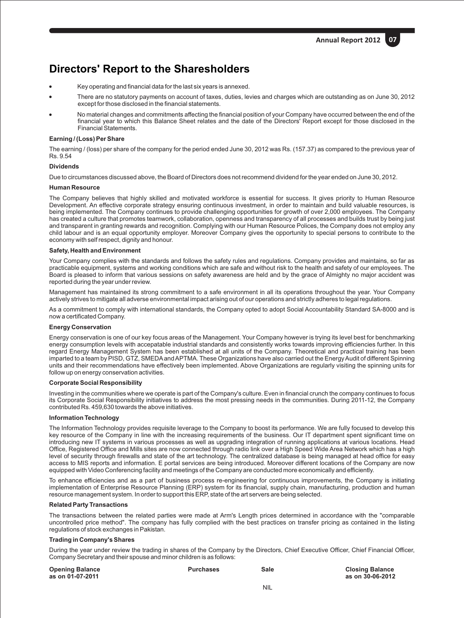## **Directors' Report to the Sharesholders**

- Key operating and financial data for the last six years is annexed.
- There are no statutory payments on account of taxes, duties, levies and charges which are outstanding as on June 30, 2012 except for those disclosed in the financial statements.
- No material changes and commitments affecting the financial position of your Company have occurred between the end of the financial year to which this Balance Sheet relates and the date of the Directors' Report except for those disclosed in the Financial Statements.

#### **Earning / (Loss) Per Share**

The earning / (loss) per share of the company for the period ended June 30, 2012 was Rs. (157.37) as compared to the previous year of Rs. 9.54

#### **Dividends**

Due to circumstances discussed above, the Board of Directors does not recommend dividend for the year ended on June 30, 2012.

#### **Human Resource**

The Company believes that highly skilled and motivated workforce is essential for success. It gives priority to Human Resource Development. An effective corporate strategy ensuring continuous investment, in order to maintain and build valuable resources, is being implemented. The Company continues to provide challenging opportunities for growth of over 2,000 employees. The Company has created a culture that promotes teamwork, collaboration, openness and transparency of all processes and builds trust by being just and transparent in granting rewards and recognition. Complying with our Human Resource Polices, the Company does not employ any child labour and is an equal opportunity employer. Moreover Company gives the opportunity to special persons to contribute to the economy with self respect, dignity and honour.

#### **Safety, Health and Environment**

Your Company complies with the standards and follows the safety rules and regulations. Company provides and maintains, so far as practicable equipment, systems and working conditions which are safe and without risk to the health and safety of our employees. The Board is pleased to inform that various sessions on safety awareness are held and by the grace of Almighty no major accident was reported during the year under review.

Management has maintained its strong commitment to a safe environment in all its operations throughout the year. Your Company actively strives to mitigate all adverse environmental impact arising out of our operations and strictly adheres to legal regulations.

As a commitment to comply with international standards, the Company opted to adopt Social Accountability Standard SA-8000 and is now a certificated Company.

#### **Energy Conservation**

Energy conservation is one of our key focus areas of the Management. Your Company however is trying its level best for benchmarking energy consumption levels with accepatable industrial standards and consistently works towards improving efficiencies further. In this regard Energy Management System has been established at all units of the Company. Theoretical and practical training has been imparted to a team by PISD, GTZ, SMEDAand APTMA. These Organizations have also carried out the Energy Audit of different Spinning units and their recommendations have effectively been implemented. Above Organizations are regularly visiting the spinning units for follow up on energy conservation activities.

## **Corporate Social Responsibility**

Investing in the communities where we operate is part of the Company's culture. Even in financial crunch the company continues to focus its Corporate Social Responsibility initiatives to address the most pressing needs in the communities. During 2011-12, the Company contributed Rs. 459,630 towards the above initiatives.

#### **Information Technology**

The Information Technology provides requisite leverage to the Company to boost its performance. We are fully focused to develop this key resource of the Company in line with the increasing requirements of the business. Our IT department spent significant time on introducing new IT systems in various processes as well as upgrading integration of running applications at various locations. Head Office, Registered Office and Mills sites are now connected through radio link over a High Speed Wide Area Network which has a high level of security through firewalls and state of the art technology. The centralized database is being managed at head office for easy access to MIS reports and information. E portal services are being introduced. Moreover different locations of the Company are now equipped with Video Conferencing facility and meetings of the Company are conducted more economically and efficiently.

To enhance efficiencies and as a part of business process re-engineering for continuous improvements, the Company is initiating implementation of Enterprise Resource Planning (ERP) system for its financial, supply chain, manufacturing, production and human resource management system. In order to support this ERP, state of the art servers are being selected.

#### **Related Party Transactions**

The transactions between the related parties were made at Arm's Length prices determined in accordance with the "comparable uncontrolled price method". The company has fully complied with the best practices on transfer pricing as contained in the listing regulations of stock exchanges in Pakistan.

## **Trading in Company's Shares**

During the year under review the trading in shares of the Company by the Directors, Chief Executive Officer, Chief Financial Officer, Company Secretary and their spouse and minor children is as follows:

| <b>Opening Balance</b><br>as on 01-07-2011 | <b>Purchases</b> | Sale | <b>Closing Balance</b><br>as on 30-06-2012 |
|--------------------------------------------|------------------|------|--------------------------------------------|
|                                            |                  | 1.11 |                                            |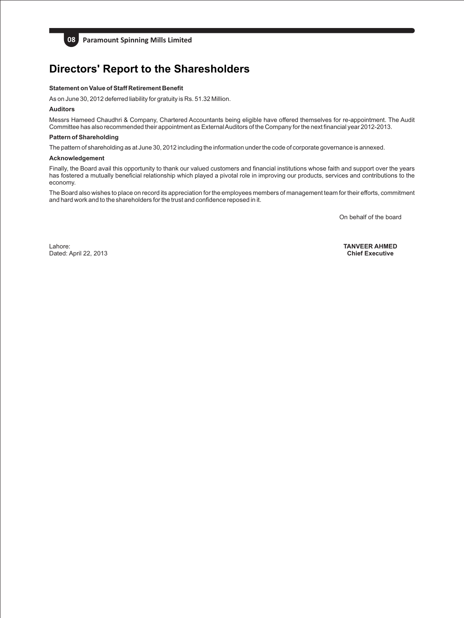

**08 Paramount Spinning Mills Limited** 

# **Directors' Report to the Sharesholders**

#### **Statement on Value of Staff Retirement Benefit**

As on June 30, 2012 deferred liability for gratuity is Rs. 51.32 Million.

#### **Auditors**

Messrs Hameed Chaudhri & Company, Chartered Accountants being eligible have offered themselves for re-appointment. The Audit Committee has also recommended their appointment as External Auditors of the Company for the next financial year 2012-2013.

#### **Pattern of Shareholding**

The pattern of shareholding as at June 30, 2012 including the information under the code of corporate governance is annexed.

#### **Acknowledgement**

Finally, the Board avail this opportunity to thank our valued customers and financial institutions whose faith and support over the years has fostered a mutually beneficial relationship which played a pivotal role in improving our products, services and contributions to the economy.

The Board also wishes to place on record its appreciation for the employees members of management team for their efforts, commitment and hard work and to the shareholders for the trust and confidence reposed in it.

On behalf of the board

Lahore: Dated: April 22, 2013 **TANVEER AHMED Chief Executive**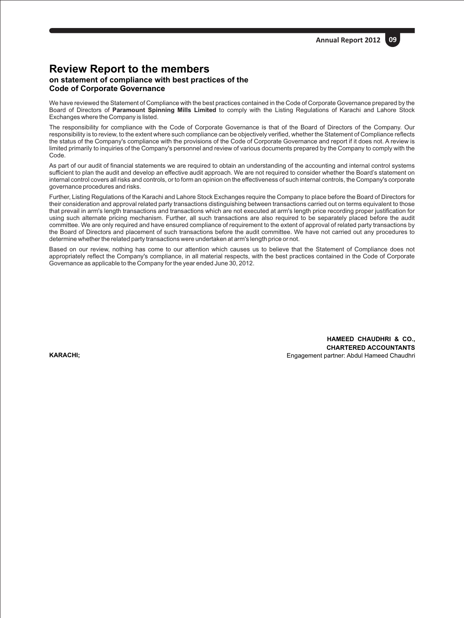## **Review Report to the members on statement of compliance with best practices of the Code of Corporate Governance**

We have reviewed the Statement of Compliance with the best practices contained in the Code of Corporate Governance prepared by the Board of Directors of **Paramount Spinning Mills Limited** to comply with the Listing Regulations of Karachi and Lahore Stock Exchanges where the Company is listed.

The responsibility for compliance with the Code of Corporate Governance is that of the Board of Directors of the Company. Our responsibility is to review, to the extent where such compliance can be objectively verified, whether the Statement of Compliance reflects the status of the Company's compliance with the provisions of the Code of Corporate Governance and report if it does not. A review is limited primarily to inquiries of the Company's personnel and review of various documents prepared by the Company to comply with the Code.

As part of our audit of financial statements we are required to obtain an understanding of the accounting and internal control systems sufficient to plan the audit and develop an effective audit approach. We are not required to consider whether the Board's statement on internal control covers all risks and controls, or to form an opinion on the effectiveness of such internal controls, the Company's corporate governance procedures and risks.

Further, Listing Regulations of the Karachi and Lahore Stock Exchanges require the Company to place before the Board of Directors for their consideration and approval related party transactions distinguishing between transactions carried out on terms equivalent to those that prevail in arm's length transactions and transactions which are not executed at arm's length price recording proper justification for using such alternate pricing mechanism. Further, all such transactions are also required to be separately placed before the audit committee. We are only required and have ensured compliance of requirement to the extent of approval of related party transactions by the Board of Directors and placement of such transactions before the audit committee. We have not carried out any procedures to determine whether the related party transactions were undertaken at arm's length price or not.

Based on our review, nothing has come to our attention which causes us to believe that the Statement of Compliance does not appropriately reflect the Company's compliance, in all material respects, with the best practices contained in the Code of Corporate Governance as applicable to the Company for the year ended June 30, 2012.

**KARACHI;**

**HAMEED CHAUDHRI & CO., CHARTERED ACCOUNTANTS** Engagement partner: Abdul Hameed Chaudhri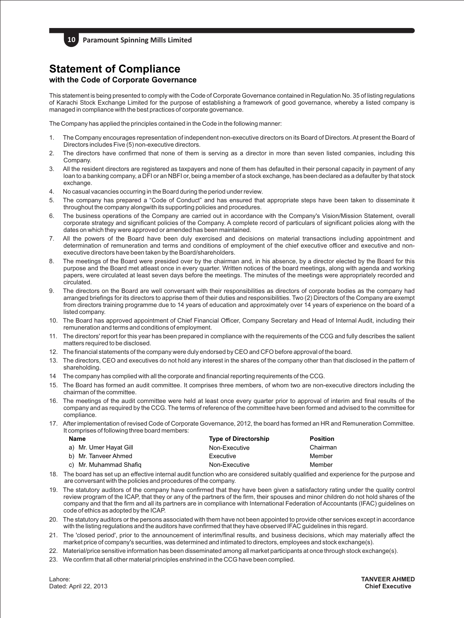## **Statement of Compliance with the Code of Corporate Governance**

This statement is being presented to comply with the Code of Corporate Governance contained in Regulation No. 35 of listing regulations of Karachi Stock Exchange Limited for the purpose of establishing a framework of good governance, whereby a listed company is managed in compliance with the best practices of corporate governance.

The Company has applied the principles contained in the Code in the following manner:

- 1. The Company encourages representation of independent non-executive directors on its Board of Directors. At present the Board of Directors includes Five (5) non-executive directors.
- 2. The directors have confirmed that none of them is serving as a director in more than seven listed companies, including this Company.
- 3. All the resident directors are registered as taxpayers and none of them has defaulted in their personal capacity in payment of any loan to a banking company, a DFI or an NBFI or, being a member of a stock exchange, has been declared as a defaulter by that stock exchange.
- 4. No casual vacancies occurring in the Board during the period under review.
- 5. The company has prepared a "Code of Conduct" and has ensured that appropriate steps have been taken to disseminate it throughout the company alongwith its supporting policies and procedures.
- 6. The business operations of the Company are carried out in accordance with the Company's Vision/Mission Statement, overall corporate strategy and significant policies of the Company. A complete record of particulars of significant policies along with the dates on which they were approved or amended has been maintained.
- 7. All the powers of the Board have been duly exercised and decisions on material transactions including appointment and determination of remuneration and terms and conditions of employment of the chief executive officer and executive and nonexecutive directors have been taken by the Board/shareholders.
- 8. The meetings of the Board were presided over by the chairman and, in his absence, by a director elected by the Board for this purpose and the Board met atleast once in every quarter. Written notices of the board meetings, along with agenda and working papers, were circulated at least seven days before the meetings. The minutes of the meetings were appropriately recorded and circulated.
- 9. The directors on the Board are well conversant with their responsibilities as directors of corporate bodies as the company had arranged briefings for its directors to apprise them of their duties and responsibilities. Two (2) Directors of the Company are exempt from directors training programme due to 14 years of education and approximately over 14 years of experience on the board of a listed company.
- 10. The Board has approved appointment of Chief Financial Officer, Company Secretary and Head of Internal Audit, including their remuneration and terms and conditions of employment.
- 11. The directors' report for this year has been prepared in compliance with the requirements of the CCG and fully describes the salient matters required to be disclosed.
- 12. The financial statements of the company were duly endorsed by CEO and CFO before approval of the board.
- 13. The directors, CEO and executives do not hold any interest in the shares of the company other than that disclosed in the pattern of shareholding.
- 14 The company has complied with all the corporate and financial reporting requirements of the CCG.
- 15. The Board has formed an audit committee. It comprises three members, of whom two are non-executive directors including the chairman of the committee.
- 16. The meetings of the audit committee were held at least once every quarter prior to approval of interim and final results of the company and as required by the CCG. The terms of reference of the committee have been formed and advised to the committee for compliance.
- 17. After implementation of revised Code of Corporate Governance, 2012, the board has formed an HR and Remuneration Committee. It comprises of following three board members:

| Name                   | <b>Type of Directorship</b> | <b>Position</b> |
|------------------------|-----------------------------|-----------------|
| a) Mr. Umer Hayat Gill | Non-Executive               | Chairman        |
| b) Mr. Tanveer Ahmed   | Executive                   | Member          |
| c) Mr. Muhammad Shafig | Non-Executive               | Member          |

- 18. The board has set up an effective internal audit function who are considered suitably qualified and experience for the purpose and are conversant with the policies and procedures of the company.
- 19. The statutory auditors of the company have confirmed that they have been given a satisfactory rating under the quality control review program of the ICAP, that they or any of the partners of the firm, their spouses and minor children do not hold shares of the company and that the firm and all its partners are in compliance with International Federation of Accountants (IFAC) guidelines on code of ethics as adopted by the ICAP.
- 20. The statutory auditors or the persons associated with them have not been appointed to provide other services except in accordance with the listing regulations and the auditors have confirmed that they have observed IFAC guidelines in this regard.
- 21. The 'closed period', prior to the announcement of interim/final results, and business decisions, which may materially affect the market price of company's securities, was determined and intimated to directors, employees and stock exchange(s).
- 22. Material/price sensitive information has been disseminated among all market participants at once through stock exchange(s).
- 23. We confirm that all other material principles enshrined in the CCG have been complied.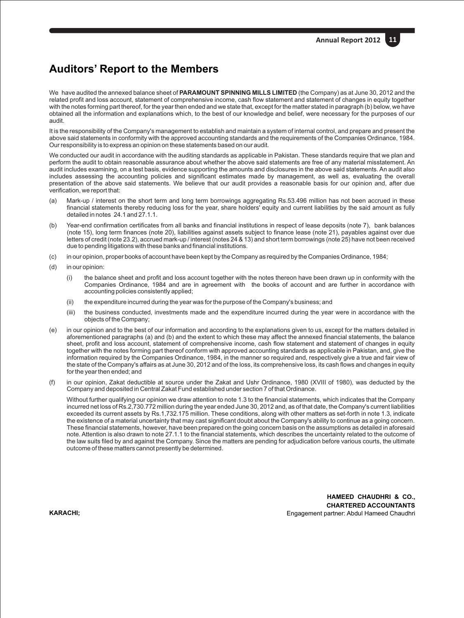## **Auditors' Report to the Members**

We have audited the annexed balance sheet of **PARAMOUNT SPINNING MILLS LIMITED** (the Company) as at June 30, 2012 and the related profit and loss account, statement of comprehensive income, cash flow statement and statement of changes in equity together with the notes forming part thereof, for the year then ended and we state that, except for the matter stated in paragraph (b) below, we have obtained all the information and explanations which, to the best of our knowledge and belief, were necessary for the purposes of our audit.

It is the responsibility of the Company's management to establish and maintain a system of internal control, and prepare and present the above said statements in conformity with the approved accounting standards and the requirements of the Companies Ordinance, 1984. Our responsibility is to express an opinion on these statements based on our audit.

We conducted our audit in accordance with the auditing standards as applicable in Pakistan. These standards require that we plan and perform the audit to obtain reasonable assurance about whether the above said statements are free of any material misstatement. An audit includes examining, on a test basis, evidence supporting the amounts and disclosures in the above said statements. An audit also includes assessing the accounting policies and significant estimates made by management, as well as, evaluating the overall presentation of the above said statements. We believe that our audit provides a reasonable basis for our opinion and, after due verification, we report that:

- (a) Mark-up / interest on the short term and long term borrowings aggregating Rs.53.496 million has not been accrued in these financial statements thereby reducing loss for the year, share holders' equity and current liabilities by the said amount as fully detailed in notes 24.1 and 27.1.1.
- (b) Year-end confirmation certificates from all banks and financial institutions in respect of lease deposits (note 7), bank balances (note 15), long term finances (note 20), liabilities against assets subject to finance lease (note 21), payables against over due letters of credit (note 23.2), accrued mark-up / interest (notes 24 & 13) and short term borrowings (note 25) have not been received due to pending litigations with these banks and financial institutions.
- (c) in our opinion, proper books of account have been kept by the Company as required by the Companies Ordinance, 1984;
- (d) in our opinion:
	- (i) the balance sheet and profit and loss account together with the notes thereon have been drawn up in conformity with the Companies Ordinance, 1984 and are in agreement with the books of account and are further in accordance with accounting policies consistently applied;
	- (ii) the expenditure incurred during the year was for the purpose of the Company's business; and
	- (iii) the business conducted, investments made and the expenditure incurred during the year were in accordance with the objects of the Company;
- (e) in our opinion and to the best of our information and according to the explanations given to us, except for the matters detailed in aforementioned paragraphs (a) and (b) and the extent to which these may affect the annexed financial statements, the balance sheet, profit and loss account, statement of comprehensive income, cash flow statement and statement of changes in equity together with the notes forming part thereof conform with approved accounting standards as applicable in Pakistan, and, give the information required by the Companies Ordinance, 1984, in the manner so required and, respectively give a true and fair view of the state of the Company's affairs as at June 30, 2012 and of the loss, its comprehensive loss, its cash flows and changes in equity for the year then ended; and
- (f) in our opinion, Zakat deductible at source under the Zakat and Ushr Ordinance, 1980 (XVIII of 1980), was deducted by the Company and deposited in Central Zakat Fund established under section 7 of that Ordinance.

Without further qualifying our opinion we draw attention to note 1.3 to the financial statements, which indicates that the Company incurred net loss of Rs.2,730.772 million during the year ended June 30, 2012 and, as of that date, the Company's current liabilities exceeded its current assets by Rs.1,732.175 million. These conditions, along with other matters as set-forth in note 1.3, indicate the existence of a material uncertainty that may cast significant doubt about the Company's ability to continue as a going concern. These financial statements, however, have been prepared on the going concern basis on the assumptions as detailed in aforesaid note. Attention is also drawn to note 27.1.1 to the financial statements, which describes the uncertainty related to the outcome of the law suits filed by and against the Company. Since the matters are pending for adjudication before various courts, the ultimate outcome of these matters cannot presently be determined.

**KARACHI;**

**HAMEED CHAUDHRI & CO., CHARTERED ACCOUNTANTS** Engagement partner: Abdul Hameed Chaudhri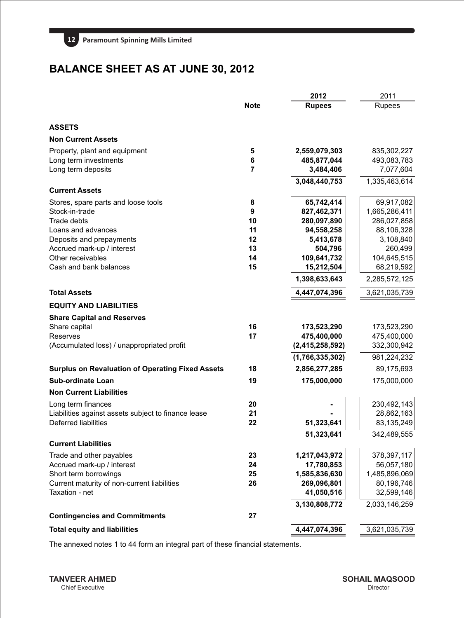

# **BALANCE SHEET AS AT JUNE 30, 2012**

|                                                         |             | 2012               | 2011          |
|---------------------------------------------------------|-------------|--------------------|---------------|
|                                                         | <b>Note</b> | <b>Rupees</b>      | Rupees        |
| <b>ASSETS</b>                                           |             |                    |               |
| <b>Non Current Assets</b>                               |             |                    |               |
| Property, plant and equipment                           | 5           | 2,559,079,303      | 835,302,227   |
| Long term investments                                   | 6           | 485,877,044        | 493,083,783   |
| Long term deposits                                      | 7           | 3,484,406          | 7,077,604     |
|                                                         |             | 3,048,440,753      | 1,335,463,614 |
| <b>Current Assets</b>                                   |             |                    |               |
| Stores, spare parts and loose tools                     | 8           | 65,742,414         | 69,917,082    |
| Stock-in-trade                                          | 9           | 827,462,371        | 1,665,286,411 |
| Trade debts                                             | 10          | 280,097,890        | 286,027,858   |
| Loans and advances                                      | 11          | 94,558,258         | 88,106,328    |
| Deposits and prepayments                                | 12          | 5,413,678          | 3,108,840     |
| Accrued mark-up / interest                              | 13          | 504,796            | 260,499       |
| Other receivables                                       | 14          | 109,641,732        | 104,645,515   |
| Cash and bank balances                                  | 15          | 15,212,504         | 68,219,592    |
|                                                         |             | 1,398,633,643      | 2,285,572,125 |
| <b>Total Assets</b>                                     |             | 4,447,074,396      | 3,621,035,739 |
| <b>EQUITY AND LIABILITIES</b>                           |             |                    |               |
| <b>Share Capital and Reserves</b>                       |             |                    |               |
| Share capital                                           | 16          | 173,523,290        | 173,523,290   |
| Reserves                                                | 17          | 475,400,000        | 475,400,000   |
| (Accumulated loss) / unappropriated profit              |             | (2, 415, 258, 592) | 332,300,942   |
|                                                         |             | (1,766,335,302)    | 981,224,232   |
| <b>Surplus on Revaluation of Operating Fixed Assets</b> | 18          | 2,856,277,285      | 89,175,693    |
| <b>Sub-ordinate Loan</b>                                | 19          | 175,000,000        | 175,000,000   |
| <b>Non Current Liabilities</b>                          |             |                    |               |
| Long term finances                                      | 20          |                    | 230,492,143   |
| Liabilities against assets subject to finance lease     | 21          |                    | 28,862,163    |
| <b>Deferred liabilities</b>                             | 22          | 51,323,641         | 83,135,249    |
|                                                         |             | 51,323,641         | 342,489,555   |
| <b>Current Liabilities</b>                              |             |                    |               |
| Trade and other payables                                | 23          | 1,217,043,972      | 378,397,117   |
| Accrued mark-up / interest                              | 24          | 17,780,853         | 56,057,180    |
| Short term borrowings                                   | 25          | 1,585,836,630      | 1,485,896,069 |
| Current maturity of non-current liabilities             | 26          | 269,096,801        | 80,196,746    |
| Taxation - net                                          |             | 41,050,516         | 32,599,146    |
|                                                         |             | 3,130,808,772      | 2,033,146,259 |
| <b>Contingencies and Commitments</b>                    | 27          |                    |               |
| <b>Total equity and liabilities</b>                     |             | 4,447,074,396      | 3,621,035,739 |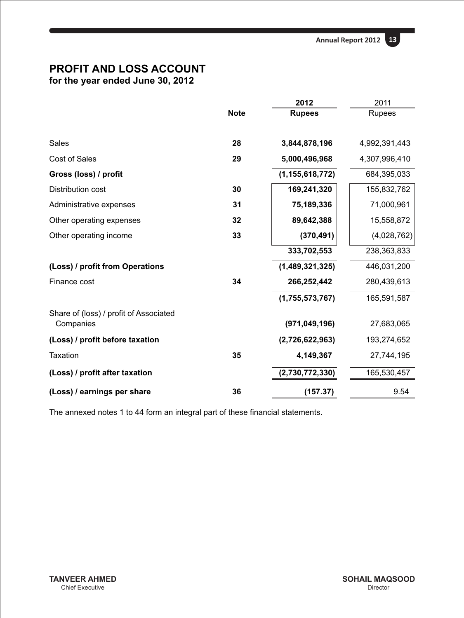

## **PROFIT AND LOSS ACCOUNT for the year ended June 30, 2012**

|                                                     |             | 2012               | 2011          |
|-----------------------------------------------------|-------------|--------------------|---------------|
|                                                     | <b>Note</b> | <b>Rupees</b>      | <b>Rupees</b> |
| Sales                                               | 28          | 3,844,878,196      | 4,992,391,443 |
| Cost of Sales                                       | 29          | 5,000,496,968      | 4,307,996,410 |
| Gross (loss) / profit                               |             | (1, 155, 618, 772) | 684,395,033   |
| Distribution cost                                   | 30          | 169,241,320        | 155,832,762   |
| Administrative expenses                             | 31          | 75,189,336         | 71,000,961    |
| Other operating expenses                            | 32          | 89,642,388         | 15,558,872    |
| Other operating income                              | 33          | (370, 491)         | (4,028,762)   |
|                                                     |             | 333,702,553        | 238,363,833   |
| (Loss) / profit from Operations                     |             | (1,489,321,325)    | 446,031,200   |
| Finance cost                                        | 34          | 266,252,442        | 280,439,613   |
|                                                     |             | (1,755,573,767)    | 165,591,587   |
| Share of (loss) / profit of Associated<br>Companies |             | (971, 049, 196)    | 27,683,065    |
| (Loss) / profit before taxation                     |             | (2,726,622,963)    | 193,274,652   |
| Taxation                                            | 35          | 4,149,367          | 27,744,195    |
| (Loss) / profit after taxation                      |             | (2,730,772,330)    | 165,530,457   |
| (Loss) / earnings per share                         | 36          | (157.37)           | 9.54          |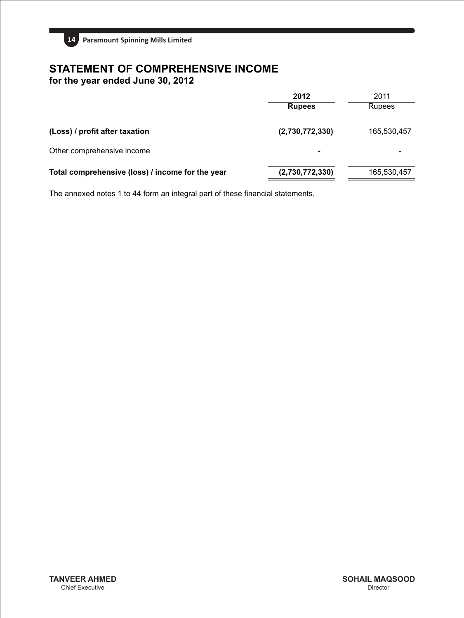

# **STATEMENT OF COMPREHENSIVE INCOME**

**for the year ended June 30, 2012**

|                                                  | 2012            | 2011          |
|--------------------------------------------------|-----------------|---------------|
|                                                  | <b>Rupees</b>   | <b>Rupees</b> |
| (Loss) / profit after taxation                   | (2,730,772,330) | 165,530,457   |
| Other comprehensive income                       |                 |               |
| Total comprehensive (loss) / income for the year | (2,730,772,330) | 165,530,457   |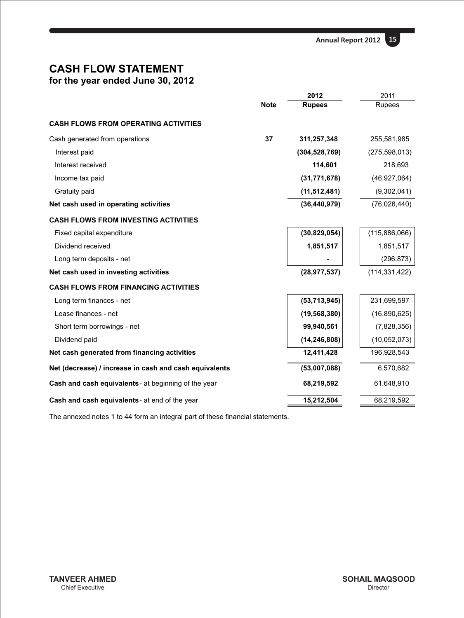

## **CASH FLOW STATEMENT for the year ended June 30, 2012**

|                                                        |             | 2012            | 2011            |
|--------------------------------------------------------|-------------|-----------------|-----------------|
|                                                        | <b>Note</b> | <b>Rupees</b>   | Rupees          |
| <b>CASH FLOWS FROM OPERATING ACTIVITIES</b>            |             |                 |                 |
| Cash generated from operations                         | 37          | 311,257,348     | 255,581,985     |
| Interest paid                                          |             | (304, 528, 769) | (275, 598, 013) |
| Interest received                                      |             | 114,601         | 218,693         |
| Income tax paid                                        |             | (31, 771, 678)  | (46, 927, 064)  |
| Gratuity paid                                          |             | (11, 512, 481)  | (9,302,041)     |
| Net cash used in operating activities                  |             | (36, 440, 979)  | (76,026,440)    |
| <b>CASH FLOWS FROM INVESTING ACTIVITIES</b>            |             |                 |                 |
| Fixed capital expenditure                              |             | (30, 829, 054)  | (115, 886, 066) |
| Dividend received                                      |             | 1,851,517       | 1,851,517       |
| Long term deposits - net                               |             |                 | (296, 873)      |
| Net cash used in investing activities                  |             | (28, 977, 537)  | (114, 331, 422) |
| <b>CASH FLOWS FROM FINANCING ACTIVITIES</b>            |             |                 |                 |
| Long term finances - net                               |             | (53, 713, 945)  | 231,699,597     |
| Lease finances - net                                   |             | (19, 568, 380)  | (16,890,625)    |
| Short term borrowings - net                            |             | 99,940,561      | (7,828,356)     |
| Dividend paid                                          |             | (14, 246, 808)  | (10,052,073)    |
| Net cash generated from financing activities           |             | 12,411,428      | 196,928,543     |
| Net (decrease) / increase in cash and cash equivalents |             | (53,007,088)    | 6,570,682       |
| Cash and cash equivalents - at beginning of the year   |             | 68,219,592      | 61,648,910      |
| Cash and cash equivalents - at end of the year         |             | 15,212,504      | 68,219,592      |
|                                                        |             |                 |                 |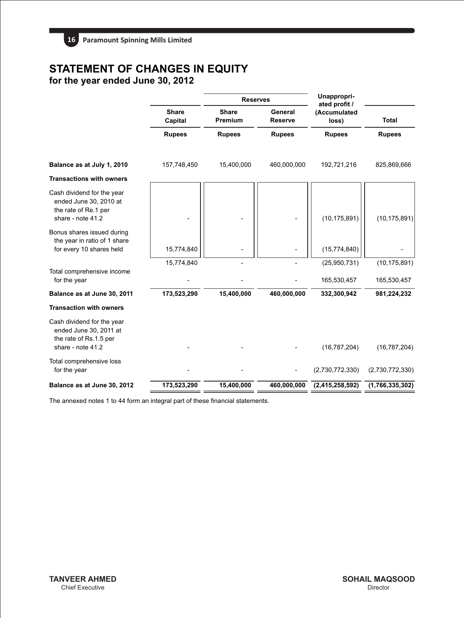# **STATEMENT OF CHANGES IN EQUITY**

**for the year ended June 30, 2012**

|                                                                                                     |                         | <b>Reserves</b>                |                           | Unappropri-<br>ated profit / |                 |
|-----------------------------------------------------------------------------------------------------|-------------------------|--------------------------------|---------------------------|------------------------------|-----------------|
|                                                                                                     | <b>Share</b><br>Capital | <b>Share</b><br><b>Premium</b> | General<br><b>Reserve</b> | (Accumulated<br>loss)        | <b>Total</b>    |
|                                                                                                     | <b>Rupees</b>           | <b>Rupees</b>                  | <b>Rupees</b>             | <b>Rupees</b>                | <b>Rupees</b>   |
| Balance as at July 1, 2010                                                                          | 157,748,450             | 15,400,000                     | 460,000,000               | 192,721,216                  | 825,869,666     |
| <b>Transactions with owners</b>                                                                     |                         |                                |                           |                              |                 |
| Cash dividend for the year<br>ended June 30, 2010 at<br>the rate of Re.1 per<br>share - note 41.2   |                         |                                |                           | (10, 175, 891)               | (10, 175, 891)  |
| Bonus shares issued during<br>the year in ratio of 1 share<br>for every 10 shares held              | 15,774,840              |                                |                           | (15, 774, 840)               |                 |
|                                                                                                     | 15,774,840              |                                |                           | (25,950,731)                 | (10, 175, 891)  |
| Total comprehensive income<br>for the year                                                          |                         |                                |                           | 165,530,457                  | 165,530,457     |
| Balance as at June 30, 2011                                                                         | 173,523,290             | 15,400,000                     | 460,000,000               | 332,300,942                  | 981,224,232     |
| <b>Transaction with owners</b>                                                                      |                         |                                |                           |                              |                 |
| Cash dividend for the year<br>ended June 30, 2011 at<br>the rate of Rs.1.5 per<br>share - note 41.2 |                         |                                |                           | (16, 787, 204)               | (16, 787, 204)  |
| Total comprehensive loss<br>for the year                                                            |                         |                                |                           | (2,730,772,330)              | (2,730,772,330) |
| Balance as at June 30, 2012                                                                         | 173,523,290             | 15,400,000                     | 460,000,000               | (2,415,258,592)              | (1,766,335,302) |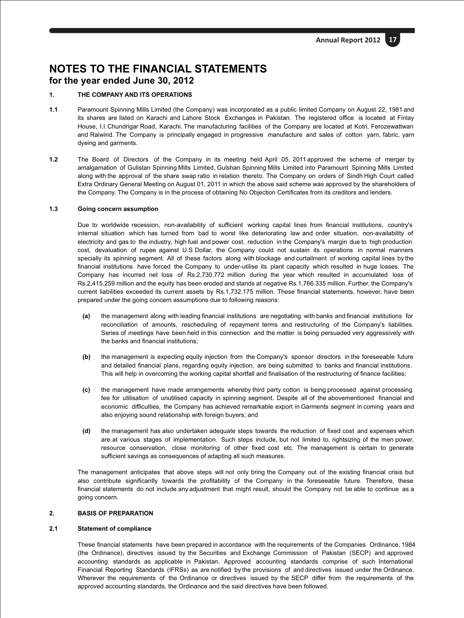## **1. THE COMPANY AND ITS OPERATIONS**

- **1.1** Paramount Spinning Mills Limited (the Company) was incorporated as a public limited Company on August 22, 1981 and its shares are listed on Karachi and Lahore Stock Exchanges in Pakistan. The registered office is located at Finlay House, I.I.Chundrigar Road, Karachi. The manufacturing facilities of the Company are located at Kotri, Ferozewattwan and Raiwind. The Company is principally engaged in progressive manufacture and sales of cotton yarn, fabric, yarn dyeing and garments.
- **1.2** The Board of Directors of the Company in its meeting held April 05, 2011 approved the scheme of merger by amalgamation of Gulistan Spinning Mills Limited, Gulshan Spinning Mills Limited into Paramount Spinning Mills Limited along with the approval of the share swap ratio in relation thereto. The Company on orders of Sindh High Court called Extra Ordinary General Meeting on August 01, 2011 in which the above said scheme was approved by the shareholders of the Company. The Company is in the process of obtaining No Objection Certificates from its creditors and lenders.

#### **1.3 Going concern assumption**

Due to worldwide recession, non-availability of sufficient working capital lines from financial institutions, country's internal situation which has turned from bad to worst like deteriorating law and order situation, non-availability of electricity and gas to the industry, high fuel and power cost, reduction in the Company's margin due to high production cost, devaluation of rupee against U.S Dollar, the Company could not sustain its operations in normal manners specially its spinning segment. All of these factors along with blockage and curtailment of working capital lines by the financial institutions have forced the Company to under-utilise its plant capacity which resulted in huge losses. The Company has incurred net loss of Rs.2,730.772 million during the year which resulted in accumulated loss of Rs.2,415.259 million and the equity has been eroded and stands at negative Rs.1,766.335 million. Further, the Company's current liabilities exceeded its current assets by Rs.1,732.175 million. These financial statements, however, have been prepared under the going concern assumptions due to following reasons:

- **(a)** the management along with leading financial institutions are negotiating with banks and financial institutions for reconciliation of amounts, rescheduling of repayment terms and restructuring of the Company's liabilities. Series of meetings have been held in this connection and the matter is being persuaded very aggressively with the banks and financial institutions;
- **(b)** the management is expecting equity injection from the Company's sponsor directors in the foreseeable future and detailed financial plans, regarding equity injection, are being submitted to banks and financial institutions. This will help in overcoming the working capital shortfall and finalisation of the restructuring of finance facilities;
- **(c)** the management have made arrangements whereby third party cotton is being processed against processing fee for utilisation of unutilised capacity in spinning segment. Despite all of the abovementioned financial and economic difficulties, the Company has achieved remarkable export in Garments segment in coming years and also enjoying sound relationship with foreign buyers; and
- **(d)** the management has also undertaken adequate steps towards the reduction of fixed cost and expenses which are at various stages of implementation. Such steps include, but not limited to, rightsizing of the men power, resource conservation, close monitoring of other fixed cost etc. The management is certain to generate sufficient savings as consequences of adapting all such measures.

The management anticipates that above steps will not only bring the Company out of the existing financial crisis but also contribute significantly towards the profitability of the Company in the foreseeable future. Therefore, these financial statements do not include any adjustment that might result, should the Company not be able to continue as a going concern.

## **2. BASIS OF PREPARATION**

#### **2.1 Statement of compliance**

These financial statements have been prepared in accordance with the requirements of the Companies Ordinance, 1984 (the Ordinance), directives issued by the Securities and Exchange Commission of Pakistan (SECP) and approved accounting standards as applicable in Pakistan. Approved accounting standards comprise of such International Financial Reporting Standards (IFRSs) as are notified by the provisions of and directives issued under the Ordinance. Wherever the requirements of the Ordinance or directives issued by the SECP differ from the requirements of the approved accounting standards, the Ordinance and the said directives have been followed.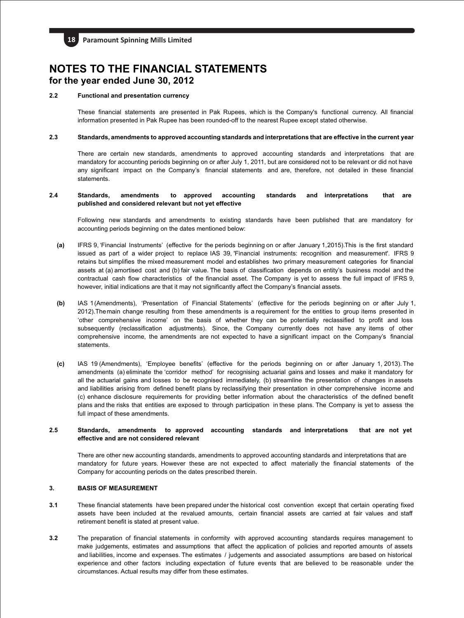

## **2.2 Functional and presentation currency**

These financial statements are presented in Pak Rupees, which is the Company's functional currency. All financial information presented in Pak Rupee has been rounded-off to the nearest Rupee except stated otherwise.

#### **2.3 Standards, amendments to approved accounting standards and interpretations that are effective in the current year**

There are certain new standards, amendments to approved accounting standards and interpretations that are mandatory for accounting periods beginning on or after July 1, 2011, but are considered not to be relevant or did not have any significant impact on the Company's financial statements and are, therefore, not detailed in these financial statements.

#### **2.4 Standards, amendments to approved accounting standards and interpretations that are published and considered relevant but not yet effective**

Following new standards and amendments to existing standards have been published that are mandatory for accounting periods beginning on the dates mentioned below:

- **(a)** IFRS 9, 'Financial Instruments' (effective for the periods beginning on or after January 1,2015).This is the first standard issued as part of a wider project to replace IAS 39, 'Financial instruments: recognition and measurement'. IFRS 9 retains but simplifies the mixed measurement model and establishes two primary measurement categories for financial assets at (a) amortised cost and (b) fair value. The basis of classification depends on entity's business model and the contractual cash flow characteristics of the financial asset. The Company is yet to assess the full impact of IFRS 9, however, initial indications are that it may not significantly affect the Company's financial assets.
- **(b)** IAS 1(Amendments), 'Presentation of Financial Statements' (effective for the periods beginning on or after July 1, 2012).Themain change resulting from these amendments is a requirement for the entities to group items presented in 'other comprehensive income' on the basis of whether they can be potentially reclassified to profit and loss subsequently (reclassification adjustments). Since, the Company currently does not have any items of other comprehensive income, the amendments are not expected to have a significant impact on the Company's financial statements.
- **(c)** IAS 19 (Amendments), 'Employee benefits' (effective for the periods beginning on or after January 1, 2013). The amendments (a) eliminate the 'corridor method' for recognising actuarial gains and losses and make it mandatory for all the actuarial gains and losses to be recognised immediately, (b) streamline the presentation of changes in assets and liabilities arising from defined benefit plans by reclassifying their presentation in other comprehensive income and (c) enhance disclosure requirements for providing better information about the characteristics of the defined benefit plans and the risks that entities are exposed to through participation in these plans. The Company is yet to assess the full impact of these amendments.

#### **2.5 Standards, amendments to approved accounting standards and interpretations that are not yet effective and are not considered relevant**

There are other new accounting standards, amendments to approved accounting standards and interpretations that are mandatory for future years. However these are not expected to affect materially the financial statements of the Company for accounting periods on the dates prescribed therein.

## **3. BASIS OF MEASUREMENT**

- **3.1** These financial statements have been prepared under the historical cost convention except that certain operating fixed assets have been included at the revalued amounts, certain financial assets are carried at fair values and staff retirement benefit is stated at present value.
- **3.2** The preparation of financial statements in conformity with approved accounting standards requires management to make judgements, estimates and assumptions that affect the application of policies and reported amounts of assets and liabilities, income and expenses. The estimates / judgements and associated assumptions are based on historical experience and other factors including expectation of future events that are believed to be reasonable under the circumstances. Actual results may differ from these estimates.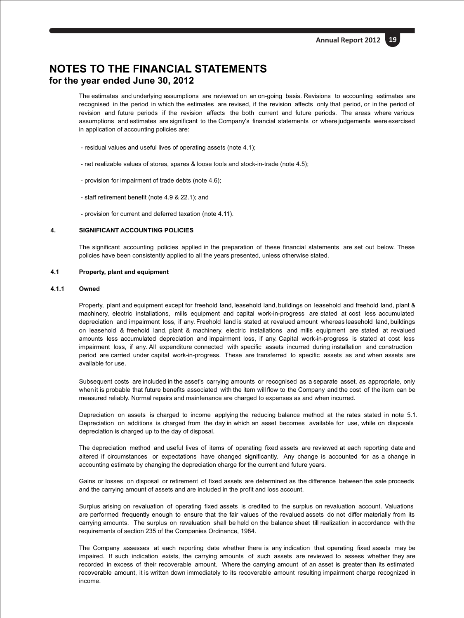The estimates and underlying assumptions are reviewed on an on-going basis. Revisions to accounting estimates are recognised in the period in which the estimates are revised, if the revision affects only that period, or in the period of revision and future periods if the revision affects the both current and future periods. The areas where various assumptions and estimates are significant to the Company's financial statements or where judgements were exercised in application of accounting policies are:

- residual values and useful lives of operating assets (note 4.1);
- net realizable values of stores, spares & loose tools and stock-in-trade (note 4.5);
- provision for impairment of trade debts (note 4.6);
- staff retirement benefit (note 4.9 & 22.1); and
- provision for current and deferred taxation (note 4.11).

## **4. SIGNIFICANT ACCOUNTING POLICIES**

The significant accounting policies applied in the preparation of these financial statements are set out below. These policies have been consistently applied to all the years presented, unless otherwise stated.

#### **4.1 Property, plant and equipment**

## **4.1.1 Owned**

Property, plant and equipment except for freehold land, leasehold land, buildings on leasehold and freehold land, plant & machinery, electric installations, mills equipment and capital work-in-progress are stated at cost less accumulated depreciation and impairment loss, if any. Freehold land is stated at revalued amount whereas leasehold land, buildings on leasehold & freehold land, plant & machinery, electric installations and mills equipment are stated at revalued amounts less accumulated depreciation and impairment loss, if any. Capital work-in-progress is stated at cost less impairment loss, if any. All expenditure connected with specific assets incurred during installation and construction period are carried under capital work-in-progress. These are transferred to specific assets as and when assets are available for use.

Subsequent costs are included in the asset's carrying amounts or recognised as a separate asset, as appropriate, only when it is probable that future benefits associated with the item will flow to the Company and the cost of the item can be measured reliably. Normal repairs and maintenance are charged to expenses as and when incurred.

Depreciation on assets is charged to income applying the reducing balance method at the rates stated in note 5.1. Depreciation on additions is charged from the day in which an asset becomes available for use, while on disposals depreciation is charged up to the day of disposal.

The depreciation method and useful lives of items of operating fixed assets are reviewed at each reporting date and altered if circumstances or expectations have changed significantly. Any change is accounted for as a change in accounting estimate by changing the depreciation charge for the current and future years.

Gains or losses on disposal or retirement of fixed assets are determined as the difference between the sale proceeds and the carrying amount of assets and are included in the profit and loss account.

Surplus arising on revaluation of operating fixed assets is credited to the surplus on revaluation account. Valuations are performed frequently enough to ensure that the fair values of the revalued assets do not differ materially from its carrying amounts. The surplus on revaluation shall be held on the balance sheet till realization in accordance with the requirements of section 235 of the Companies Ordinance, 1984.

The Company assesses at each reporting date whether there is any indication that operating fixed assets may be impaired. If such indication exists, the carrying amounts of such assets are reviewed to assess whether they are recorded in excess of their recoverable amount. Where the carrying amount of an asset is greater than its estimated recoverable amount, it is written down immediately to its recoverable amount resulting impairment charge recognized in income.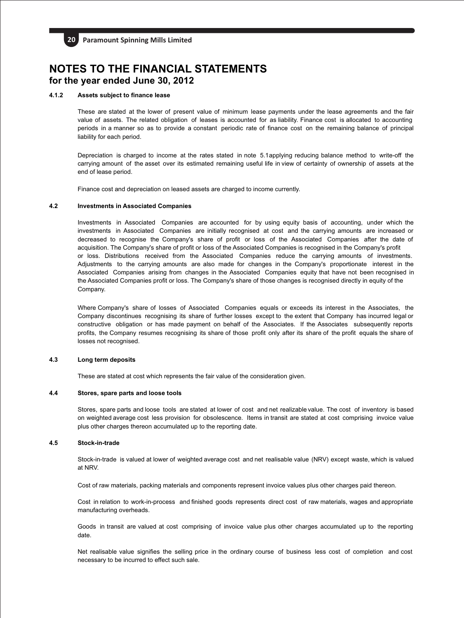## **4.1.2 Assets subject to finance lease**

These are stated at the lower of present value of minimum lease payments under the lease agreements and the fair value of assets. The related obligation of leases is accounted for as liability. Finance cost is allocated to accounting periods in a manner so as to provide a constant periodic rate of finance cost on the remaining balance of principal liability for each period.

Depreciation is charged to income at the rates stated in note 5.1applying reducing balance method to write-off the carrying amount of the asset over its estimated remaining useful life in view of certainty of ownership of assets at the end of lease period.

Finance cost and depreciation on leased assets are charged to income currently.

## **4.2 Investments in Associated Companies**

Investments in Associated Companies are accounted for by using equity basis of accounting, under which the investments in Associated Companies are initially recognised at cost and the carrying amounts are increased or decreased to recognise the Company's share of profit or loss of the Associated Companies after the date of acquisition. The Company's share of profit or loss of the Associated Companies is recognised in the Company's profit or loss. Distributions received from the Associated Companies reduce the carrying amounts of investments. Adjustments to the carrying amounts are also made for changes in the Company's proportionate interest in the Associated Companies arising from changes in the Associated Companies equity that have not been recognised in the Associated Companies profit or loss. The Company's share of those changes is recognised directly in equity of the Company.

Where Company's share of losses of Associated Companies equals or exceeds its interest in the Associates, the Company discontinues recognising its share of further losses except to the extent that Company has incurred legal or constructive obligation or has made payment on behalf of the Associates. If the Associates subsequently reports profits, the Company resumes recognising its share of those profit only after its share of the profit equals the share of losses not recognised.

#### **4.3 Long term deposits**

These are stated at cost which represents the fair value of the consideration given.

#### **4.4 Stores, spare parts and loose tools**

Stores, spare parts and loose tools are stated at lower of cost and net realizable value. The cost of inventory is based on weighted average cost less provision for obsolescence. Items in transit are stated at cost comprising invoice value plus other charges thereon accumulated up to the reporting date.

## **4.5 Stock-in-trade**

Stock-in-trade is valued at lower of weighted average cost and net realisable value (NRV) except waste, which is valued at NRV.

Cost of raw materials, packing materials and components represent invoice values plus other charges paid thereon.

Cost in relation to work-in-process and finished goods represents direct cost of raw materials, wages and appropriate manufacturing overheads.

Goods in transit are valued at cost comprising of invoice value plus other charges accumulated up to the reporting date.

Net realisable value signifies the selling price in the ordinary course of business less cost of completion and cost necessary to be incurred to effect such sale.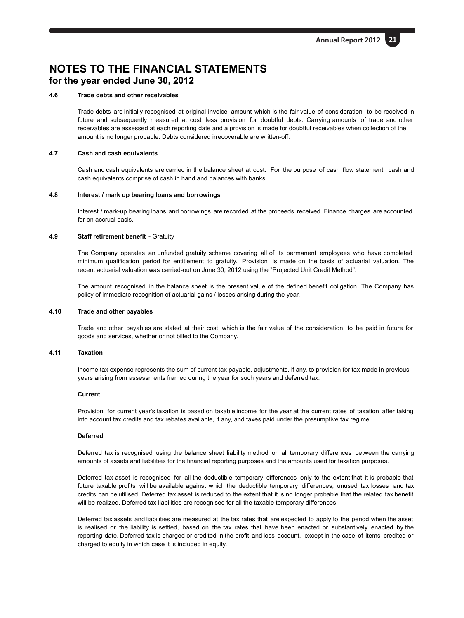## **4.6 Trade debts and other receivables**

Trade debts are initially recognised at original invoice amount which is the fair value of consideration to be received in future and subsequently measured at cost less provision for doubtful debts. Carrying amounts of trade and other receivables are assessed at each reporting date and a provision is made for doubtful receivables when collection of the amount is no longer probable. Debts considered irrecoverable are written-off.

## **4.7 Cash and cash equivalents**

Cash and cash equivalents are carried in the balance sheet at cost. For the purpose of cash flow statement, cash and cash equivalents comprise of cash in hand and balances with banks.

#### **4.8 Interest / mark up bearing loans and borrowings**

Interest / mark-up bearing loans and borrowings are recorded at the proceeds received. Finance charges are accounted for on accrual basis.

#### **4.9 Staff retirement benefit** - Gratuity

The Company operates an unfunded gratuity scheme covering all of its permanent employees who have completed minimum qualification period for entitlement to gratuity. Provision is made on the basis of actuarial valuation. The recent actuarial valuation was carried-out on June 30, 2012 using the "Projected Unit Credit Method".

The amount recognised in the balance sheet is the present value of the defined benefit obligation. The Company has policy of immediate recognition of actuarial gains / losses arising during the year.

#### **4.10 Trade and other payables**

Trade and other payables are stated at their cost which is the fair value of the consideration to be paid in future for goods and services, whether or not billed to the Company.

## **4.11 Taxation**

Income tax expense represents the sum of current tax payable, adjustments, if any, to provision for tax made in previous years arising from assessments framed during the year for such years and deferred tax.

#### **Current**

Provision for current year's taxation is based on taxable income for the year at the current rates of taxation after taking into account tax credits and tax rebates available, if any, and taxes paid under the presumptive tax regime.

#### **Deferred**

Deferred tax is recognised using the balance sheet liability method on all temporary differences between the carrying amounts of assets and liabilities for the financial reporting purposes and the amounts used for taxation purposes.

Deferred tax asset is recognised for all the deductible temporary differences only to the extent that it is probable that future taxable profits will be available against which the deductible temporary differences, unused tax losses and tax credits can be utilised. Deferred tax asset is reduced to the extent that it is no longer probable that the related tax benefit will be realized. Deferred tax liabilities are recognised for all the taxable temporary differences.

Deferred tax assets and liabilities are measured at the tax rates that are expected to apply to the period when the asset is realised or the liability is settled, based on the tax rates that have been enacted or substantively enacted by the reporting date. Deferred tax is charged or credited in the profit and loss account, except in the case of items credited or charged to equity in which case it is included in equity.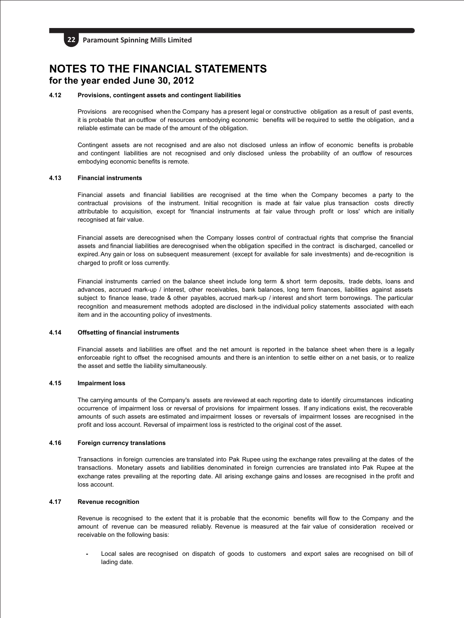## **4.12 Provisions, contingent assets and contingent liabilities**

Provisions are recognised when the Company has a present legal or constructive obligation as a result of past events, it is probable that an outflow of resources embodying economic benefits will be required to settle the obligation, and a reliable estimate can be made of the amount of the obligation.

Contingent assets are not recognised and are also not disclosed unless an inflow of economic benefits is probable and contingent liabilities are not recognised and only disclosed unless the probability of an outflow of resources embodying economic benefits is remote.

## **4.13 Financial instruments**

Financial assets and financial liabilities are recognised at the time when the Company becomes a party to the contractual provisions of the instrument. Initial recognition is made at fair value plus transaction costs directly attributable to acquisition, except for 'financial instruments at fair value through profit or loss' which are initially recognised at fair value.

Financial assets are derecognised when the Company losses control of contractual rights that comprise the financial assets and financial liabilities are derecognised when the obligation specified in the contract is discharged, cancelled or expired.Any gain or loss on subsequent measurement (except for available for sale investments) and de-recognition is charged to profit or loss currently.

Financial instruments carried on the balance sheet include long term & short term deposits, trade debts, loans and advances, accrued mark-up / interest, other receivables, bank balances, long term finances, liabilities against assets subject to finance lease, trade & other payables, accrued mark-up / interest and short term borrowings. The particular recognition and measurement methods adopted are disclosed in the individual policy statements associated with each item and in the accounting policy of investments.

## **4.14 Offsetting of financial instruments**

Financial assets and liabilities are offset and the net amount is reported in the balance sheet when there is a legally enforceable right to offset the recognised amounts and there is an intention to settle either on a net basis, or to realize the asset and settle the liability simultaneously.

## **4.15 Impairment loss**

The carrying amounts of the Company's assets are reviewed at each reporting date to identify circumstances indicating occurrence of impairment loss or reversal of provisions for impairment losses. If any indications exist, the recoverable amounts of such assets are estimated and impairment losses or reversals of impairment losses are recognised in the profit and loss account. Reversal of impairment loss is restricted to the original cost of the asset.

## **4.16 Foreign currency translations**

Transactions in foreign currencies are translated into Pak Rupee using the exchange rates prevailing at the dates of the transactions. Monetary assets and liabilities denominated in foreign currencies are translated into Pak Rupee at the exchange rates prevailing at the reporting date. All arising exchange gains and losses are recognised in the profit and loss account.

#### **4.17 Revenue recognition**

Revenue is recognised to the extent that it is probable that the economic benefits will flow to the Company and the amount of revenue can be measured reliably. Revenue is measured at the fair value of consideration received or receivable on the following basis:

**-** Local sales are recognised on dispatch of goods to customers and export sales are recognised on bill of lading date.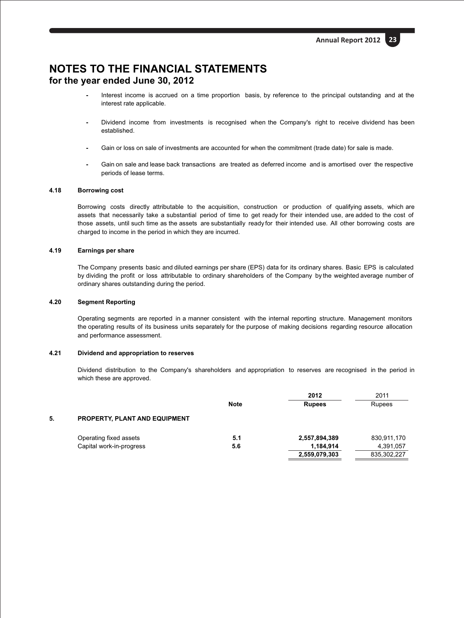- **-** Interest income is accrued on a time proportion basis, by reference to the principal outstanding and at the interest rate applicable.
- **-** Dividend income from investments is recognised when the Company's right to receive dividend has been established.
- **-** Gain or loss on sale of investments are accounted for when the commitment (trade date) for sale is made.
- **-** Gain on sale and lease back transactions are treated as deferred income and is amortised over the respective periods of lease terms.

## **4.18 Borrowing cost**

Borrowing costs directly attributable to the acquisition, construction or production of qualifying assets, which are assets that necessarily take a substantial period of time to get ready for their intended use, are added to the cost of those assets, until such time as the assets are substantially ready for their intended use. All other borrowing costs are charged to income in the period in which they are incurred.

#### **4.19 Earnings per share**

The Company presents basic and diluted earnings per share (EPS) data for its ordinary shares. Basic EPS is calculated by dividing the profit or loss attributable to ordinary shareholders of the Company by the weighted average number of ordinary shares outstanding during the period.

#### **4.20 Segment Reporting**

Operating segments are reported in a manner consistent with the internal reporting structure. Management monitors the operating results of its business units separately for the purpose of making decisions regarding resource allocation and performance assessment.

#### **4.21 Dividend and appropriation to reserves**

Dividend distribution to the Company's shareholders and appropriation to reserves are recognised in the period in which these are approved.

|    |                                      |             | 2012          | 2011          |
|----|--------------------------------------|-------------|---------------|---------------|
|    |                                      | <b>Note</b> | <b>Rupees</b> | <b>Rupees</b> |
| 5. | <b>PROPERTY, PLANT AND EQUIPMENT</b> |             |               |               |
|    | Operating fixed assets               | 5.1         | 2,557,894,389 | 830,911,170   |
|    | Capital work-in-progress             | 5.6         | 1,184,914     | 4,391,057     |
|    |                                      |             | 2,559,079,303 | 835,302,227   |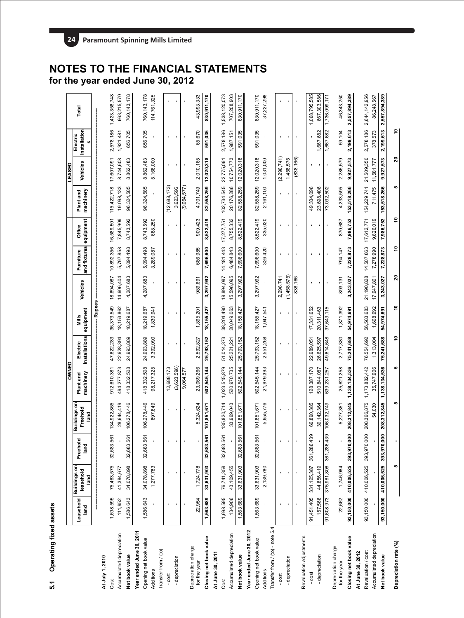# **Operating fixed assets**  $5.1$

|                                     |                   |                                          |                  |                                  | OWNED                  |                           |                    |                |                                     |                |                        | LEASED         |                          |                |
|-------------------------------------|-------------------|------------------------------------------|------------------|----------------------------------|------------------------|---------------------------|--------------------|----------------|-------------------------------------|----------------|------------------------|----------------|--------------------------|----------------|
|                                     | Leasehold<br>land | <b>Buildings on</b><br>leasehold<br>land | Freehold<br>land | Buildings on<br>Freehold<br>land | machinery<br>Plant and | Installations<br>Electric | equipment<br>Mills | Vehicles       | and fixtures equipment<br>Furniture | Office         | machinery<br>Plant and | Vehicles       | Installation<br>Electric | Total          |
|                                     |                   |                                          |                  |                                  |                        |                           | -Rupees            |                |                                     |                |                        |                |                          |                |
| At July 1, 2010                     |                   |                                          |                  |                                  |                        |                           |                    |                |                                     |                |                        |                |                          |                |
| Cost                                | 1,698,595         | 75,463,575                               | 61<br>32,683,5   | 134,922,865                      | 912,610,381            | 47,622,283                | 36,373,549         | 18,894,087     | 10,892,356                          | 16,589,501     | 115,422,718            | 17,607,091     | 2,578,186                | 1,423,358,748  |
| Accumulated depreciation            | 111,952           | 41,384,677                               |                  | 28,644,419                       | 494,277,873            | 22,628,394                | 18, 153, 862       | 14,606,404     | 5,797,858                           | 7,845,909      | 19,098,133             | 8,744,608      | 1,921,481                | 663,215,570    |
| Net book value                      | 1,586,643         | 34,078,898                               | 61<br>32,683,5   | 106,278,446                      | 418,332,508            | 24,993,889                | 18,219,687         | 4,287,683      | 5,094,498                           | 8,743,592      | 96,324,585             | 8,862,483      | 656,705                  | 760, 143, 178  |
| Year ended June 30, 2011            |                   |                                          |                  |                                  |                        |                           |                    |                |                                     |                |                        |                |                          |                |
| Opening net book value              | 1,586,643         | 34,078,898                               | 61<br>32,683,5   | 106,278,446                      | 418,332,508            | 24,993,889                | 18,219,687         | 4,287,683      | 5,094,498                           | 8,743,592      | 96,324,585             | 8,862,483      | 656,705                  | 760, 143, 178  |
| Additions                           |                   | 1,277,783                                |                  | 897,849                          | 98,217,325             | 3,392,090                 | 1,830,941          | $\mathbf{r}$   | 3,289,087                           | 688,250        | ¥,                     | 5,168,000      | $\blacksquare$           | 114,761,325    |
| Transfer from / (to)                |                   |                                          |                  |                                  |                        |                           |                    |                |                                     |                |                        |                |                          |                |
| $-cost$                             |                   |                                          |                  |                                  | 12,688,173             | $\mathbf{I}$              |                    |                |                                     |                | (12,688,173)           |                |                          |                |
| - depreciation                      |                   |                                          |                  | $\,$                             | (3,623,596)            | $\,$                      | $\mathbf{I}$       |                |                                     | J.             | 3,623,596              | J.             | ×                        |                |
|                                     |                   |                                          |                  | $\blacksquare$                   | 9,064,577              | $\blacksquare$            |                    |                |                                     |                | (9,064,577)            |                |                          |                |
| Depreciation charge<br>for the year | 22,954            | 1,724,778                                |                  | 5,324,624                        | 23,069,266             | 2,592,827                 | 1,895,201          | 989,691        | 686,985                             | 909,423        | 4,701,749              | 2,010,165      | 65,670                   | 43,993,333     |
| Closing net book value              | 1,563,689         | 33,631,903                               | 5<br>32,683,5    | 101,851,671                      | 502,545,144            | 25,793,152                | 18, 155, 427       | 3,297,992      | 7,696,600                           | 8,522,419      | 82,558,259             | 12,020,318     | 591,035                  | 830,911,170    |
| At June 30, 2011                    |                   |                                          |                  |                                  |                        |                           |                    |                |                                     |                |                        |                |                          |                |
| Cost                                | 1,698,595         | 76,741,358                               | 5<br>32,683,5    | 135,820,714                      | 1,023,515,879          | 51,014,373                | 38,204,490         | 18,894,087     | 14, 181, 443                        | 17,277,751     | 102,734,545            | 22,775,091     | 2,578,186                | 1,538,120,073  |
| Accumulated depreciation            | 134,906           | 43, 109, 455                             |                  | 33,969,043                       | 520,970,735            | 25,221,221                | 20,049,063         | 15,596,095     | 6,484,843                           | 8,755,332      | 20,176,286             | 10,754,773     | 1,987,151                | 707,208,903    |
| Net book value                      | 1,563,689         | 33,631,903                               | 61<br>32,683,5   | 101,851,671                      | 502,545,144            | 25,793,152                | 18, 155, 427       | 3,297,992      | 7,696,600                           | 8,522,419      | 82,558,259             | 12,020,318     | 591,035                  | 830,911,170    |
| Year ended June 30, 2012            |                   |                                          |                  |                                  |                        |                           |                    |                |                                     |                |                        |                |                          |                |
| Opening net book value              | 1,563,689         | 33,631,903                               | 61<br>32,683,5   | 101,851,671                      | 502,545,144            | 25,793,152                | 18, 155, 427       | 3,297,992      | 7,696,600                           | 8,522,419      | 82,558,259             | 12,020,318     | 591,035                  | 830,911,170    |
| Additions                           |                   | 2,139,780                                |                  | 5,655,776                        | 21,979,393             | 2,551,268                 | 1,047,541          | $\mathbf{r}$   | 326,420                             | 335,020        | 2,161,100              | 1,031,000      | ٠                        | 37,227,298     |
| Transfer from / (to) - note 5.4     |                   |                                          |                  |                                  |                        |                           |                    |                |                                     |                |                        |                |                          |                |
| $-cost$                             | $\mathbf{I}$      |                                          |                  | ٠                                |                        |                           |                    | 2,296,741      |                                     | ٠              |                        | (2, 296, 741)  |                          |                |
| - depreciation                      | $\,$              | $\blacksquare$                           | ł                | $\blacksquare$                   | $\blacksquare$         | $\,$                      | $\blacksquare$     | (1,458,575)    | ×                                   | $\bullet$      | $\,$                   | 1,458,575      | $\blacksquare$           | $\blacksquare$ |
|                                     |                   | $\mathbf{I}$                             |                  | $\blacksquare$                   | $\mathbf{r}$           | $\blacksquare$            | $\mathbf{r}$       | 838,166        |                                     |                |                        | (838, 166)     |                          |                |
| Revaluation adjustments<br>- cost   | 91,451,405        | 331, 125, 387                            | 89<br>361,286,4  | 66,890,385                       | 128,387,170            | 22,989,051                | 17,331,652         |                |                                     |                | 49,334,096             |                |                          | 1,068,795,585  |
| - depreciation                      | 157,568           | 44,856,419                               |                  | 39,142,364                       | 510,844,087            | 26,625,597                | 20,311,463         | $\blacksquare$ |                                     | $\blacksquare$ | 23,698,406             | $\blacksquare$ | 1,667,682                | 667,303,586    |
|                                     | 91,608,973        | 375,981,806                              | 39<br>361,286,4  | 106,032,749                      | 639,231,257            | 49,614,648                | 37,643,115         | $\blacksquare$ |                                     |                | 73,032,502             | $\blacksquare$ | 1,667,682                | 1,736,099,171  |
| Depreciation charge                 |                   |                                          |                  |                                  |                        |                           |                    |                |                                     |                |                        |                |                          |                |
| for the year                        | 22,662            | 1,746,964                                |                  | 5,227,351                        | 25,621,258             | 2,717,380                 | 1,871,392          | 893, 131       | 794,147                             | 870,687        | 4,233,595              | 2,285,579      | 59,104                   | 46,343,250     |
| Closing net book value              | 93,150,000        | 410,006,525                              | 393,970,000      | 208,312,845                      | 1,138,134,536          | 75,241,688                | 54,974,691         | 3,243,027      | 7,228,873                           | 7,986,752      | 153,518,266            | 9,927,573      | 2,199,613                | 2,557,894,389  |
| At June 30, 2012                    |                   |                                          |                  |                                  |                        |                           |                    |                |                                     |                |                        |                |                          |                |
| Revaluation / cost                  | 93,150,000        | 410,006,525                              | 393,970,000      | 208,366,875                      | 1, 173, 882, 442       | 76,554,692                | 56,583,683         | 21,190,828     | 14,507,863                          | 17,612,771     | 154,229,741            | 21,509,350     | 2,578,186                | 2,644,142,956  |
| Accumulated depreciation            |                   |                                          |                  | 54,030                           | 35,747,906             | 1,313,004                 | 1,608,992          | 17,947,801     | 7,278,990                           | 9,626,019      | 711,475                | 11,581,777     | 378,573                  | 86,248,567     |
| Net book value                      | 93,150,000        | 410,006,525                              | 393,970,000      | 208,312,845                      | 1,138,134,536          | 75,241,688                | 54,974,691         | 3,243,027      | 7,228,873                           | 7,986,752      | 153,518,266            | 9,927,573      | 2,199,613                | 2,557,894,389  |
| Depreciation rate (%)               |                   | 5                                        |                  |                                  |                        | ۽                         | ş                  | ສ              | ٥,                                  | ş              | 5                      | ຊ              | ٥,                       |                |

## **NOTES TO THE FINANCIAL STATEMENTS for the year ended June 30, 2012**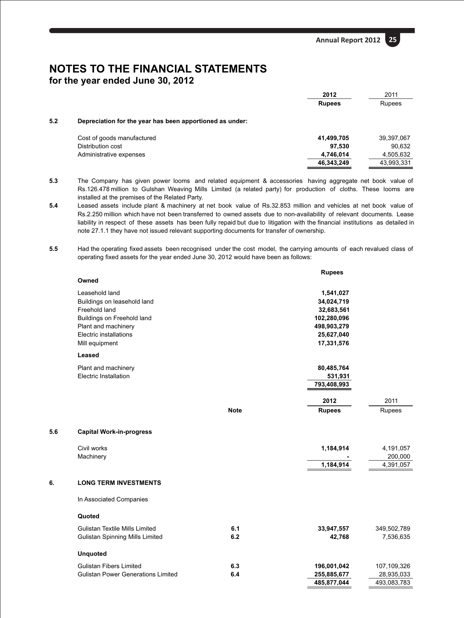|     |                                                          | 2012          | 2011          |
|-----|----------------------------------------------------------|---------------|---------------|
|     |                                                          | <b>Rupees</b> | <b>Rupees</b> |
| 5.2 | Depreciation for the year has been apportioned as under: |               |               |
|     | Cost of goods manufactured                               | 41,499,705    | 39,397,067    |
|     | Distribution cost                                        | 97,530        | 90,632        |
|     | Administrative expenses                                  | 4,746,014     | 4,505,632     |
|     |                                                          | 46,343,249    | 43,993,331    |

- **5.3** The Company has given power looms and related equipment & accessories having aggregate net book value of Rs.126.478 million to Gulshan Weaving Mills Limited (a related party) for production of cloths. These looms are installed at the premises of the Related Party.
- **5.4** Leased assets include plant & machinery at net book value of Rs.32.853 million and vehicles at net book value of Rs.2.250 million which have not been transferred to owned assets due to non-availability of relevant documents. Lease liability in respect of these assets has been fully repaid but due to litigation with the financial institutions as detailed in note 27.1.1 they have not issued relevant supporting documents for transfer of ownership.
- **5.5** Had the operating fixed assets been recognised under the cost model, the carrying amounts of each revalued class of operating fixed assets for the year ended June 30, 2012 would have been as follows:

|     |                                           |             | <b>Rupees</b> |                      |
|-----|-------------------------------------------|-------------|---------------|----------------------|
|     | Owned                                     |             |               |                      |
|     | Leasehold land                            |             | 1,541,027     |                      |
|     | Buildings on leasehold land               |             | 34,024,719    |                      |
|     | Freehold land                             |             | 32,683,561    |                      |
|     | Buildings on Freehold land                |             | 102,280,096   |                      |
|     | Plant and machinery                       |             | 498,903,279   |                      |
|     | Electric installations                    |             | 25,627,040    |                      |
|     | Mill equipment                            |             | 17,331,576    |                      |
|     | Leased                                    |             |               |                      |
|     | Plant and machinery                       |             | 80,485,764    |                      |
|     | Electric Installation                     |             | 531,931       |                      |
|     |                                           |             | 793,408,993   |                      |
|     |                                           |             | 2012          | 2011                 |
|     |                                           | <b>Note</b> | <b>Rupees</b> | Rupees               |
|     |                                           |             |               |                      |
| 5.6 | <b>Capital Work-in-progress</b>           |             |               |                      |
|     |                                           |             |               |                      |
|     | Civil works                               |             | 1,184,914     | 4,191,057            |
|     | Machinery                                 |             | 1,184,914     | 200,000<br>4,391,057 |
|     |                                           |             |               |                      |
| 6.  | <b>LONG TERM INVESTMENTS</b>              |             |               |                      |
|     | In Associated Companies                   |             |               |                      |
|     | Quoted                                    |             |               |                      |
|     | <b>Gulistan Textile Mills Limited</b>     | 6.1         | 33,947,557    | 349,502,789          |
|     | <b>Gulistan Spinning Mills Limited</b>    | 6.2         | 42,768        | 7,536,635            |
|     |                                           |             |               |                      |
|     | <b>Unquoted</b>                           |             |               |                      |
|     | <b>Gulistan Fibers Limited</b>            | 6.3         | 196,001,042   | 107,109,326          |
|     | <b>Gulistan Power Generations Limited</b> | 6.4         | 255,885,677   | 28,935,033           |
|     |                                           |             | 485,877,044   | 493,083,783          |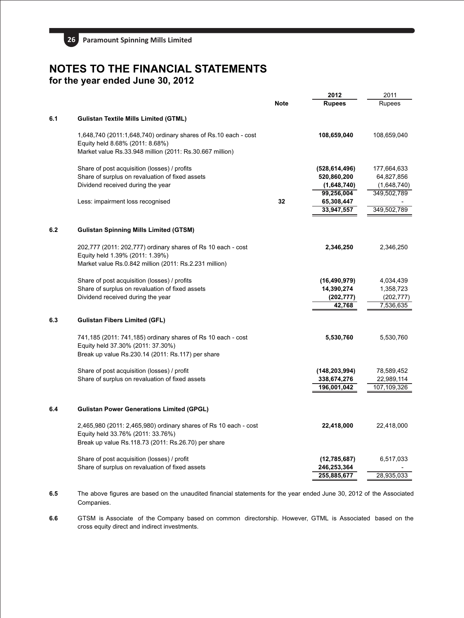

|     |                                                                                                                                                                |             | 2012                                                 | 2011                                              |
|-----|----------------------------------------------------------------------------------------------------------------------------------------------------------------|-------------|------------------------------------------------------|---------------------------------------------------|
|     |                                                                                                                                                                | <b>Note</b> | <b>Rupees</b>                                        | <b>Rupees</b>                                     |
| 6.1 | <b>Gulistan Textile Mills Limited (GTML)</b>                                                                                                                   |             |                                                      |                                                   |
|     | 1,648,740 (2011:1,648,740) ordinary shares of Rs.10 each - cost<br>Equity held 8.68% (2011: 8.68%)<br>Market value Rs.33.948 million (2011: Rs.30.667 million) |             | 108,659,040                                          | 108,659,040                                       |
|     | Share of post acquisition (losses) / profits<br>Share of surplus on revaluation of fixed assets<br>Dividend received during the year                           |             | (528, 614, 496)<br>520,860,200<br>(1,648,740)        | 177,664,633<br>64,827,856<br>(1,648,740)          |
|     | Less: impairment loss recognised                                                                                                                               | 32          | 99,256,004<br>65,308,447<br>33,947,557               | 349,502,789<br>349,502,789                        |
| 6.2 | <b>Gulistan Spinning Mills Limited (GTSM)</b>                                                                                                                  |             |                                                      |                                                   |
|     | 202,777 (2011: 202,777) ordinary shares of Rs 10 each - cost<br>Equity held 1.39% (2011: 1.39%)<br>Market value Rs.0.842 million (2011: Rs.2.231 million)      |             | 2,346,250                                            | 2,346,250                                         |
|     | Share of post acquisition (losses) / profits<br>Share of surplus on revaluation of fixed assets<br>Dividend received during the year                           |             | (16, 490, 979)<br>14,390,274<br>(202, 777)<br>42.768 | 4,034,439<br>1,358,723<br>(202, 777)<br>7,536,635 |
| 6.3 | <b>Gulistan Fibers Limited (GFL)</b>                                                                                                                           |             |                                                      |                                                   |
|     | 741,185 (2011: 741,185) ordinary shares of Rs 10 each - cost<br>Equity held 37.30% (2011: 37.30%)<br>Break up value Rs.230.14 (2011: Rs.117) per share         |             | 5,530,760                                            | 5,530,760                                         |
|     | Share of post acquisition (losses) / profit<br>Share of surplus on revaluation of fixed assets                                                                 |             | (148, 203, 994)<br>338,674,276<br>196,001,042        | 78,589,452<br>22,989,114<br>107,109,326           |
| 6.4 | <b>Gulistan Power Generations Limited (GPGL)</b>                                                                                                               |             |                                                      |                                                   |
|     | 2,465,980 (2011: 2,465,980) ordinary shares of Rs 10 each - cost<br>Equity held 33.76% (2011: 33.76%)<br>Break up value Rs.118.73 (2011: Rs.26.70) per share   |             | 22,418,000                                           | 22,418,000                                        |
|     | Share of post acquisition (losses) / profit<br>Share of surplus on revaluation of fixed assets                                                                 |             | (12,785,687)<br>246,253,364                          | 6,517,033                                         |
|     |                                                                                                                                                                |             | 255,885,677                                          | 28,935,033                                        |
|     |                                                                                                                                                                |             |                                                      |                                                   |

**6.5** The above figures are based on the unaudited financial statements for the year ended June 30, 2012 of the Associated Companies.

**6.6** GTSM is Associate of the Company based on common directorship. However, GTML is Associated based on the cross equity direct and indirect investments.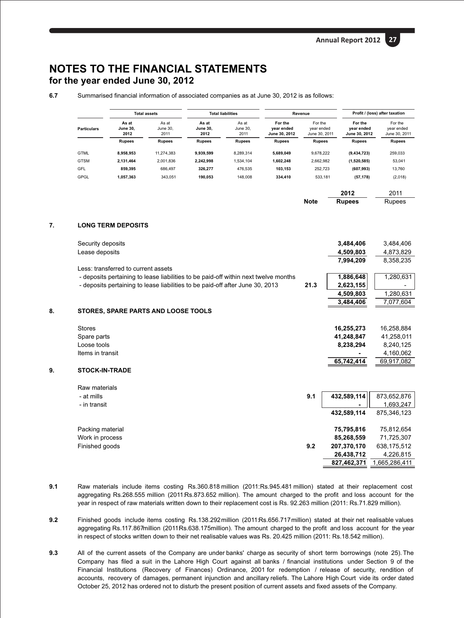**827,462,371**

1,665,286,411

## **NOTES TO THE FINANCIAL STATEMENTS for the year ended June 30, 2012**

**6.7** Summarised financial information of associated companies as at June 30, 2012 is as follows:

|                    |                                  | <b>Total assets</b>       |                                  | <b>Total liabilities</b>  | Revenue                                |                                        |                                        | Profit / (loss) after taxation         |
|--------------------|----------------------------------|---------------------------|----------------------------------|---------------------------|----------------------------------------|----------------------------------------|----------------------------------------|----------------------------------------|
| <b>Particulars</b> | As at<br><b>June 30.</b><br>2012 | As at<br>June 30.<br>2011 | As at<br><b>June 30.</b><br>2012 | As at<br>June 30.<br>2011 | For the<br>vear ended<br>June 30, 2012 | For the<br>vear ended<br>June 30, 2011 | For the<br>vear ended<br>June 30, 2012 | For the<br>vear ended<br>June 30, 2011 |
|                    | <b>Rupees</b>                    | <b>Rupees</b>             | <b>Rupees</b>                    | <b>Rupees</b>             | <b>Rupees</b>                          | <b>Rupees</b>                          | <b>Rupees</b>                          | <b>Rupees</b>                          |
| <b>GTML</b>        | 8.958.953                        | 11.274.383                | 9.939.599                        | 8.289.314                 | 5.689.049                              | 9.678.222                              | (9, 434, 723)                          | 259,033                                |
| <b>GTSM</b>        | 2.131.464                        | 2.001.836                 | 2.242.998                        | 1.534.104                 | 1.602.248                              | 2.662.982                              | (1,520,585)                            | 53.041                                 |
| GFL                | 859.395                          | 686.497                   | 326.277                          | 476.535                   | 103.153                                | 252.723                                | (607, 993)                             | 13.760                                 |
| GPGL               | 1.057.363                        | 343.051                   | 190.053                          | 148.008                   | 334.410                                | 533.181                                | (57, 178)                              | (2,018)                                |
|                    |                                  |                           |                                  |                           |                                        |                                        |                                        |                                        |

|             | 2012          | 2011   |
|-------------|---------------|--------|
| <b>Note</b> | <b>Rupees</b> | Rupees |

## **7. LONG TERM DEPOSITS**

|    | Security deposits                                                                   |      | 3,484,406   | 3,484,406   |
|----|-------------------------------------------------------------------------------------|------|-------------|-------------|
|    | Lease deposits                                                                      |      | 4,509,803   | 4,873,829   |
|    |                                                                                     |      | 7,994,209   | 8,358,235   |
|    | Less: transferred to current assets                                                 |      |             |             |
|    | - deposits pertaining to lease liabilities to be paid-off within next twelve months |      | 1,886,648   | 1,280,631   |
|    | - deposits pertaining to lease liabilities to be paid-off after June 30, 2013       | 21.3 | 2,623,155   |             |
|    |                                                                                     |      | 4,509,803   | 1,280,631   |
|    |                                                                                     |      | 3,484,406   | 7,077,604   |
| 8. | STORES, SPARE PARTS AND LOOSE TOOLS                                                 |      |             |             |
|    |                                                                                     |      |             |             |
|    | <b>Stores</b>                                                                       |      | 16,255,273  | 16,258,884  |
|    | Spare parts                                                                         |      | 41,248,847  | 41,258,011  |
|    | Loose tools                                                                         |      | 8,238,294   | 8,240,125   |
|    | Items in transit                                                                    |      |             | 4,160,062   |
|    |                                                                                     |      | 65,742,414  | 69,917,082  |
| 9. | <b>STOCK-IN-TRADE</b>                                                               |      |             |             |
|    | Raw materials                                                                       |      |             |             |
|    | - at mills                                                                          | 9.1  | 432,589,114 | 873,652,876 |
|    | - in transit                                                                        |      |             | 1,693,247   |
|    |                                                                                     |      | 432,589,114 | 875,346,123 |
|    |                                                                                     |      |             |             |
|    | Packing material                                                                    |      | 75,795,816  | 75,812,654  |
|    | Work in process                                                                     |      | 85,268,559  | 71,725,307  |
|    | Finished goods                                                                      | 9.2  | 207,370,170 | 638,175,512 |
|    |                                                                                     |      | 26,438,712  | 4,226,815   |

- **9.1** Raw materials include items costing Rs.360.818 million (2011:Rs.945.481 million) stated at their replacement cost aggregating Rs.268.555 million (2011:Rs.873.652 million). The amount charged to the profit and loss account for the year in respect of raw materials written down to their replacement cost is Rs. 92.263 million (2011: Rs.71.829 million).
- **9.2** Finished goods include items costing Rs.138.292 million (2011:Rs.656.717 million) stated at their net realisable values aggregating Rs.117.867million (2011Rs.638.175million). The amount charged to the profit and loss account for the year in respect of stocks written down to their net realisable values was Rs. 20.425 million (2011: Rs.18.542 million).
- **9.3** All of the current assets of the Company are under banks' charge as security of short term borrowings (note 25). The Company has filed a suit in the Lahore High Court against all banks / financial institutions under Section 9 of the Financial Institutions (Recovery of Finances) Ordinance, 2001 for redemption / release of security, rendition of accounts, recovery of damages, permanent injunction and ancillary reliefs. The Lahore High Court vide its order dated October 25, 2012 has ordered not to disturb the present position of current assets and fixed assets of the Company.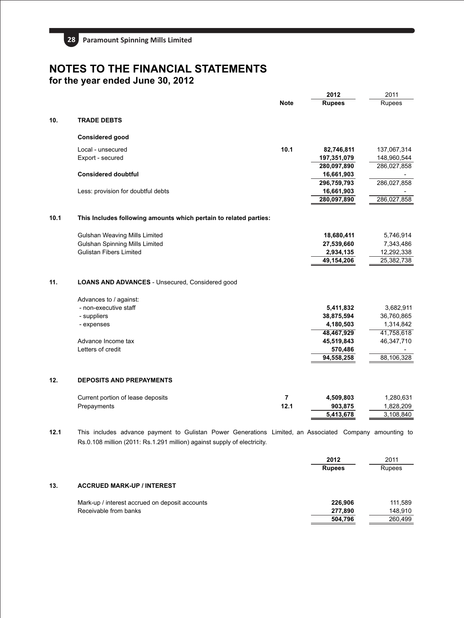

|      |                                                                                                                                                                                     |                | 2012          | 2011        |
|------|-------------------------------------------------------------------------------------------------------------------------------------------------------------------------------------|----------------|---------------|-------------|
|      |                                                                                                                                                                                     | <b>Note</b>    | <b>Rupees</b> | Rupees      |
| 10.  | <b>TRADE DEBTS</b>                                                                                                                                                                  |                |               |             |
|      | <b>Considered good</b>                                                                                                                                                              |                |               |             |
|      | Local - unsecured                                                                                                                                                                   | 10.1           | 82,746,811    | 137,067,314 |
|      | Export - secured                                                                                                                                                                    |                | 197,351,079   | 148,960,544 |
|      |                                                                                                                                                                                     |                | 280,097,890   | 286,027,858 |
|      | <b>Considered doubtful</b>                                                                                                                                                          |                | 16,661,903    |             |
|      |                                                                                                                                                                                     |                | 296,759,793   | 286,027,858 |
|      | Less: provision for doubtful debts                                                                                                                                                  |                | 16,661,903    |             |
|      |                                                                                                                                                                                     |                | 280,097,890   | 286,027,858 |
| 10.1 | This Includes following amounts which pertain to related parties:                                                                                                                   |                |               |             |
|      | Gulshan Weaving Mills Limited                                                                                                                                                       |                | 18,680,411    | 5,746,914   |
|      | <b>Gulshan Spinning Mills Limited</b>                                                                                                                                               |                | 27,539,660    | 7,343,486   |
|      | <b>Gulistan Fibers Limited</b>                                                                                                                                                      |                | 2,934,135     | 12,292,338  |
|      |                                                                                                                                                                                     |                | 49,154,206    | 25,382,738  |
| 11.  | <b>LOANS AND ADVANCES</b> - Unsecured, Considered good                                                                                                                              |                |               |             |
|      | Advances to / against:                                                                                                                                                              |                |               |             |
|      | - non-executive staff                                                                                                                                                               |                | 5,411,832     | 3,682,911   |
|      | - suppliers                                                                                                                                                                         |                | 38,875,594    | 36,760,865  |
|      | - expenses                                                                                                                                                                          |                | 4,180,503     | 1,314,842   |
|      |                                                                                                                                                                                     |                | 48,467,929    | 41,758,618  |
|      | Advance Income tax                                                                                                                                                                  |                | 45,519,843    | 46,347,710  |
|      | Letters of credit                                                                                                                                                                   |                | 570,486       |             |
|      |                                                                                                                                                                                     |                | 94,558,258    | 88,106,328  |
| 12.  | <b>DEPOSITS AND PREPAYMENTS</b>                                                                                                                                                     |                |               |             |
|      | Current portion of lease deposits                                                                                                                                                   | $\overline{7}$ | 4,509,803     | 1,280,631   |
|      | Prepayments                                                                                                                                                                         | 12.1           | 903,875       | 1,828,209   |
|      |                                                                                                                                                                                     |                | 5,413,678     | 3,108,840   |
| 12.1 | This includes advance payment to Gulistan Power Generations Limited, an Associated Company amounting to<br>Rs.0.108 million (2011: Rs.1.291 million) against supply of electricity. |                |               |             |

|     |                                                | 2012          | 2011    |
|-----|------------------------------------------------|---------------|---------|
|     |                                                | <b>Rupees</b> | Rupees  |
| 13. | <b>ACCRUED MARK-UP / INTEREST</b>              |               |         |
|     | Mark-up / interest accrued on deposit accounts | 226.906       | 111.589 |
|     | Receivable from banks                          | 277.890       | 148.910 |
|     |                                                | 504,796       | 260.499 |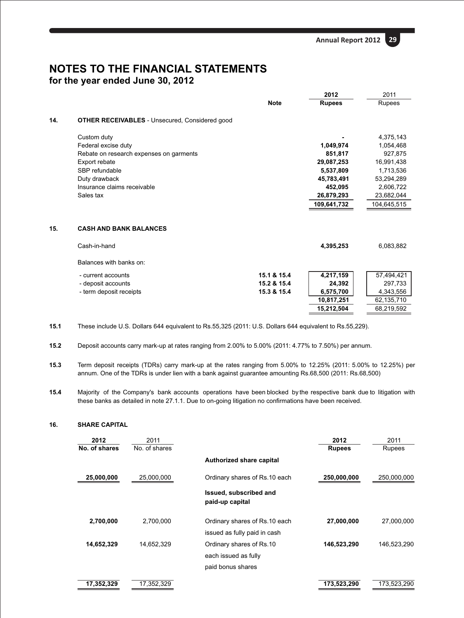|     |                                                       |             | 2012          |             |
|-----|-------------------------------------------------------|-------------|---------------|-------------|
|     |                                                       | <b>Note</b> | <b>Rupees</b> | Rupees      |
| 14. | <b>OTHER RECEIVABLES</b> - Unsecured, Considered good |             |               |             |
|     | Custom duty                                           |             |               | 4,375,143   |
|     | Federal excise duty                                   |             | 1,049,974     | 1,054,468   |
|     | Rebate on research expenses on garments               |             | 851,817       | 927,875     |
|     | Export rebate                                         |             | 29,087,253    | 16,991,438  |
|     | SBP refundable                                        |             | 5,537,809     | 1,713,536   |
|     | Duty drawback                                         |             | 45,783,491    | 53,294,289  |
|     | Insurance claims receivable                           |             | 452,095       | 2,606,722   |
|     | Sales tax                                             |             | 26,879,293    | 23,682,044  |
|     |                                                       |             | 109,641,732   | 104,645,515 |
| 15. | <b>CASH AND BANK BALANCES</b>                         |             |               |             |
|     | Cash-in-hand                                          |             | 4,395,253     | 6,083,882   |
|     | Balances with banks on:                               |             |               |             |
|     | - current accounts                                    | 15.1 & 15.4 | 4,217,159     | 57,494,421  |
|     | - deposit accounts                                    | 15.2 & 15.4 | 24,392        | 297,733     |
|     | - term deposit receipts                               | 15.3 & 15.4 | 6,575,700     | 4,343,556   |
|     |                                                       |             | 10,817,251    | 62,135,710  |
|     |                                                       |             | 15,212,504    | 68,219,592  |

**15.1** These include U.S. Dollars 644 equivalent to Rs.55,325 (2011: U.S. Dollars 644 equivalent to Rs.55,229).

**15.2** Deposit accounts carry mark-up at rates ranging from 2.00% to 5.00% (2011: 4.77% to 7.50%) per annum.

- **15.3** Term deposit receipts (TDRs) carry mark-up at the rates ranging from 5.00% to 12.25% (2011: 5.00% to 12.25%) per annum. One of the TDRs is under lien with a bank against guarantee amounting Rs.68,500 (2011: Rs.68,500)
- **15.4** Majority of the Company's bank accounts operations have been blocked by the respective bank due to litigation with these banks as detailed in note 27.1.1. Due to on-going litigation no confirmations have been received.

## **16. SHARE CAPITAL**

| 2012          | 2011          |                                           | 2012          | 2011          |
|---------------|---------------|-------------------------------------------|---------------|---------------|
| No. of shares | No. of shares |                                           | <b>Rupees</b> | <b>Rupees</b> |
|               |               | Authorized share capital                  |               |               |
| 25,000,000    | 25,000,000    | Ordinary shares of Rs.10 each             | 250,000,000   | 250,000,000   |
|               |               | Issued, subscribed and<br>paid-up capital |               |               |
| 2,700,000     | 2,700,000     | Ordinary shares of Rs.10 each             | 27,000,000    | 27,000,000    |
|               |               | issued as fully paid in cash              |               |               |
| 14,652,329    | 14,652,329    | Ordinary shares of Rs.10                  | 146,523,290   | 146,523,290   |
|               |               | each issued as fully                      |               |               |
|               |               | paid bonus shares                         |               |               |
| 17,352,329    | 17,352,329    |                                           | 173,523,290   | 173,523,290   |
|               |               |                                           |               |               |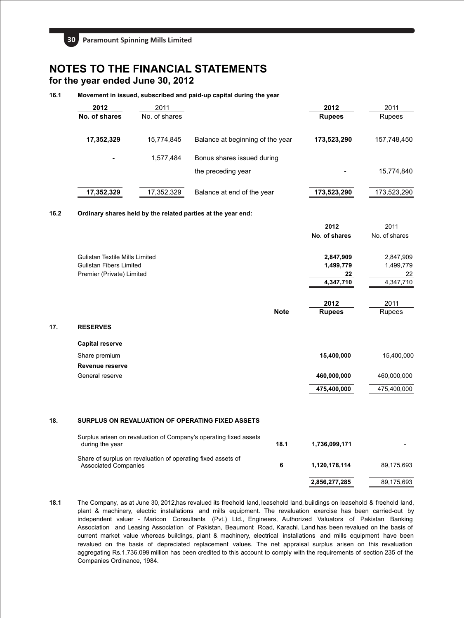**30 Paramount Spinning Mills Limited** 

## **NOTES TO THE FINANCIAL STATEMENTS for the year ended June 30, 2012**

## **16.1 Movement in issued, subscribed and paid-up capital during the year**

| 2012<br>No. of shares | 2011<br>No. of shares |                                                  | 2012<br><b>Rupees</b> | 2011<br>Rupees |
|-----------------------|-----------------------|--------------------------------------------------|-----------------------|----------------|
| 17,352,329            | 15,774,845            | Balance at beginning of the year                 | 173,523,290           | 157,748,450    |
| ۰                     | 1.577.484             | Bonus shares issued during<br>the preceding year |                       | 15,774,840     |
| 17,352,329            | 17,352,329            | Balance at end of the year                       | 173,523,290           | 173,523,290    |

**2012**

 $2011$ 

## **16.2 Ordinary shares held by the related parties at the year end:**

|                                       |             | 2012          | 2011          |
|---------------------------------------|-------------|---------------|---------------|
|                                       |             | No. of shares | No. of shares |
| <b>Gulistan Textile Mills Limited</b> |             | 2,847,909     | 2,847,909     |
| <b>Gulistan Fibers Limited</b>        |             | 1,499,779     | 1,499,779     |
| Premier (Private) Limited             |             | 22            | 22            |
|                                       |             | 4,347,710     | 4,347,710     |
|                                       |             | 2012          | 2011          |
|                                       | <b>Note</b> | <b>Rupees</b> | Rupees        |
| <b>RESERVES</b>                       |             |               |               |
| <b>Capital reserve</b>                |             |               |               |
| Share premium                         |             | 15,400,000    | 15,400,000    |
| Revenue reserve                       |             |               |               |
| General reserve                       |             | 460,000,000   | 460,000,000   |
|                                       |             | 475,400,000   | 475,400,000   |

#### **18. SURPLUS ON REVALUATION OF OPERATING FIXED ASSETS**

**17. RESERVES** 

| Surplus arisen on revaluation of Company's operating fixed assets<br>during the year        | 18.1 | 1,736,099,171 |            |
|---------------------------------------------------------------------------------------------|------|---------------|------------|
| Share of surplus on revaluation of operating fixed assets of<br><b>Associated Companies</b> | 6    | 1.120.178.114 | 89.175.693 |
|                                                                                             |      | 2,856,277,285 | 89,175,693 |

**18.1** The Company, as at June 30, 2012,has revalued its freehold land, leasehold land, buildings on leasehold & freehold land, plant & machinery, electric installations and mills equipment. The revaluation exercise has been carried-out by independent valuer - Maricon Consultants (Pvt.) Ltd., Engineers, Authorized Valuators of Pakistan Banking Association and Leasing Association of Pakistan, Beaumont Road, Karachi. Land has been revalued on the basis of current market value whereas buildings, plant & machinery, electrical installations and mills equipment have been revalued on the basis of depreciated replacement values. The net appraisal surplus arisen on this revaluation aggregating Rs.1,736.099 million has been credited to this account to comply with the requirements of section 235 of the Companies Ordinance, 1984.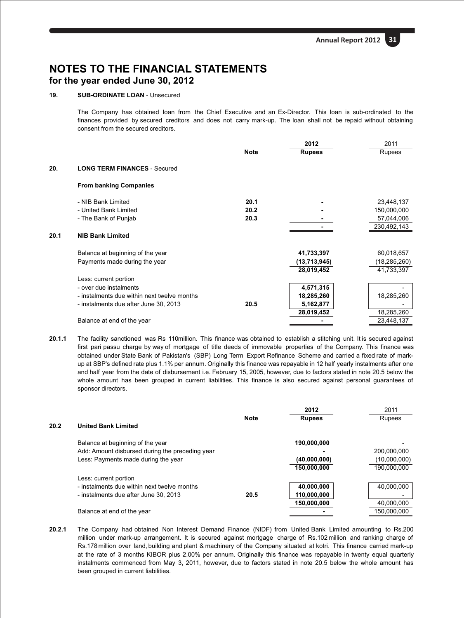## **19. SUB-ORDINATE LOAN** - Unsecured

The Company has obtained loan from the Chief Executive and an Ex-Director. This loan is sub-ordinated to the finances provided by secured creditors and does not carry mark-up. The loan shall not be repaid without obtaining consent from the secured creditors.

|      |                                             |             | 2012          | 2011         |
|------|---------------------------------------------|-------------|---------------|--------------|
|      |                                             | <b>Note</b> | <b>Rupees</b> | Rupees       |
| 20.  | <b>LONG TERM FINANCES - Secured</b>         |             |               |              |
|      | <b>From banking Companies</b>               |             |               |              |
|      | - NIB Bank Limited                          | 20.1        |               | 23,448,137   |
|      | - United Bank Limited                       | 20.2        |               | 150,000,000  |
|      | - The Bank of Punjab                        | 20.3        |               | 57,044,006   |
|      |                                             |             |               | 230,492,143  |
| 20.1 | <b>NIB Bank Limited</b>                     |             |               |              |
|      | Balance at beginning of the year            |             | 41,733,397    | 60,018,657   |
|      | Payments made during the year               |             | (13,713,945)  | (18,285,260) |
|      |                                             |             | 28,019,452    | 41,733,397   |
|      | Less: current portion                       |             |               |              |
|      | - over due instalments                      |             | 4,571,315     |              |
|      | - instalments due within next twelve months |             | 18,285,260    | 18,285,260   |
|      | - instalments due after June 30, 2013       | 20.5        | 5,162,877     |              |
|      |                                             |             | 28,019,452    | 18,285,260   |
|      | Balance at end of the year                  |             |               | 23,448,137   |
|      |                                             |             |               |              |

**20.1.1** The facility sanctioned was Rs 110million. This finance was obtained to establish a stitching unit. It is secured against first pari passu charge by way of mortgage of title deeds of immovable properties of the Company. This finance was obtained under State Bank of Pakistan's (SBP) Long Term Export Refinance Scheme and carried a fixed rate of markup at SBP's defined rate plus 1.1% per annum. Originally this finance was repayable in 12 half yearly instalments after one and half year from the date of disbursement i.e. February 15, 2005, however, due to factors stated in note 20.5 below the whole amount has been grouped in current liabilities. This finance is also secured against personal guarantees of sponsor directors.

|      |                                                 |             | 2012          | 2011         |
|------|-------------------------------------------------|-------------|---------------|--------------|
|      |                                                 | <b>Note</b> | <b>Rupees</b> | Rupees       |
| 20.2 | <b>United Bank Limited</b>                      |             |               |              |
|      | Balance at beginning of the year                |             | 190.000.000   |              |
|      | Add: Amount disbursed during the preceding year |             |               | 200,000,000  |
|      | Less: Payments made during the year             |             | (40,000,000)  | (10,000,000) |
|      |                                                 |             | 150,000,000   | 190.000.000  |
|      | Less: current portion                           |             |               |              |
|      | - instalments due within next twelve months     |             | 40,000,000    | 40.000.000   |
|      | - instalments due after June 30, 2013           | 20.5        | 110,000,000   |              |
|      |                                                 |             | 150,000,000   | 40,000,000   |
|      | Balance at end of the year                      |             |               | 150.000.000  |

**20.2.1** The Company had obtained Non Interest Demand Finance (NIDF) from United Bank Limited amounting to Rs.200 million under mark-up arrangement. It is secured against mortgage charge of Rs.102 million and ranking charge of Rs.178 million over land, building and plant & machinery of the Company situated at kotri. This finance carried mark-up at the rate of 3 months KIBOR plus 2.00% per annum. Originally this finance was repayable in twenty equal quarterly instalments commenced from May 3, 2011, however, due to factors stated in note 20.5 below the whole amount has been grouped in current liabilities.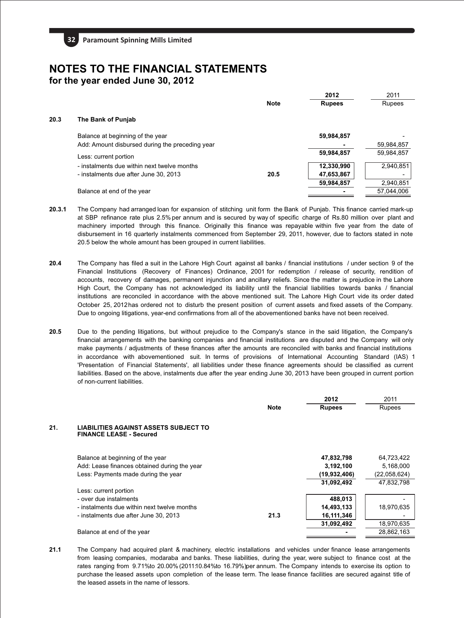|      |                                                 |             | 2012          | 2011       |
|------|-------------------------------------------------|-------------|---------------|------------|
|      |                                                 | <b>Note</b> | <b>Rupees</b> | Rupees     |
| 20.3 | The Bank of Punjab                              |             |               |            |
|      | Balance at beginning of the year                |             | 59,984,857    |            |
|      | Add: Amount disbursed during the preceding year |             |               | 59,984,857 |
|      | Less: current portion                           |             | 59,984,857    | 59,984,857 |
|      | - instalments due within next twelve months     |             | 12,330,990    | 2,940,851  |
|      | - instalments due after June 30, 2013           | 20.5        | 47,653,867    |            |
|      |                                                 |             | 59,984,857    | 2,940,851  |
|      | Balance at end of the year                      |             |               | 57,044,006 |
|      |                                                 |             |               |            |

- **20.3.1** The Company had arranged loan for expansion of stitching unit form the Bank of Punjab. This finance carried mark-up at SBP refinance rate plus 2.5% per annum and is secured by way of specific charge of Rs.80 million over plant and machinery imported through this finance. Originally this finance was repayable within five year from the date of disbursement in 16 quarterly instalments commenced from September 29, 2011, however, due to factors stated in note 20.5 below the whole amount has been grouped in current liabilities.
- **20.4** The Company has filed a suit in the Lahore High Court against all banks / financial institutions / under section 9 of the Financial Institutions (Recovery of Finances) Ordinance, 2001 for redemption / release of security, rendition of accounts, recovery of damages, permanent injunction and ancillary reliefs. Since the matter is prejudice in the Lahore High Court, the Company has not acknowledged its liability until the financial liabilities towards banks / financial institutions are reconciled in accordance with the above mentioned suit. The Lahore High Court vide its order dated October 25, 2012has ordered not to disturb the present position of current assets and fixed assets of the Company. Due to ongoing litigations, year-end confirmations from all of the abovementioned banks have not been received.
- **20.5** Due to the pending litigations, but without prejudice to the Company's stance in the said litigation, the Company's financial arrangements with the banking companies and financial institutions are disputed and the Company will only make payments / adjustments of these finances after the amounts are reconciled with banks and financial institutions in accordance with abovementioned suit. In terms of provisions of International Accounting Standard (IAS) 1 'Presentation of Financial Statements', all liabilities under these finance agreements should be classified as current liabilities. Based on the above, instalments due after the year ending June 30, 2013 have been grouped in current portion of non-current liabilities.

|     |                                                                                |             | 2012          | 2011         |
|-----|--------------------------------------------------------------------------------|-------------|---------------|--------------|
|     |                                                                                | <b>Note</b> | <b>Rupees</b> | Rupees       |
| 21. | <b>LIABILITIES AGAINST ASSETS SUBJECT TO</b><br><b>FINANCE LEASE - Secured</b> |             |               |              |
|     | Balance at beginning of the year                                               |             | 47,832,798    | 64,723,422   |
|     | Add: Lease finances obtained during the year                                   |             | 3,192,100     | 5,168,000    |
|     | Less: Payments made during the year                                            |             | (19,932,406)  | (22,058,624) |
|     |                                                                                |             | 31,092,492    | 47,832,798   |
|     | Less: current portion                                                          |             |               |              |
|     | - over due instalments                                                         |             | 488,013       |              |
|     | - instalments due within next twelve months                                    |             | 14,493,133    | 18,970,635   |
|     | - instalments due after June 30, 2013                                          | 21.3        | 16,111,346    |              |
|     |                                                                                |             | 31,092,492    | 18,970,635   |
|     | Balance at end of the year                                                     |             |               | 28,862,163   |
|     |                                                                                |             |               |              |

**21.1** The Company had acquired plant & machinery, electric installations and vehicles under finance lease arrangements from leasing companies, modaraba and banks. These liabilities, during the year, were subject to finance cost at the rates ranging from 9.71%to 20.00% (2011:10.84%to 16.79%)per annum. The Company intends to exercise its option to purchase the leased assets upon completion of the lease term. The lease finance facilities are secured against title of the leased assets in the name of lessors.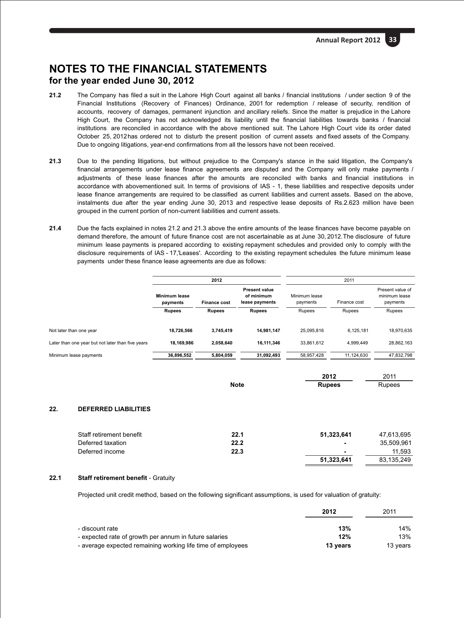- **21.2** The Company has filed a suit in the Lahore High Court against all banks / financial institutions / under section 9 of the Financial Institutions (Recovery of Finances) Ordinance, 2001 for redemption / release of security, rendition of accounts, recovery of damages, permanent injunction and ancillary reliefs. Since the matter is prejudice in the Lahore High Court, the Company has not acknowledged its liability until the financial liabilities towards banks / financial institutions are reconciled in accordance with the above mentioned suit. The Lahore High Court vide its order dated October 25, 2012has ordered not to disturb the present position of current assets and fixed assets of the Company. Due to ongoing litigations, year-end confirmations from all the lessors have not been received.
- Due to the pending litigations, but without prejudice to the Company's stance in the said litigation, the Company's financial arrangements under lease finance agreements are disputed and the Company will only make payments / adjustments of these lease finances after the amounts are reconciled with banks and financial institutions in accordance with abovementioned suit. In terms of provisions of IAS - 1, these liabilities and respective deposits under lease finance arrangements are required to be classified as current liabilities and current assets. Based on the above, instalments due after the year ending June 30, 2013 and respective lease deposits of Rs.2.623 million have been grouped in the current portion of non-current liabilities and current assets. **21.3**
- **21.4** Due the facts explained in notes 21.2 and 21.3 above the entire amounts of the lease finances have become payable on demand therefore, the amount of future finance cost are not ascertainable as at June 30, 2012.The disclosure of future minimum lease payments is prepared according to existing repayment schedules and provided only to comply with the disclosure requirements of IAS - 17,'Leases'. According to the existing repayment schedules the future minimum lease payments under these finance lease agreements are due as follows:

|                                                   |                           | 2012                |                                                      |                           | 2011         |                                               |
|---------------------------------------------------|---------------------------|---------------------|------------------------------------------------------|---------------------------|--------------|-----------------------------------------------|
|                                                   | Minimum lease<br>payments | <b>Finance cost</b> | <b>Present value</b><br>of minimum<br>lease payments | Minimum lease<br>payments | Finance cost | Present value of<br>minimum lease<br>payments |
|                                                   | <b>Rupees</b>             | <b>Rupees</b>       | <b>Rupees</b>                                        | Rupees                    | Rupees       | Rupees                                        |
|                                                   |                           |                     |                                                      |                           |              |                                               |
| Not later than one year                           | 18.726.566                | 3.745.419           | 14.981.147                                           | 25.095.816                | 6.125.181    | 18,970,635                                    |
| Later than one year but not later than five years | 18.169.986                | 2.058.640           | 16.111.346                                           | 33.861.612                | 4.999.449    | 28,862,163                                    |
| Minimum lease payments                            | 36,896,552                | 5,804,059           | 31,092,493                                           | 58,957,428                | 11,124,630   | 47,832,798                                    |
|                                                   |                           |                     |                                                      |                           |              |                                               |

|             | 2012          | 2011   |
|-------------|---------------|--------|
| <b>Note</b> | <b>Rupees</b> | Rupees |

## **22. DEFERRED LIABILITIES**

| Staff retirement benefit | 22.1 | 51.323.641     | 47.613.695 |
|--------------------------|------|----------------|------------|
| Deferred taxation        | 22.2 | $\blacksquare$ | 35.509.961 |
| Deferred income          | 22.3 | $\blacksquare$ | 11.593     |
|                          |      | 51.323.641     | 83.135.249 |

## **22.1 Staff retirement benefit** - Gratuity

Projected unit credit method, based on the following significant assumptions, is used for valuation of gratuity:

|                                                             | 2012     | 2011     |
|-------------------------------------------------------------|----------|----------|
| - discount rate                                             | 13%      | 14%      |
| - expected rate of growth per annum in future salaries      | 12%      | 13%      |
| - average expected remaining working life time of employees | 13 years | 13 years |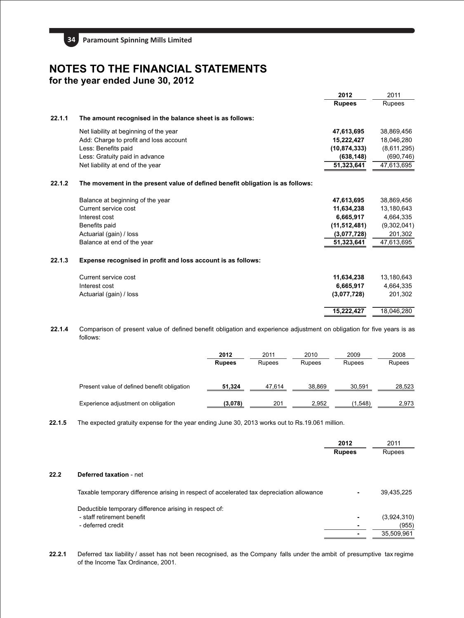

|                                                                                | 2012           | 2011          |
|--------------------------------------------------------------------------------|----------------|---------------|
|                                                                                | <b>Rupees</b>  | <b>Rupees</b> |
| The amount recognised in the balance sheet is as follows:                      |                |               |
| Net liability at beginning of the year                                         | 47,613,695     | 38,869,456    |
| Add: Charge to profit and loss account                                         | 15,222,427     | 18,046,280    |
| Less: Benefits paid                                                            | (10, 874, 333) | (8,611,295)   |
| Less: Gratuity paid in advance                                                 | (638, 148)     | (690, 746)    |
| Net liability at end of the year                                               | 51,323,641     | 47,613,695    |
| The movement in the present value of defined benefit obligation is as follows: |                |               |
| Balance at beginning of the year                                               | 47,613,695     | 38,869,456    |
| Current service cost                                                           | 11,634,238     | 13,180,643    |
| Interest cost                                                                  | 6,665,917      | 4,664,335     |
| Benefits paid                                                                  | (11, 512, 481) | (9,302,041)   |
| Actuarial (gain) / loss                                                        | (3,077,728)    | 201,302       |
| Balance at end of the year                                                     | 51,323,641     | 47,613,695    |
| Expense recognised in profit and loss account is as follows:                   |                |               |
| Current service cost                                                           | 11,634,238     | 13,180,643    |
| Interest cost                                                                  | 6,665,917      | 4,664,335     |
| Actuarial (gain) / loss                                                        | (3,077,728)    | 201,302       |
|                                                                                | 15,222,427     | 18,046,280    |
|                                                                                |                |               |

**22.1.4** Comparison of present value of defined benefit obligation and experience adjustment on obligation for five years is as follows:

|                                             | 2012<br><b>Rupees</b> | 2011<br>Rupees | 2010<br>Rupees | 2009<br>Rupees | 2008<br>Rupees |
|---------------------------------------------|-----------------------|----------------|----------------|----------------|----------------|
| Present value of defined benefit obligation | 51.324                | 47.614         | 38.869         | 30.591         | 28.523         |
| Experience adjustment on obligation         | (3,078)               | 201            | 2.952          | (1.548)        | 2.973          |

**22.1.5** The expected gratuity expense for the year ending June 30, 2013 works out to Rs.19.061 million.

|      |                                                                                           | 2012          | 2011          |
|------|-------------------------------------------------------------------------------------------|---------------|---------------|
|      |                                                                                           | <b>Rupees</b> | <b>Rupees</b> |
| 22.2 | <b>Deferred taxation - net</b>                                                            |               |               |
|      | Taxable temporary difference arising in respect of accelerated tax depreciation allowance |               | 39,435,225    |
|      | Deductible temporary difference arising in respect of:                                    |               |               |
|      | - staff retirement benefit                                                                |               | (3,924,310)   |
|      | - deferred credit                                                                         |               | (955)         |
|      |                                                                                           |               | 35,509,961    |

**22.2.1** Deferred tax liability / asset has not been recognised, as the Company falls under the ambit of presumptive tax regime of the Income Tax Ordinance, 2001.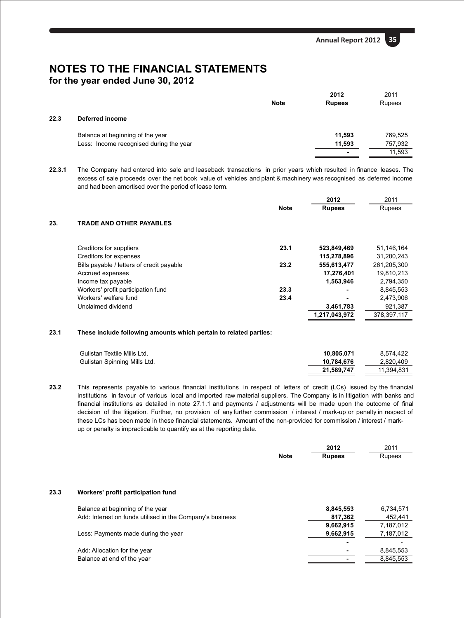|      |                                         |             | 2012          | 2011    |  |
|------|-----------------------------------------|-------------|---------------|---------|--|
|      |                                         | <b>Note</b> | <b>Rupees</b> | Rupees  |  |
| 22.3 | Deferred income                         |             |               |         |  |
|      | Balance at beginning of the year        |             | 11.593        | 769,525 |  |
|      | Less: Income recognised during the year |             | 11,593        | 757,932 |  |
|      |                                         |             | ۰             | 11,593  |  |
|      |                                         |             |               |         |  |

**22.3.1** The Company had entered into sale and leaseback transactions in prior years which resulted in finance leases. The excess of sale proceeds over the net book value of vehicles and plant & machinery was recognised as deferred income and had been amortised over the period of lease term.

|     |                                           |             | 2012          | 2011        |
|-----|-------------------------------------------|-------------|---------------|-------------|
|     |                                           | <b>Note</b> | <b>Rupees</b> | Rupees      |
| 23. | TRADE AND OTHER PAYABLES                  |             |               |             |
|     | Creditors for suppliers                   | 23.1        | 523,849,469   | 51,146,164  |
|     | Creditors for expenses                    |             | 115,278,896   | 31,200,243  |
|     | Bills payable / letters of credit payable | 23.2        | 555,613,477   | 261,205,300 |
|     | Accrued expenses                          |             | 17,276,401    | 19,810,213  |
|     | Income tax payable                        |             | 1,563,946     | 2,794,350   |
|     | Workers' profit participation fund        | 23.3        |               | 8.845.553   |
|     | Workers' welfare fund                     | 23.4        |               | 2,473,906   |
|     | Unclaimed dividend                        |             | 3,461,783     | 921,387     |
|     |                                           |             | 1,217,043,972 | 378,397,117 |
|     |                                           |             |               |             |

## **23.1 These include following amounts which pertain to related parties:**

| Gulistan Textile Mills Ltd.  | 10.805.071 | 8.574.422  |
|------------------------------|------------|------------|
| Gulistan Spinning Mills Ltd. | 10.784.676 | 2.820.409  |
|                              | 21.589.747 | 11.394.831 |

**23.2** This represents payable to various financial institutions in respect of letters of credit (LCs) issued by the financial institutions in favour of various local and imported raw material suppliers. The Company is in litigation with banks and financial institutions as detailed in note 27.1.1 and payments / adjustments will be made upon the outcome of final decision of the litigation. Further, no provision of any further commission / interest / mark-up or penalty in respect of these LCs has been made in these financial statements. Amount of the non-provided for commission / interest / markup or penalty is impracticable to quantify as at the reporting date.

|      |                                                           |             | 2012          | 2011      |
|------|-----------------------------------------------------------|-------------|---------------|-----------|
|      |                                                           | <b>Note</b> | <b>Rupees</b> | Rupees    |
| 23.3 | Workers' profit participation fund                        |             |               |           |
|      | Balance at beginning of the year                          |             | 8,845,553     | 6,734,571 |
|      | Add: Interest on funds utilised in the Company's business |             | 817,362       | 452,441   |
|      |                                                           |             | 9,662,915     | 7,187,012 |
|      | Less: Payments made during the year                       |             | 9,662,915     | 7,187,012 |
|      |                                                           |             | -             |           |
|      | Add: Allocation for the year                              |             |               | 8,845,553 |
|      | Balance at end of the year                                |             |               | 8,845,553 |
|      |                                                           |             |               |           |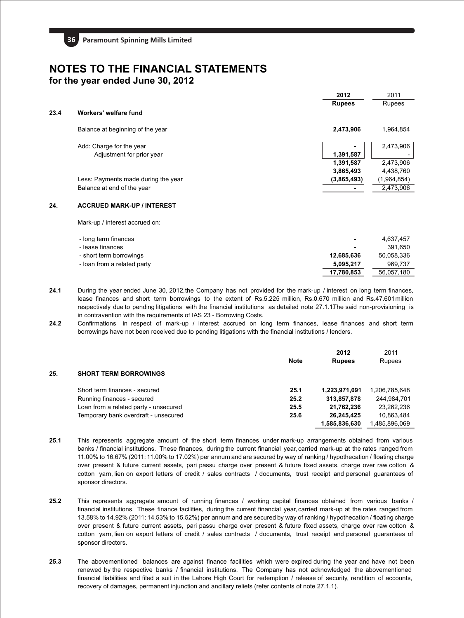|      |                                     | 2012          | 2011          |
|------|-------------------------------------|---------------|---------------|
|      |                                     | <b>Rupees</b> | <b>Rupees</b> |
| 23.4 | Workers' welfare fund               |               |               |
|      | Balance at beginning of the year    | 2,473,906     | 1,964,854     |
|      | Add: Charge for the year            |               | 2,473,906     |
|      | Adjustment for prior year           | 1,391,587     |               |
|      |                                     | 1,391,587     | 2,473,906     |
|      |                                     | 3,865,493     | 4,438,760     |
|      | Less: Payments made during the year | (3,865,493)   | (1,964,854)   |
|      | Balance at end of the year          |               | 2,473,906     |
|      |                                     |               |               |
| 24.  | <b>ACCRUED MARK-UP / INTEREST</b>   |               |               |
|      |                                     |               |               |

Mark-up / interest accrued on:

| - long term finances        | $\blacksquare$ | 4.637.457  |
|-----------------------------|----------------|------------|
| - lease finances            | $\blacksquare$ | 391.650    |
| - short term borrowings     | 12.685.636     | 50,058,336 |
| - loan from a related party | 5.095.217      | 969.737    |
|                             | 17,780,853     | 56.057.180 |

- **24.1** During the year ended June 30, 2012, the Company has not provided for the mark-up / interest on long term finances, lease finances and short term borrowings to the extent of Rs.5.225 million, Rs.0.670 million and Rs.47.601million respectively due to pending litigations with the financial institutions as detailed note 27.1.1.The said non-provisioning is in contravention with the requirements of IAS 23 - Borrowing Costs.
- **24.2** Confirmations in respect of mark-up / interest accrued on long term finances, lease finances and short term borrowings have not been received due to pending litigations with the financial institutions / lenders.

|     |                                       |             | 2012          | 2011          |
|-----|---------------------------------------|-------------|---------------|---------------|
|     |                                       | <b>Note</b> | <b>Rupees</b> | <b>Rupees</b> |
| 25. | <b>SHORT TERM BORROWINGS</b>          |             |               |               |
|     | Short term finances - secured         | 25.1        | 1,223,971,091 | 1,206,785,648 |
|     | Running finances - secured            | 25.2        | 313,857,878   | 244,984,701   |
|     | Loan from a related party - unsecured | 25.5        | 21,762,236    | 23,262,236    |
|     | Temporary bank overdraft - unsecured  | 25.6        | 26.245.425    | 10,863,484    |
|     |                                       |             | 1.585.836.630 | 1.485.896.069 |

- **25.1** This represents aggregate amount of the short term finances under mark-up arrangements obtained from various banks / financial institutions. These finances, during the current financial year, carried mark-up at the rates ranged from 11.00% to 16.67% (2011: 11.00% to 17.02%) per annum and are secured by way of ranking / hypothecation / floating charge over present & future current assets, pari passu charge over present & future fixed assets, charge over raw cotton & cotton yarn, lien on export letters of credit / sales contracts / documents, trust receipt and personal guarantees of sponsor directors.
- **25.2** This represents aggregate amount of running finances / working capital finances obtained from various banks / financial institutions. These finance facilities, during the current financial year, carried mark-up at the rates ranged from 13.58% to 14.92% (2011: 14.53% to 15.52%) per annum and are secured by way of ranking / hypothecation / floating charge over present & future current assets, pari passu charge over present & future fixed assets, charge over raw cotton & cotton yarn, lien on export letters of credit / sales contracts / documents, trust receipt and personal guarantees of sponsor directors.
- **25.3** The abovementioned balances are against finance facilities which were expired during the year and have not been renewed by the respective banks / financial institutions. The Company has not acknowledged the abovementioned financial liabilities and filed a suit in the Lahore High Court for redemption / release of security, rendition of accounts, recovery of damages, permanent injunction and ancillary reliefs (refer contents of note 27.1.1).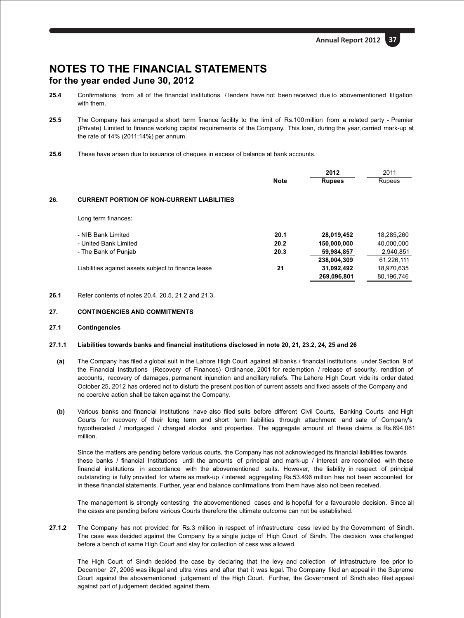- **25.4** Confirmations from all of the financial institutions / lenders have not been received due to abovementioned litigation with them.
- **25.5** The Company has arranged a short term finance facility to the limit of Rs.100 million from a related party Premier (Private) Limited to finance working capital requirements of the Company. This loan, during the year, carried mark-up at the rate of 14% (2011:14%) per annum.
- **25.6** These have arisen due to issuance of cheques in excess of balance at bank accounts.

|     |                                                     |             | 2012          | 2011       |
|-----|-----------------------------------------------------|-------------|---------------|------------|
|     |                                                     | <b>Note</b> | <b>Rupees</b> | Rupees     |
| 26. | <b>CURRENT PORTION OF NON-CURRENT LIABILITIES</b>   |             |               |            |
|     | Long term finances:                                 |             |               |            |
|     | - NIB Bank Limited                                  | 20.1        | 28,019,452    | 18,285,260 |
|     | - United Bank Limited                               | 20.2        | 150,000,000   | 40,000,000 |
|     | - The Bank of Punjab                                | 20.3        | 59,984,857    | 2,940,851  |
|     |                                                     |             | 238,004,309   | 61,226,111 |
|     | Liabilities against assets subject to finance lease | 21          | 31.092.492    | 18,970,635 |
|     |                                                     |             | 269,096,801   | 80.196.746 |

**26.1** Refer contents of notes 20.4, 20.5, 21.2 and 21.3.

## **27. CONTINGENCIES AND COMMITMENTS**

#### **27.1 Contingencies**

## **27.1.1 Liabilities towards banks and financial institutions disclosed in note 20, 21, 23.2, 24, 25 and 26**

- **(a)** The Company has filed a global suit in the Lahore High Court against all banks / financial institutions under Section 9 of the Financial Institutions (Recovery of Finances) Ordinance, 2001 for redemption / release of security, rendition of accounts, recovery of damages, permanent injunction and ancillary reliefs. The Lahore High Court vide its order dated October 25, 2012 has ordered not to disturb the present position of current assets and fixed assets of the Company and no coercive action shall be taken against the Company.
- **(b)** Various banks and financial Institutions have also filed suits before different Civil Courts, Banking Courts and High Courts for recovery of their long term and short term liabilities through attachment and sale of Company's hypothecated / mortgaged / charged stocks and properties. The aggregate amount of these claims is Rs.694.061 million.

Since the matters are pending before various courts, the Company has not acknowledged its financial liabilities towards these banks / financial Institutions until the amounts of principal and mark-up / interest are reconciled with these financial institutions in accordance with the abovementioned suits. However, the liability in respect of principal outstanding is fully provided for where as mark-up / interest aggregating Rs.53.496 million has not been accounted for in these financial statements. Further, year end balance confirmations from them have also not been received.

The management is strongly contesting the abovementioned cases and is hopeful for a favourable decision. Since all the cases are pending before various Courts therefore the ultimate outcome can not be established.

**27.1.2** The Company has not provided for Rs.3 million in respect of infrastructure cess levied by the Government of Sindh. The case was decided against the Company by a single judge of High Court of Sindh. The decision was challenged before a bench of same High Court and stay for collection of cess was allowed.

The High Court of Sindh decided the case by declaring that the levy and collection of infrastructure fee prior to December 27, 2006 was illegal and ultra vires and after that it was legal. The Company filed an appeal in the Supreme Court against the abovementioned judgement of the High Court. Further, the Government of Sindh also filed appeal against part of judgement decided against them.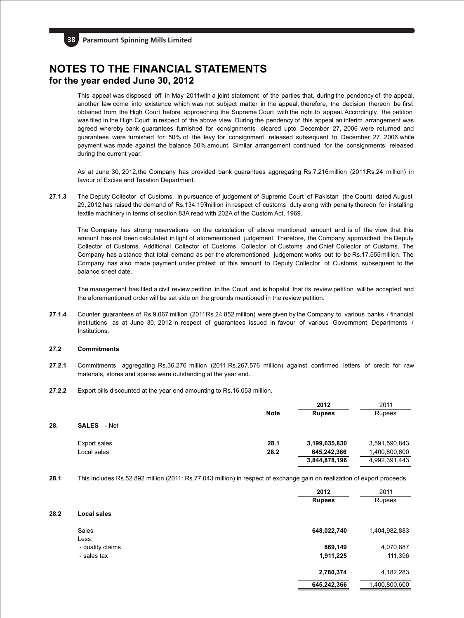This appeal was disposed off in May 2011with a joint statement of the parties that, during the pendency of the appeal, another law come into existence which was not subject matter in the appeal, therefore, the decision thereon be first obtained from the High Court before approaching the Supreme Court with the right to appeal.Accordingly, the petition was filed in the High Court in respect of the above view. During the pendency of this appeal an interim arrangement was agreed whereby bank guarantees furnished for consignments cleared upto December 27, 2006 were returned and guarantees were furnished for 50% of the levy for consignment released subsequent to December 27, 2006 while payment was made against the balance 50% amount. Similar arrangement continued for the consignments released during the current year.

As at June 30, 2012, the Company has provided bank guarantees aggregating Rs.7.216million (2011:Rs.24 million) in favour of Excise and Taxation Department.

**27.1.3** The Deputy Collector of Customs, in pursuance of judgement of Supreme Court of Pakistan (the Court) dated August 29, 2012,has raised the demand of Rs.134.197million in respect of customs duty along with penalty thereon for installing textile machinery in terms of section 83A read with 202A of the Custom Act, 1969.

The Company has strong reservations on the calculation of above mentioned amount and is of the view that this amount has not been calculated in light of aforementioned judgement. Therefore, the Company approached the Deputy Collector of Customs, Additional Collector of Customs, Collector of Customs and Chief Collector of Customs. The Company has a stance that total demand as per the aforementioned judgement works out to be Rs.17.555million. The Company has also made payment under protest of this amount to Deputy Collector of Customs subsequent to the balance sheet date.

The management has filed a civil review petition in the Court and is hopeful that its review petition will be accepted and the aforementioned order will be set side on the grounds mentioned in the review petition.

**27.1.4** Counter guarantees of Rs.9.067 million (2011 Rs.24.852 million) were given by the Company to various banks / financial institutions as at June 30, 2012 in respect of guarantees issued in favour of various Government Departments / Institutions.

#### **27.2 Commitments**

- **27.2.1** Commitments aggregating Rs.36.276 million (2011:Rs.267.576 million) against confirmed letters of credit for raw materials, stores and spares were outstanding at the year end.
- **27.2.2** Export bills discounted at the year end amounting to Rs.16.053 million.

|     |                    | <b>Note</b> | 2012<br><b>Rupees</b> | 2011<br><b>Rupees</b> |
|-----|--------------------|-------------|-----------------------|-----------------------|
| 28. | <b>SALES</b> - Net |             |                       |                       |
|     | Export sales       | 28.1        | 3,199,635,830         | 3,591,590,843         |
|     | Local sales        | 28.2        | 645,242,366           | 1,400,800,600         |
|     |                    |             | 3,844,878,196         | 4,992,391,443         |

**28.1** This includes Rs.52.892 million (2011: Rs.77.043 million) in respect of exchange gain on realization of export proceeds.

|      |                    | 2012          | 2011          |
|------|--------------------|---------------|---------------|
|      |                    | <b>Rupees</b> | Rupees        |
| 28.2 | <b>Local sales</b> |               |               |
|      | Sales              | 648,022,740   | 1,404,982,883 |
|      | Less:              |               |               |
|      | - quality claims   | 869,149       | 4,070,887     |
|      | - sales tax        | 1,911,225     | 111,396       |
|      |                    | 2,780,374     | 4,182,283     |
|      |                    | 645,242,366   | 1,400,800,600 |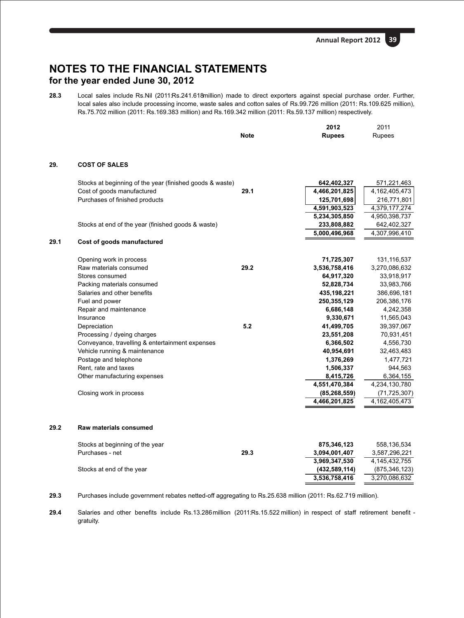**28.3** Local sales include Rs.Nil (2011:Rs.241.618million) made to direct exporters against special purchase order. Further, local sales also include processing income, waste sales and cotton sales of Rs.99.726 million (2011: Rs.109.625 million), Rs.75.702 million (2011: Rs.169.383 million) and Rs.169.342 million (2011: Rs.59.137 million) respectively.

|      |                                                          | <b>Note</b> | 2012<br><b>Rupees</b> | 2011<br>Rupees   |
|------|----------------------------------------------------------|-------------|-----------------------|------------------|
|      |                                                          |             |                       |                  |
| 29.  | <b>COST OF SALES</b>                                     |             |                       |                  |
|      | Stocks at beginning of the year (finished goods & waste) |             | 642,402,327           | 571,221,463      |
|      | Cost of goods manufactured                               | 29.1        | 4,466,201,825         | 4, 162, 405, 473 |
|      | Purchases of finished products                           |             | 125,701,698           | 216,771,801      |
|      |                                                          |             | 4,591,903,523         | 4,379,177,274    |
|      |                                                          |             | 5,234,305,850         | 4,950,398,737    |
|      | Stocks at end of the year (finished goods & waste)       |             | 233,808,882           | 642,402,327      |
|      |                                                          |             | 5,000,496,968         | 4,307,996,410    |
| 29.1 | Cost of goods manufactured                               |             |                       |                  |
|      | Opening work in process                                  |             | 71,725,307            | 131,116,537      |
|      | Raw materials consumed                                   | 29.2        | 3,536,758,416         | 3,270,086,632    |
|      | Stores consumed                                          |             | 64,917,320            | 33,918,917       |
|      | Packing materials consumed                               |             | 52,828,734            | 33,983,766       |
|      | Salaries and other benefits                              |             | 435,198,221           | 386,696,181      |
|      | Fuel and power                                           |             | 250,355,129           | 206,386,176      |
|      | Repair and maintenance                                   |             | 6,686,148             | 4,242,358        |
|      | Insurance                                                |             | 9,330,671             | 11,565,043       |
|      | Depreciation                                             | 5.2         | 41,499,705            | 39,397,067       |
|      | Processing / dyeing charges                              |             | 23,551,208            | 70,931,451       |
|      | Conveyance, travelling & entertainment expenses          |             | 6,366,502             | 4,556,730        |
|      | Vehicle running & maintenance                            |             | 40,954,691            | 32,463,483       |
|      | Postage and telephone                                    |             | 1,376,269             | 1,477,721        |
|      | Rent, rate and taxes                                     |             | 1,506,337             | 944,563          |
|      | Other manufacturing expenses                             |             | 8,415,726             | 6,364,155        |
|      |                                                          |             | 4,551,470,384         | 4,234,130,780    |
|      | Closing work in process                                  |             | (85, 268, 559)        | (71, 725, 307)   |
|      |                                                          |             | 4,466,201,825         | 4,162,405,473    |
| 29.2 | Raw materials consumed                                   |             |                       |                  |
|      | Stocks at beginning of the year                          |             | 875,346,123           | 558,136,534      |
|      | Purchases - net                                          | 29.3        | 3,094,001,407         | 3,587,296,221    |
|      |                                                          |             | 3,969,347,530         | 4, 145, 432, 755 |
|      | Stocks at end of the year                                |             | (432, 589, 114)       | (875,346,123)    |
|      |                                                          |             | 3,536,758,416         | 3,270,086,632    |
|      |                                                          |             |                       |                  |

**29.3** Purchases include government rebates netted-off aggregating to Rs.25.638 million (2011: Rs.62.719 million).

**29.4** Salaries and other benefits include Rs.13.286million (2011:Rs.15.522 million) in respect of staff retirement benefit gratuity.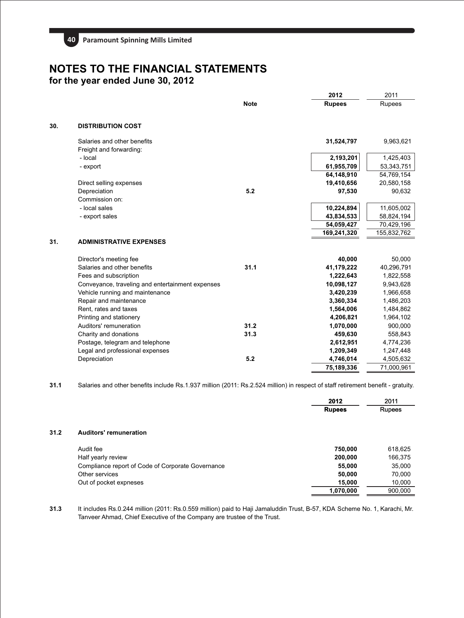|     |                                                  |             | 2012          | 2011        |
|-----|--------------------------------------------------|-------------|---------------|-------------|
|     |                                                  | <b>Note</b> | <b>Rupees</b> | Rupees      |
| 30. | <b>DISTRIBUTION COST</b>                         |             |               |             |
|     | Salaries and other benefits                      |             | 31,524,797    | 9,963,621   |
|     | Freight and forwarding:                          |             |               |             |
|     | - local                                          |             | 2,193,201     | 1,425,403   |
|     | - export                                         |             | 61,955,709    | 53,343,751  |
|     |                                                  |             | 64,148,910    | 54,769,154  |
|     | Direct selling expenses                          |             | 19,410,656    | 20,580,158  |
|     | Depreciation                                     | 5.2         | 97,530        | 90,632      |
|     | Commission on:                                   |             |               |             |
|     | - local sales                                    |             | 10,224,894    | 11,605,002  |
|     | - export sales                                   |             | 43,834,533    | 58,824,194  |
|     |                                                  |             | 54,059,427    | 70,429,196  |
|     |                                                  |             | 169,241,320   | 155,832,762 |
| 31. | <b>ADMINISTRATIVE EXPENSES</b>                   |             |               |             |
|     | Director's meeting fee                           |             | 40.000        | 50,000      |
|     | Salaries and other benefits                      | 31.1        | 41,179,222    | 40,296,791  |
|     | Fees and subscription                            |             | 1,222,643     | 1,822,558   |
|     | Conveyance, traveling and entertainment expenses |             | 10.098.127    | 9,943,628   |
|     | Vehicle running and maintenance                  |             | 3,420,239     | 1,966,658   |
|     | Repair and maintenance                           |             | 3,360,334     | 1,486,203   |
|     | Rent, rates and taxes                            |             | 1,564,006     | 1,484,862   |
|     | Printing and stationery                          |             | 4,206,821     | 1,964,102   |
|     | Auditors' remuneration                           | 31.2        | 1,070,000     | 900,000     |
|     | Charity and donations                            | 31.3        | 459,630       | 558,843     |
|     | Postage, telegram and telephone                  |             | 2,612,951     | 4,774,236   |
|     | Legal and professional expenses                  |             | 1,209,349     | 1,247,448   |
|     | Depreciation                                     | 5.2         | 4,746,014     | 4,505,632   |
|     |                                                  |             | 75,189,336    | 71,000,961  |

**31.1** Salaries and other benefits include Rs.1.937 million (2011: Rs.2.524 million) in respect of staff retirement benefit - gratuity.

|      |                                                   | 2012          | 2011          |
|------|---------------------------------------------------|---------------|---------------|
|      |                                                   | <b>Rupees</b> | <b>Rupees</b> |
|      |                                                   |               |               |
| 31.2 | Auditors' remuneration                            |               |               |
|      | Audit fee                                         | 750,000       | 618,625       |
|      | Half yearly review                                | 200,000       | 166,375       |
|      | Compliance report of Code of Corporate Governance | 55,000        | 35,000        |
|      | Other services                                    | 50,000        | 70,000        |
|      | Out of pocket expneses                            | 15,000        | 10,000        |
|      |                                                   | 1,070,000     | 900.000       |

**31.3** It includes Rs.0.244 million (2011: Rs.0.559 million) paid to Haji Jamaluddin Trust, B-57, KDA Scheme No. 1, Karachi, Mr. Tanveer Ahmad, Chief Executive of the Company are trustee of the Trust.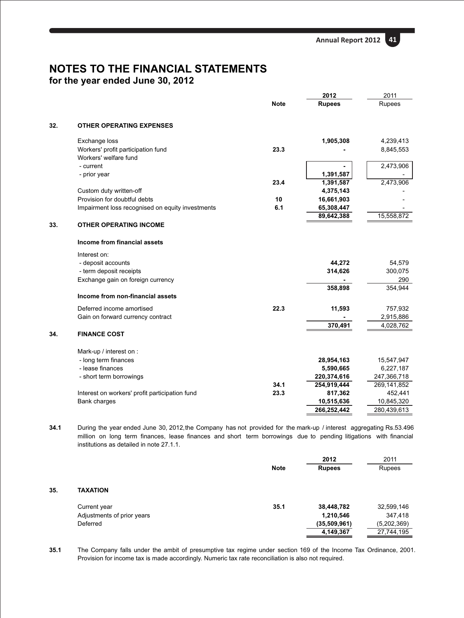**Annual Report 2012 41**

## **NOTES TO THE FINANCIAL STATEMENTS for the year ended June 30, 2012**

|     |                                                  |             | 2012          | 2011          |
|-----|--------------------------------------------------|-------------|---------------|---------------|
|     |                                                  | <b>Note</b> | <b>Rupees</b> | <b>Rupees</b> |
| 32. | <b>OTHER OPERATING EXPENSES</b>                  |             |               |               |
|     | Exchange loss                                    |             | 1,905,308     | 4,239,413     |
|     | Workers' profit participation fund               | 23.3        |               | 8,845,553     |
|     | Workers' welfare fund                            |             |               |               |
|     | - current                                        |             |               | 2,473,906     |
|     | - prior year                                     |             | 1,391,587     |               |
|     |                                                  | 23.4        | 1,391,587     | 2,473,906     |
|     | Custom duty written-off                          |             | 4,375,143     |               |
|     | Provision for doubtful debts                     | 10          | 16,661,903    |               |
|     | Impairment loss recognised on equity investments | 6.1         | 65,308,447    |               |
|     |                                                  |             | 89,642,388    | 15,558,872    |
| 33. | <b>OTHER OPERATING INCOME</b>                    |             |               |               |
|     | Income from financial assets                     |             |               |               |
|     | Interest on:                                     |             |               |               |
|     | - deposit accounts                               |             | 44,272        | 54,579        |
|     | - term deposit receipts                          |             | 314,626       | 300,075       |
|     | Exchange gain on foreign currency                |             |               | 290           |
|     |                                                  |             | 358,898       | 354,944       |
|     | Income from non-financial assets                 |             |               |               |
|     | Deferred income amortised                        | 22.3        | 11,593        | 757,932       |
|     | Gain on forward currency contract                |             |               | 2,915,886     |
|     |                                                  |             | 370,491       | 4,028,762     |
| 34. | <b>FINANCE COST</b>                              |             |               |               |
|     | Mark-up / interest on :                          |             |               |               |
|     | - long term finances                             |             | 28,954,163    | 15,547,947    |
|     | - lease finances                                 |             | 5,590,665     | 6,227,187     |
|     | - short term borrowings                          |             | 220,374,616   | 247,366,718   |
|     |                                                  | 34.1        | 254,919,444   | 269,141,852   |
|     | Interest on workers' profit participation fund   | 23.3        | 817,362       | 452,441       |
|     | <b>Bank charges</b>                              |             | 10,515,636    | 10,845,320    |
|     |                                                  |             | 266,252,442   | 280,439,613   |

**34.1** During the year ended June 30, 2012,the Company has not provided for the mark-up / interest aggregating Rs.53.496 million on long term finances, lease finances and short term borrowings due to pending litigations with financial institutions as detailed in note 27.1.1.

|     |                            |             | 2012          | 2011        |
|-----|----------------------------|-------------|---------------|-------------|
|     |                            | <b>Note</b> | <b>Rupees</b> | Rupees      |
|     |                            |             |               |             |
| 35. | <b>TAXATION</b>            |             |               |             |
|     | Current year               | 35.1        | 38,448,782    | 32,599,146  |
|     | Adjustments of prior years |             | 1,210,546     | 347,418     |
|     | Deferred                   |             | (35,509,961)  | (5,202,369) |
|     |                            |             | 4,149,367     | 27,744,195  |
|     |                            |             |               |             |

**35.1** The Company falls under the ambit of presumptive tax regime under section 169 of the Income Tax Ordinance, 2001. Provision for income tax is made accordingly. Numeric tax rate reconciliation is also not required.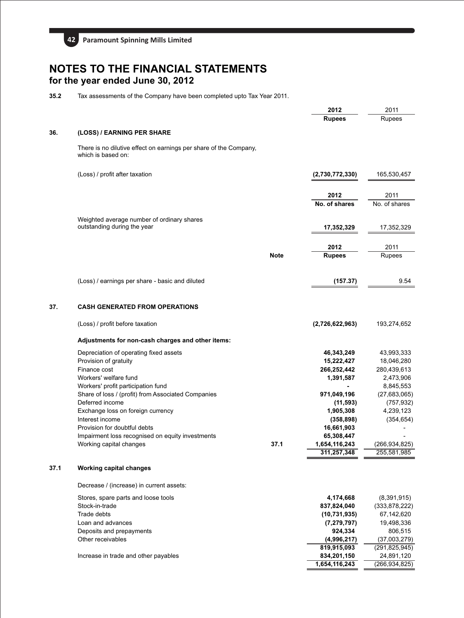

**35.2** Tax assessments of the Company have been completed upto Tax Year 2011.

|      |                                                                                         |             | 2012                     | 2011            |
|------|-----------------------------------------------------------------------------------------|-------------|--------------------------|-----------------|
|      |                                                                                         |             | <b>Rupees</b>            | <b>Rupees</b>   |
| 36.  | (LOSS) / EARNING PER SHARE                                                              |             |                          |                 |
|      | There is no dilutive effect on earnings per share of the Company,<br>which is based on: |             |                          |                 |
|      | (Loss) / profit after taxation                                                          |             | (2,730,772,330)          | 165,530,457     |
|      |                                                                                         |             | 2012                     | 2011            |
|      |                                                                                         |             | No. of shares            | No. of shares   |
|      | Weighted average number of ordinary shares                                              |             |                          |                 |
|      | outstanding during the year                                                             |             | 17,352,329               | 17,352,329      |
|      |                                                                                         |             | 2012                     | 2011            |
|      |                                                                                         | <b>Note</b> | <b>Rupees</b>            | <b>Rupees</b>   |
|      | (Loss) / earnings per share - basic and diluted                                         |             | (157.37)                 | 9.54            |
|      |                                                                                         |             |                          |                 |
| 37.  | <b>CASH GENERATED FROM OPERATIONS</b>                                                   |             |                          |                 |
|      | (Loss) / profit before taxation                                                         |             | (2,726,622,963)          | 193,274,652     |
|      | Adjustments for non-cash charges and other items:                                       |             |                          |                 |
|      | Depreciation of operating fixed assets                                                  |             | 46,343,249               | 43,993,333      |
|      | Provision of gratuity                                                                   |             | 15,222,427               | 18,046,280      |
|      | Finance cost                                                                            |             | 266,252,442              | 280,439,613     |
|      | Workers' welfare fund                                                                   |             | 1,391,587                | 2,473,906       |
|      | Workers' profit participation fund                                                      |             |                          | 8,845,553       |
|      | Share of loss / (profit) from Associated Companies                                      |             | 971,049,196              | (27,683,065)    |
|      | Deferred income                                                                         |             | (11, 593)                | (757, 932)      |
|      | Exchange loss on foreign currency<br>Interest income                                    |             | 1,905,308                | 4,239,123       |
|      | Provision for doubtful debts                                                            |             | (358, 898)               | (354, 654)      |
|      | Impairment loss recognised on equity investments                                        |             | 16,661,903<br>65,308,447 |                 |
|      | Working capital changes                                                                 | 37.1        | 1,654,116,243            | (266, 934, 825) |
|      |                                                                                         |             | 311,257,348              | 255,581,985     |
| 37.1 | <b>Working capital changes</b>                                                          |             |                          |                 |
|      | Decrease / (increase) in current assets:                                                |             |                          |                 |
|      | Stores, spare parts and loose tools                                                     |             | 4,174,668                | (8,391,915)     |
|      | Stock-in-trade                                                                          |             | 837,824,040              | (333, 878, 222) |
|      | Trade debts                                                                             |             | (10, 731, 935)           | 67,142,620      |
|      | Loan and advances                                                                       |             | (7, 279, 797)            | 19,498,336      |
|      | Deposits and prepayments                                                                |             | 924,334                  | 806,515         |
|      | Other receivables                                                                       |             | (4,996,217)              | (37,003,279)    |
|      |                                                                                         |             | 819,915,093              | (291, 825, 945) |
|      | Increase in trade and other payables                                                    |             | 834,201,150              | 24,891,120      |
|      |                                                                                         |             | 1,654,116,243            | (266, 934, 825) |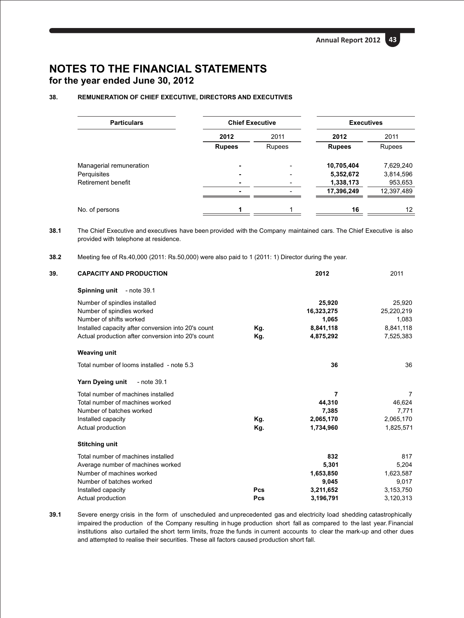## **38. REMUNERATION OF CHIEF EXECUTIVE, DIRECTORS AND EXECUTIVES**

| <b>Particulars</b>      | <b>Chief Executive</b> |               | <b>Executives</b> |            |
|-------------------------|------------------------|---------------|-------------------|------------|
|                         | 2012                   | 2011          | 2012              | 2011       |
|                         | <b>Rupees</b>          | <b>Rupees</b> | <b>Rupees</b>     | Rupees     |
| Managerial remuneration |                        |               | 10,705,404        | 7,629,240  |
| Perquisites             |                        |               | 5,352,672         | 3,814,596  |
| Retirement benefit      |                        |               | 1,338,173         | 953,653    |
|                         |                        |               | 17,396,249        | 12,397,489 |
| No. of persons          | 1                      |               | 16                | 12         |
|                         |                        |               |                   |            |

**38.1** The Chief Executive and executives have been provided with the Company maintained cars. The Chief Executive is also provided with telephone at residence.

**<sup>38.2</sup>** Meeting fee of Rs.40,000 (2011: Rs.50,000) were also paid to 1 (2011: 1) Director during the year.

| 39. | <b>CAPACITY AND PRODUCTION</b>                      |     | 2012       | 2011       |
|-----|-----------------------------------------------------|-----|------------|------------|
|     | Spinning unit<br>- note 39.1                        |     |            |            |
|     | Number of spindles installed                        |     | 25,920     | 25,920     |
|     | Number of spindles worked                           |     | 16,323,275 | 25,220,219 |
|     | Number of shifts worked                             |     | 1,065      | 1,083      |
|     | Installed capacity after conversion into 20's count | Kg. | 8,841,118  | 8,841,118  |
|     | Actual production after conversion into 20's count  | Kg. | 4,875,292  | 7,525,383  |
|     | <b>Weaving unit</b>                                 |     |            |            |
|     | Total number of looms installed - note 5.3          |     | 36         | 36         |
|     | Yarn Dyeing unit<br>- note 39.1                     |     |            |            |
|     | Total number of machines installed                  |     | 7          | 7          |
|     | Total number of machines worked                     |     | 44,310     | 46,624     |
|     | Number of batches worked                            |     | 7,385      | 7,771      |
|     | Installed capacity                                  | Kg. | 2,065,170  | 2,065,170  |
|     | Actual production                                   | Kg. | 1,734,960  | 1,825,571  |
|     | <b>Stitching unit</b>                               |     |            |            |
|     | Total number of machines installed                  |     | 832        | 817        |
|     | Average number of machines worked                   |     | 5,301      | 5,204      |
|     | Number of machines worked                           |     | 1,653,850  | 1,623,587  |
|     | Number of batches worked                            |     | 9,045      | 9,017      |
|     | Installed capacity                                  | Pcs | 3,211,652  | 3,153,750  |
|     | Actual production                                   | Pcs | 3,196,791  | 3,120,313  |

**39.1** Severe energy crisis in the form of unscheduled and unprecedented gas and electricity load shedding catastrophically impaired the production of the Company resulting in huge production short fall as compared to the last year. Financial institutions also curtailed the short term limits, froze the funds in current accounts to clear the mark-up and other dues and attempted to realise their securities. These all factors caused production short fall.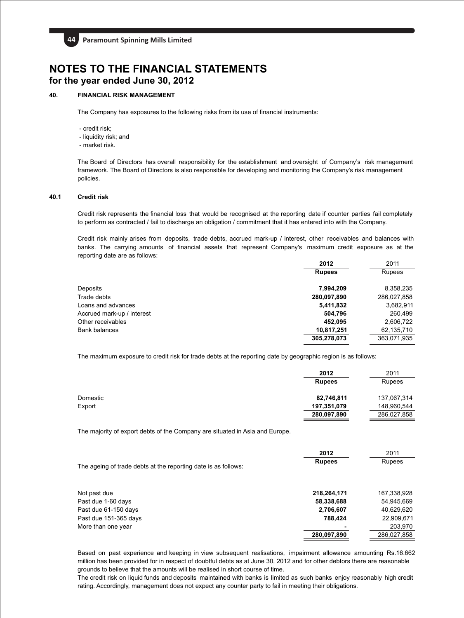

## **40. FINANCIAL RISK MANAGEMENT**

The Company has exposures to the following risks from its use of financial instruments:

- credit risk;
- liquidity risk; and
- market risk.

The Board of Directors has overall responsibility for the establishment and oversight of Company's risk management framework. The Board of Directors is also responsible for developing and monitoring the Company's risk management policies.

## **40.1 Credit risk**

Credit risk represents the financial loss that would be recognised at the reporting date if counter parties fail completely to perform as contracted / fail to discharge an obligation / commitment that it has entered into with the Company.

Credit risk mainly arises from deposits, trade debts, accrued mark-up / interest, other receivables and balances with banks. The carrying amounts of financial assets that represent Company's maximum credit exposure as at the reporting date are as follows:

|                            | 2012          | 2011          |
|----------------------------|---------------|---------------|
|                            | <b>Rupees</b> | <b>Rupees</b> |
| Deposits                   | 7,994,209     | 8,358,235     |
| Trade debts                | 280,097,890   | 286,027,858   |
| Loans and advances         | 5,411,832     | 3,682,911     |
| Accrued mark-up / interest | 504,796       | 260,499       |
| Other receivables          | 452.095       | 2,606,722     |
| <b>Bank balances</b>       | 10,817,251    | 62,135,710    |
|                            | 305,278,073   | 363,071,935   |
|                            |               |               |

The maximum exposure to credit risk for trade debts at the reporting date by geographic region is as follows:

|          | 2012          | 2011        |
|----------|---------------|-------------|
|          | <b>Rupees</b> | Rupees      |
| Domestic | 82,746,811    | 137,067,314 |
| Export   | 197,351,079   | 148,960,544 |
|          | 280,097,890   | 286,027,858 |

The majority of export debts of the Company are situated in Asia and Europe.

|                                                                | 2012          | 2011        |
|----------------------------------------------------------------|---------------|-------------|
| The ageing of trade debts at the reporting date is as follows: | <b>Rupees</b> | Rupees      |
| Not past due                                                   | 218,264,171   | 167,338,928 |
| Past due 1-60 days                                             | 58,338,688    | 54,945,669  |
| Past due 61-150 days                                           | 2,706,607     | 40,629,620  |
| Past due 151-365 days                                          | 788.424       | 22,909,671  |
| More than one year                                             |               | 203,970     |
|                                                                | 280,097,890   | 286,027,858 |

Based on past experience and keeping in view subsequent realisations, impairment allowance amounting Rs.16.662 million has been provided for in respect of doubtful debts as at June 30, 2012 and for other debtors there are reasonable grounds to believe that the amounts will be realised in short course of time.

The credit risk on liquid funds and deposits maintained with banks is limited as such banks enjoy reasonably high credit rating. Accordingly, management does not expect any counter party to fail in meeting their obligations.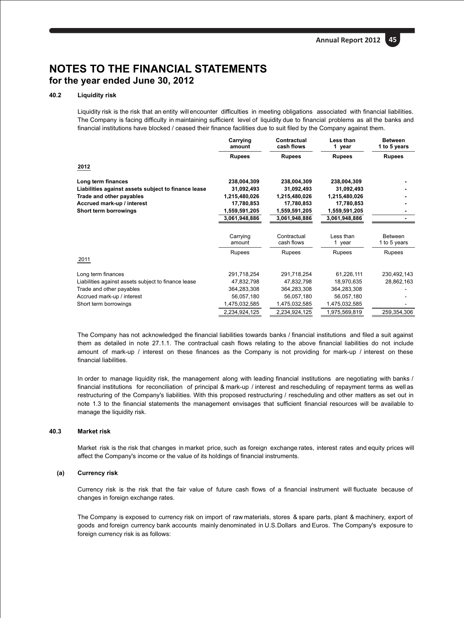## **40.2 Liquidity risk**

Liquidity risk is the risk that an entity will encounter difficulties in meeting obligations associated with financial liabilities. The Company is facing difficulty in maintaining sufficient level of liquidity due to financial problems as all the banks and financial institutions have blocked / ceased their finance facilities due to suit filed by the Company against them.

|                                                     | Carrying<br>amount | Contractual<br>cash flows | Less than<br>1 year | <b>Between</b><br>1 to 5 years |
|-----------------------------------------------------|--------------------|---------------------------|---------------------|--------------------------------|
|                                                     | <b>Rupees</b>      | <b>Rupees</b>             | <b>Rupees</b>       | <b>Rupees</b>                  |
| 2012                                                |                    |                           |                     |                                |
| Long term finances                                  | 238,004,309        | 238,004,309               | 238,004,309         |                                |
| Liabilities against assets subject to finance lease | 31,092,493         | 31.092.493                | 31,092,493          |                                |
| Trade and other payables                            | 1,215,480,026      | 1,215,480,026             | 1,215,480,026       |                                |
| Accrued mark-up / interest                          | 17,780,853         | 17,780,853                | 17,780,853          |                                |
| Short term borrowings                               | 1,559,591,205      | 1,559,591,205             | 1,559,591,205       |                                |
|                                                     | 3,061,948,886      | 3,061,948,886             | 3,061,948,886       |                                |
|                                                     |                    |                           |                     |                                |
|                                                     | Carrying<br>amount | Contractual<br>cash flows | Less than<br>1 year | <b>Between</b><br>1 to 5 years |
|                                                     | Rupees             | Rupees                    | Rupees              | Rupees                         |
| 2011                                                |                    |                           |                     |                                |
| Long term finances                                  | 291,718,254        | 291,718,254               | 61,226,111          | 230,492,143                    |
| Liabilities against assets subject to finance lease | 47,832,798         | 47,832,798                | 18,970,635          | 28,862,163                     |
| Trade and other payables                            | 364,283,308        | 364,283,308               | 364,283,308         |                                |
| Accrued mark-up / interest                          | 56,057,180         | 56,057,180                | 56,057,180          |                                |
| Short term borrowings                               | 1,475,032,585      | 1,475,032,585             | 1,475,032,585       |                                |
|                                                     | 2,234,924,125      | 2,234,924,125             | 1,975,569,819       | 259,354,306                    |
|                                                     |                    |                           |                     |                                |

The Company has not acknowledged the financial liabilities towards banks / financial institutions and filed a suit against  them as detailed in note 27.1.1. The contractual cash flows relating to the above financial liabilities do not include amount of mark-up / interest on these finances as the Company is not providing for mark-up / interest on these financial liabilities.

In order to manage liquidity risk, the management along with leading financial institutions are negotiating with banks / financial institutions for reconciliation of principal & mark-up / interest and rescheduling of repayment terms as well as restructuring of the Company's liabilities. With this proposed restructuring / rescheduling and other matters as set out in note 1.3 to the financial statements the management envisages that sufficient financial resources will be available to manage the liquidity risk.

## **40.3 Market risk**

Market risk is the risk that changes in market price, such as foreign exchange rates, interest rates and equity prices will affect the Company's income or the value of its holdings of financial instruments.

#### **(a) Currency risk**

Currency risk is the risk that the fair value of future cash flows of a financial instrument will fluctuate because of changes in foreign exchange rates.

The Company is exposed to currency risk on import of raw materials, stores & spare parts, plant & machinery, export of goods and foreign currency bank accounts mainly denominated in U.S.Dollars and Euros. The Company's exposure to foreign currency risk is as follows: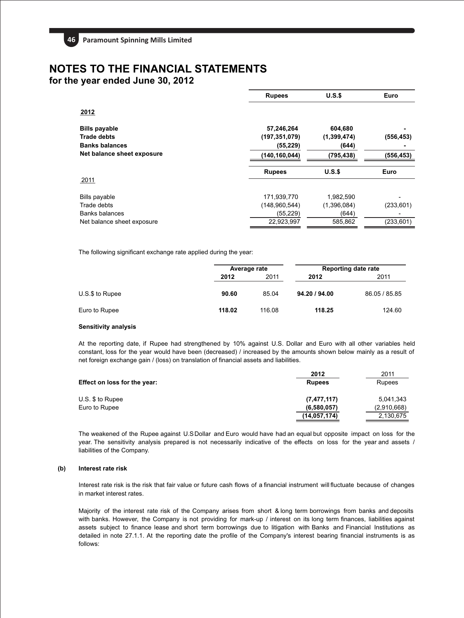## **NOTES TO THE FINANCIAL STATEMENTS**

**for the year ended June 30, 2012**

| <b>Rupees</b>   | $U.S.\$       | Euro       |
|-----------------|---------------|------------|
|                 |               |            |
| 57,246,264      | 604,680       |            |
| (197, 351, 079) | (1, 399, 474) | (556, 453) |
| (55, 229)       | (644)         |            |
| (140,160,044)   | (795,438)     | (556,453)  |
| <b>Rupees</b>   | U.S.S         | Euro       |
|                 |               |            |
| 171,939,770     | 1,982,590     |            |
| (148,960,544)   | (1,396,084)   | (233, 601) |
| (55, 229)       | (644)         |            |
| 22,923,997      | 585,862       | (233, 601) |
|                 |               |            |

The following significant exchange rate applied during the year:

|                 | Average rate |                      | <b>Reporting date rate</b> |               |  |
|-----------------|--------------|----------------------|----------------------------|---------------|--|
|                 | 2012         | 2011<br>2011<br>2012 |                            |               |  |
| U.S.\$ to Rupee | 90.60        | 85.04                | 94.20 / 94.00              | 86.05 / 85.85 |  |
| Euro to Rupee   | 118.02       | 116.08               | 118.25                     | 124.60        |  |

#### **Sensitivity analysis**

At the reporting date, if Rupee had strengthened by 10% against U.S. Dollar and Euro with all other variables held constant, loss for the year would have been (decreased) / increased by the amounts shown below mainly as a result of net foreign exchange gain / (loss) on translation of financial assets and liabilities.

|                              | 2012           | 2011          |
|------------------------------|----------------|---------------|
| Effect on loss for the year: | <b>Rupees</b>  | <b>Rupees</b> |
| U.S. \$ to Rupee             | (7, 477, 117)  | 5.041.343     |
| Euro to Rupee                | (6,580,057)    | (2,910,668)   |
|                              | (14, 057, 174) | 2,130,675     |

The weakened of the Rupee against U.SDollar and Euro would have had an equal but opposite impact on loss for the year. The sensitivity analysis prepared is not necessarily indicative of the effects on loss for the year and assets / liabilities of the Company.

## **(b) Interest rate risk**

Interest rate risk is the risk that fair value or future cash flows of a financial instrument will fluctuate because of changes in market interest rates.

Majority of the interest rate risk of the Company arises from short & long term borrowings from banks and deposits with banks. However, the Company is not providing for mark-up / interest on its long term finances, liabilities against assets subject to finance lease and short term borrowings due to litigation with Banks and Financial Institutions as detailed in note 27.1.1. At the reporting date the profile of the Company's interest bearing financial instruments is as follows: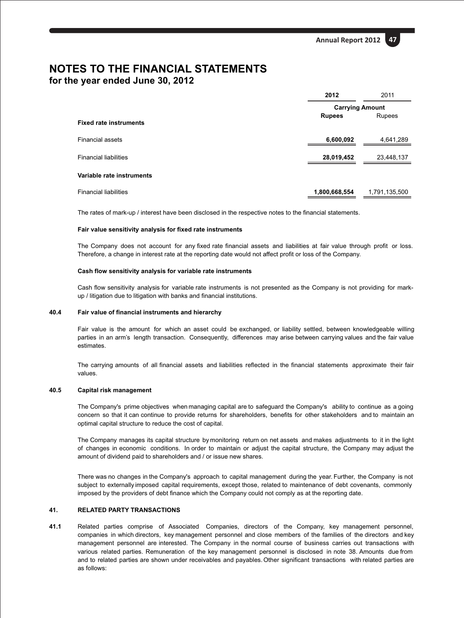**Annual Report 2012 47**

## **NOTES TO THE FINANCIAL STATEMENTS for the year ended June 30, 2012**

|                               | 2012                   | 2011          |  |
|-------------------------------|------------------------|---------------|--|
|                               | <b>Carrying Amount</b> |               |  |
| <b>Fixed rate instruments</b> | <b>Rupees</b>          | Rupees        |  |
| <b>Financial assets</b>       | 6,600,092              | 4,641,289     |  |
| <b>Financial liabilities</b>  | 28,019,452             | 23,448,137    |  |
| Variable rate instruments     |                        |               |  |
| <b>Financial liabilities</b>  | 1,800,668,554          | 1,791,135,500 |  |

The rates of mark-up / interest have been disclosed in the respective notes to the financial statements.

#### **Fair value sensitivity analysis for fixed rate instruments**

The Company does not account for any fixed rate financial assets and liabilities at fair value through profit or loss. Therefore, a change in interest rate at the reporting date would not affect profit or loss of the Company.

#### **Cash flow sensitivity analysis for variable rate instruments**

Cash flow sensitivity analysis for variable rate instruments is not presented as the Company is not providing for markup / litigation due to litigation with banks and financial institutions.

#### **40.4 Fair value of financial instruments and hierarchy**

Fair value is the amount for which an asset could be exchanged, or liability settled, between knowledgeable willing parties in an arm's length transaction. Consequently, differences may arise between carrying values and the fair value estimates.

The carrying amounts of all financial assets and liabilities reflected in the financial statements approximate their fair values.

## **40.5 Capital risk management**

The Company's prime objectives when managing capital are to safeguard the Company's ability to continue as a going concern so that it can continue to provide returns for shareholders, benefits for other stakeholders and to maintain an optimal capital structure to reduce the cost of capital.

The Company manages its capital structure by monitoring return on net assets and makes adjustments to it in the light of changes in economic conditions. In order to maintain or adjust the capital structure, the Company may adjust the amount of dividend paid to shareholders and / or issue new shares.

There was no changes in the Company's approach to capital management during the year. Further, the Company is not subject to externally imposed capital requirements, except those, related to maintenance of debt covenants, commonly imposed by the providers of debt finance which the Company could not comply as at the reporting date.

## **41. RELATED PARTY TRANSACTIONS**

**41.1** Related parties comprise of Associated Companies, directors of the Company, key management personnel, companies in which directors, key management personnel and close members of the families of the directors and key management personnel are interested. The Company in the normal course of business carries out transactions with various related parties. Remuneration of the key management personnel is disclosed in note 38. Amounts due from and to related parties are shown under receivables and payables. Other significant transactions with related parties are as follows: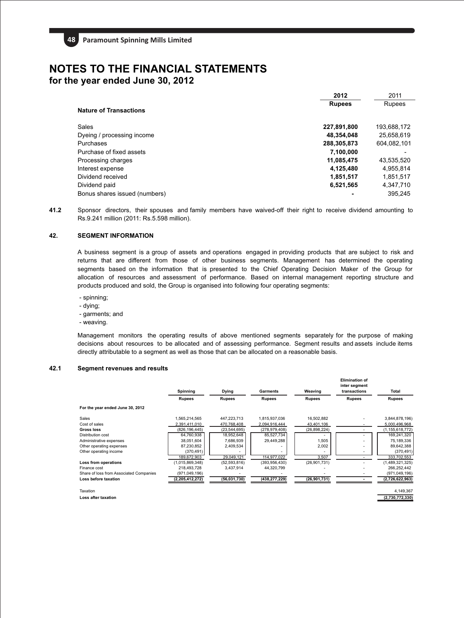|                               | 2012          | 2011        |
|-------------------------------|---------------|-------------|
| <b>Nature of Transactions</b> | <b>Rupees</b> | Rupees      |
| Sales                         | 227,891,800   | 193,688,172 |
| Dyeing / processing income    | 48,354,048    | 25,658,619  |
| Purchases                     | 288,305,873   | 604,082,101 |
| Purchase of fixed assets      | 7,100,000     |             |
| Processing charges            | 11,085,475    | 43,535,520  |
| Interest expense              | 4,125,480     | 4,955,814   |
| Dividend received             | 1,851,517     | 1,851,517   |
| Dividend paid                 | 6,521,565     | 4,347,710   |
| Bonus shares issued (numbers) |               | 395.245     |

**41.2** Sponsor directors, their spouses and family members have waived-off their right to receive dividend amounting to Rs.9.241 million (2011: Rs.5.598 million).

## **42. SEGMENT INFORMATION**

A business segment is a group of assets and operations engaged in providing products that are subject to risk and returns that are different from those of other business segments. Management has determined the operating segments based on the information that is presented to the Chief Operating Decision Maker of the Group for allocation of resources and assessment of performance. Based on internal management reporting structure and products produced and sold, the Group is organised into following four operating segments:

- spinning;
- dying;
- garments; and
- weaving.

Management monitors the operating results of above mentioned segments separately for the purpose of making decisions about resources to be allocated and of assessing performance. Segment results and assets include items directly attributable to a segment as well as those that can be allocated on a reasonable basis.

## **42.1 Segment revenues and results**

**Loss after taxation**

|                                         | Spinning        | Dying          | Garments        | Weaving        | <b>Elimination of</b><br>inter segment<br>transactions | Total              |
|-----------------------------------------|-----------------|----------------|-----------------|----------------|--------------------------------------------------------|--------------------|
|                                         | <b>Rupees</b>   | <b>Rupees</b>  | <b>Rupees</b>   | <b>Rupees</b>  | <b>Rupees</b>                                          | <b>Rupees</b>      |
| For the year ended June 30, 2012        |                 |                |                 |                |                                                        |                    |
| Sales                                   | 1,565,214,565   | 447,223,713    | 1,815,937,036   | 16,502,882     |                                                        | 3,844,878,196)     |
| Cost of sales                           | 2,391,411,010   | 470.768.408    | 2,094,916,444   | 43,401,106     |                                                        | 5.000.496.968      |
| Gross loss                              | (826, 196, 445) | (23, 544, 695) | (278, 979, 408) | (26, 898, 224) |                                                        | (1, 155, 618, 772) |
| Distribution cost                       | 64,760,938      | 18,952,648     | 85,527,734      |                |                                                        | 169,241,320        |
| Administrative expenses                 | 38,051,604      | 7,686,939      | 29,449,288      | 1,505          |                                                        | 75,189,336         |
| Other operating expenses                | 87,230,852      | 2,409,534      |                 | 2,002          |                                                        | 89,642,388         |
| Other operating income                  | (370, 491)      |                |                 |                |                                                        | (370, 491)         |
|                                         | 189,672,903     | 29,049,121     | 114,977,022     | 3,507          |                                                        | 333,702,553        |
| Loss from operations                    | (1,015,869,348) | (52, 593, 816) | (393, 956, 430) | (26,901,731)   |                                                        | (1,489,321,325)    |
| Finance cost                            | 218.493.728     | 3,437,914      | 44,320,799      |                |                                                        | 266,252,442        |
| Share of loss from Associated Companies | (971,049,196)   |                |                 |                |                                                        | (971, 049, 196)    |
| Loss before taxation                    | (2,205,412,272) | (56,031,730)   | (438, 277, 229) | (26, 901, 731) |                                                        | (2,726,622,963)    |
| Taxation                                |                 |                |                 |                |                                                        | 4.149.367          |

**(2,730,772,330)**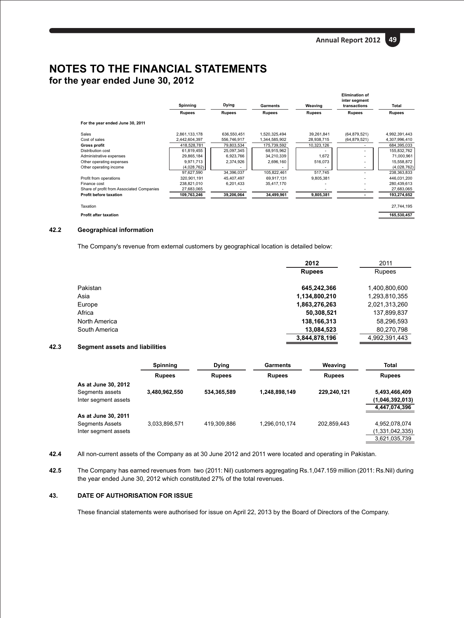**Annual Report 2012 49**

## **NOTES TO THE FINANCIAL STATEMENTS for the year ended June 30, 2012**

|                                           | Spinning      | Dying         | <b>Garments</b> | Weaving       | <b>Elimination of</b><br>inter segment<br>transactions | Total         |
|-------------------------------------------|---------------|---------------|-----------------|---------------|--------------------------------------------------------|---------------|
|                                           | <b>Rupees</b> | <b>Rupees</b> | <b>Rupees</b>   | <b>Rupees</b> | <b>Rupees</b>                                          | <b>Rupees</b> |
| For the year ended June 30, 2011          |               |               |                 |               |                                                        |               |
| Sales                                     | 2,861,133,178 | 636,550,451   | 1,520,325,494   | 39,261,841    | (64, 879, 521)                                         | 4,992,391,443 |
| Cost of sales                             | 2,442,604,397 | 556,746,917   | 1,344,585,902   | 28,938,715    | (64, 879, 521)                                         | 4,307,996,410 |
| Gross profit                              | 418.528.781   | 79.803.534    | 175.739.592     | 10,323,126    |                                                        | 684,395,033   |
| Distribution cost                         | 61,819,455    | 25,097,345    | 68,915,962      |               |                                                        | 155,832,762   |
| Administrative expenses                   | 29,865,184    | 6,923,766     | 34,210,339      | 1,672         |                                                        | 71,000,961    |
| Other operating expenses                  | 9,971,713     | 2,374,926     | 2,696,160       | 516,073       |                                                        | 15,558,872    |
| Other operating income                    | (4,028,762)   |               |                 |               |                                                        | (4,028,762)   |
|                                           | 97.627.590    | 34.396.037    | 105.822.461     | 517.745       |                                                        | 238,363,833   |
| Profit from operations                    | 320.901.191   | 45,407,497    | 69.917.131      | 9,805,381     |                                                        | 446,031,200   |
| Finance cost                              | 238,821,010   | 6,201,433     | 35,417,170      |               |                                                        | 280,439,613   |
| Share of profit from Associated Companies | 27,683,065    |               |                 |               |                                                        | 27,683,065    |
| <b>Profit before taxation</b>             | 109,763,246   | 39,206,064    | 34,499,961      | 9,805,381     |                                                        | 193,274,652   |
| Taxation                                  |               |               |                 |               |                                                        | 27,744,195    |
| <b>Profit after taxation</b>              |               |               |                 |               |                                                        | 165,530,457   |

## **42.2 Geographical information**

The Company's revenue from external customers by geographical location is detailed below:

|               | 2012          | 2011          |
|---------------|---------------|---------------|
|               | <b>Rupees</b> | Rupees        |
| Pakistan      | 645,242,366   | 1,400,800,600 |
| Asia          | 1,134,800,210 | 1,293,810,355 |
| Europe        | 1,863,276,263 | 2,021,313,260 |
| Africa        | 50,308,521    | 137,899,837   |
| North America | 138,166,313   | 58,296,593    |
| South America | 13,084,523    | 80,270,798    |
|               | 3.844.878.196 | 4,992,391,443 |

## **42.3 Segment assets and liabilities**

|                                                                | <b>Spinning</b> | <b>Dying</b>  | Garments      | Weaving       | Total                                             |
|----------------------------------------------------------------|-----------------|---------------|---------------|---------------|---------------------------------------------------|
|                                                                | <b>Rupees</b>   | <b>Rupees</b> | <b>Rupees</b> | <b>Rupees</b> | <b>Rupees</b>                                     |
| As at June 30, 2012<br>Segments assets                         | 3,480,962,550   | 534.365.589   | 1,248,898,149 | 229.240.121   | 5,493,466,409                                     |
| Inter segment assets                                           |                 |               |               |               | (1,046,392,013)<br>4,447,074,396                  |
| As at June 30, 2011<br>Segments Assets<br>Inter segment assets | 3.033.898.571   | 419.309.886   | 1,296,010,174 | 202.859.443   | 4.952.078.074<br>(1,331,042,335)<br>3,621,035,739 |

- **42.4** All non-current assets of the Company as at 30 June 2012 and 2011 were located and operating in Pakistan.
- **42.5** The Company has earned revenues from two (2011: Nil) customers aggregating Rs.1,047.159 million (2011: Rs.Nil) during the year ended June 30, 2012 which constituted 27% of the total revenues.

## **43. DATE OF AUTHORISATION FOR ISSUE**

These financial statements were authorised for issue on April 22, 2013 by the Board of Directors of the Company.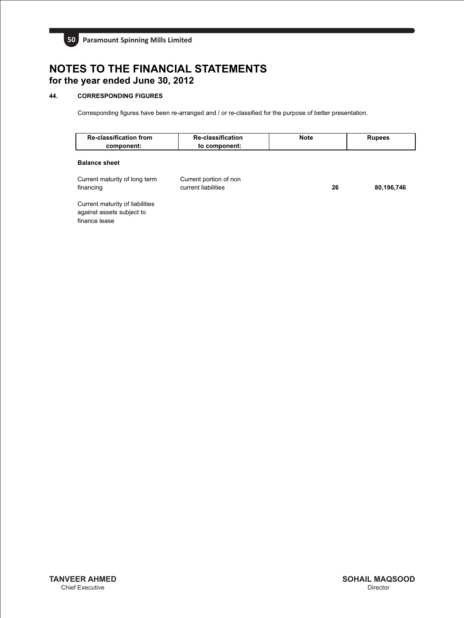

## **44. CORRESPONDING FIGURES**

Corresponding figures have been re-arranged and / or re-classified for the purpose of better presentation.

| <b>Re-classification from</b><br>component:                                   | <b>Re-classification</b><br>to component:     | <b>Note</b> | <b>Rupees</b> |
|-------------------------------------------------------------------------------|-----------------------------------------------|-------------|---------------|
| <b>Balance sheet</b>                                                          |                                               |             |               |
| Current maturity of long term<br>financing                                    | Current portion of non<br>current liabilities | 26          | 80,196,746    |
| Current maturity of liabilities<br>against assets subject to<br>finance lease |                                               |             |               |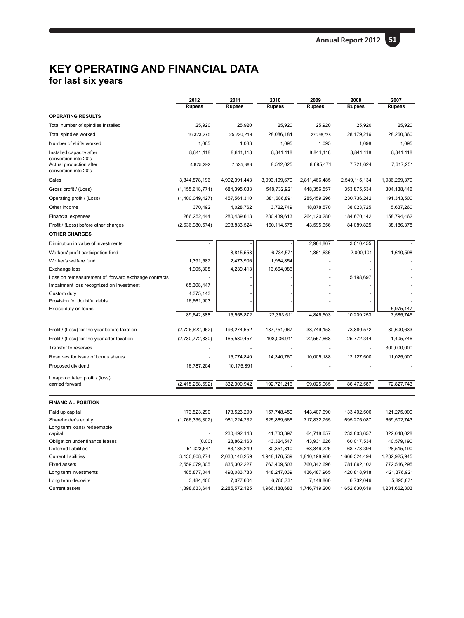## **for last six years KEY OPERATING AND FINANCIAL DATA**

|                                                     | 2012<br><b>Rupees</b> | 2011<br><b>Rupees</b> | 2010<br><b>Rupees</b> | 2009<br><b>Rupees</b> | 2008<br><b>Rupees</b> | 2007<br><b>Rupees</b> |
|-----------------------------------------------------|-----------------------|-----------------------|-----------------------|-----------------------|-----------------------|-----------------------|
| <b>OPERATING RESULTS</b>                            |                       |                       |                       |                       |                       |                       |
| Total number of spindles installed                  | 25,920                | 25,920                | 25,920                | 25,920                | 25,920                | 25,920                |
| Total spindles worked                               | 16,323,275            | 25,220,219            | 28,086,184            | 27,298,728            | 28,179,216            | 28,260,360            |
| Number of shifts worked                             | 1,065                 | 1,083                 | 1,095                 | 1,095                 | 1,098                 | 1,095                 |
| Installed capacity after                            | 8,841,118             | 8,841,118             | 8,841,118             | 8,841,118             | 8,841,118             | 8,841,118             |
| conversion into 20's                                |                       |                       |                       |                       |                       |                       |
| Actual production after<br>conversion into 20's     | 4,875,292             | 7,525,383             | 8,512,025             | 8,695,471             | 7,721,624             | 7,617,251             |
| Sales                                               | 3,844,878,196         | 4,992,391,443         | 3,093,109,670         | 2,811,466,485         | 2,549,115,134         | 1,986,269,379         |
| Gross profit / (Loss)                               | (1, 155, 618, 771)    | 684,395,033           | 548,732,921           | 448,356,557           | 353,875,534           | 304,138,446           |
| Operating profit / (Loss)                           | (1,400,049,427)       | 457,561,310           | 381,686,891           | 285,459,296           | 230,736,242           | 191,343,500           |
| Other income                                        | 370,492               | 4,028,762             | 3,722,749             | 18,878,570            | 38,023,725            | 5,637,260             |
| <b>Financial expenses</b>                           | 266,252,444           | 280,439,613           | 280,439,613           | 264,120,280           | 184,670,142           | 158,794,462           |
| Profit / (Loss) before other charges                | (2,636,980,574)       | 208,833,524           | 160, 114, 578         | 43,595,656            | 84,089,825            | 38,186,378            |
| <b>OTHER CHARGES</b>                                |                       |                       |                       |                       |                       |                       |
| Diminution in value of investments                  |                       |                       |                       | 2,984,867             | 3,010,455             |                       |
| Workers' profit participation fund                  |                       | 8,845,553             | 6,734,571             | 1,861,636             | 2,000,101             | 1,610,598             |
| Worker's welfare fund                               | 1,391,587             | 2,473,906             | 1,964,854             |                       |                       |                       |
| Exchange loss                                       | 1,905,308             | 4,239,413             | 13,664,086            |                       |                       |                       |
| Loss on remeasurement of forward exchange contracts |                       |                       |                       |                       | 5,198,697             |                       |
| Impairment loss recognized on investment            | 65,308,447            |                       |                       |                       |                       |                       |
| Custom duty                                         | 4,375,143             |                       |                       |                       |                       |                       |
| Provision for doubtful debts                        | 16,661,903            |                       |                       |                       |                       |                       |
| Excise duty on loans                                |                       |                       |                       |                       |                       | 5,975,147             |
|                                                     | 89,642,388            | 15,558,872            | 22,363,511            | 4,846,503             | 10,209,253            | 7,585,745             |
| Profit / (Loss) for the year before taxation        | (2,726,622,962)       | 193,274,652           | 137,751,067           | 38,749,153            | 73,880,572            | 30,600,633            |
| Profit / (Loss) for the year after taxation         | (2,730,772,330)       | 165,530,457           | 108,036,911           | 22,557,668            | 25,772,344            | 1,405,746             |
| Transfer to reserves                                |                       |                       |                       |                       |                       | 300,000,000           |
| Reserves for issue of bonus shares                  |                       | 15,774,840            | 14,340,760            | 10,005,188            | 12,127,500            | 11,025,000            |
| Proposed dividend                                   | 16,787,204            | 10,175,891            |                       |                       |                       |                       |
|                                                     |                       |                       |                       |                       |                       |                       |
| Unappropriated profit / (loss)<br>carried forward   | (2,415,258,592)       | 332,300,942           | 192,721,216           | 99,025,065            | 86,472,587            | 72,827,743            |
|                                                     |                       |                       |                       |                       |                       |                       |
| <b>FINANCIAL POSITION</b>                           |                       |                       |                       |                       |                       |                       |
| Paid up capital                                     | 173,523,290           | 173,523,290           | 157,748,450           | 143,407,690           | 133,402,500           | 121,275,000           |
| Shareholder's equity<br>Long term loans/ redeemable | (1,766,335,302)       | 981,224,232           | 825,869,666           | 717,832,755           | 695,275,087           | 669,502,743           |
| capital                                             |                       | 230,492,143           | 41,733,397            | 64,718,657            | 233,803,657           | 322,048,028           |
| Obligation under finance leases                     | (0.00)                | 28,862,163            | 43,324,547            | 43,931,626            | 60,017,534            | 40,579,190            |
| Deferred liabilities                                | 51,323,641            | 83,135,249            | 80,351,310            | 68,846,226            | 68,773,394            | 28,515,190            |
| <b>Current liabilities</b>                          | 3,130,808,774         | 2,033,146,259         | 1,948,176,539         | 1,810,198,960         | 1,666,324,494         | 1,232,925,945         |
| <b>Fixed assets</b>                                 | 2,559,079,305         | 835,302,227           | 763,409,503           | 760,342,696           | 781,892,102           | 772,516,295           |
| Long term investments                               | 485,877,044           | 493,083,783           | 448,247,039           | 436,487,965           | 420,818,918           | 421,376,921           |
| Long term deposits                                  | 3,484,406             | 7,077,604             | 6,780,731             | 7,148,860             | 6,732,046             | 5,895,871             |
| <b>Current assets</b>                               | 1,398,633,644         | 2,285,572,125         | 1,966,188,683         | 1,746,719,200         | 1,652,630,619         | 1,231,662,303         |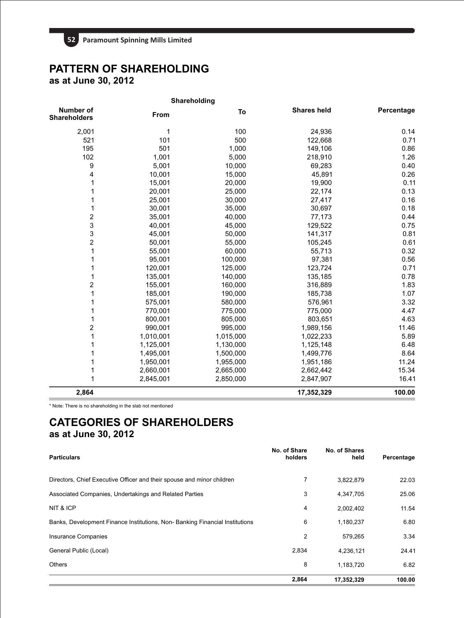# **PATTERN OF SHAREHOLDING**

**as at June 30, 2012**

| Shareholding                            |           |           |                    |            |
|-----------------------------------------|-----------|-----------|--------------------|------------|
| <b>Number of</b><br><b>Shareholders</b> | From      | To        | <b>Shares held</b> | Percentage |
| 2,001                                   | 1         | 100       | 24,936             | 0.14       |
| 521                                     | 101       | 500       | 122,668            | 0.71       |
| 195                                     | 501       | 1,000     | 149,106            | 0.86       |
| 102                                     | 1,001     | 5,000     | 218,910            | 1.26       |
| 9                                       | 5,001     | 10,000    | 69,283             | 0.40       |
| 4                                       | 10,001    | 15,000    | 45,891             | 0.26       |
| 1                                       | 15,001    | 20,000    | 19,900             | 0.11       |
| 1                                       | 20,001    | 25,000    | 22,174             | 0.13       |
| 1                                       | 25,001    | 30,000    | 27,417             | 0.16       |
| 1                                       | 30,001    | 35,000    | 30,697             | 0.18       |
| $\overline{\mathbf{c}}$                 | 35,001    | 40,000    | 77,173             | 0.44       |
| 3                                       | 40,001    | 45,000    | 129,522            | 0.75       |
| 3                                       | 45,001    | 50,000    | 141,317            | 0.81       |
| $\overline{c}$                          | 50,001    | 55,000    | 105,245            | 0.61       |
| 1                                       | 55,001    | 60,000    | 55,713             | 0.32       |
| 1                                       | 95,001    | 100,000   | 97,381             | 0.56       |
| 1                                       | 120,001   | 125,000   | 123,724            | 0.71       |
| 1                                       | 135,001   | 140,000   | 135,185            | 0.78       |
| $\overline{\mathbf{c}}$                 | 155,001   | 160,000   | 316,889            | 1.83       |
| 1                                       | 185,001   | 190,000   | 185,738            | 1.07       |
| 1                                       | 575,001   | 580,000   | 576,961            | 3.32       |
| 1                                       | 770,001   | 775,000   | 775,000            | 4.47       |
| 1                                       | 800,001   | 805,000   | 803,651            | 4.63       |
| $\overline{c}$                          | 990,001   | 995,000   | 1,989,156          | 11.46      |
| 1                                       | 1,010,001 | 1,015,000 | 1,022,233          | 5.89       |
| 1                                       | 1,125,001 | 1,130,000 | 1,125,148          | 6.48       |
| 1                                       | 1,495,001 | 1,500,000 | 1,499,776          | 8.64       |
| 1                                       | 1,950,001 | 1,955,000 | 1,951,186          | 11.24      |
| 1                                       | 2,660,001 | 2,665,000 | 2,662,442          | 15.34      |
| 1                                       | 2,845,001 | 2,850,000 | 2,847,907          | 16.41      |
| 2,864                                   |           |           | 17,352,329         | 100.00     |

\* Note: There is no shareholding in the slab not mentioned

## **CATEGORIES OF SHAREHOLDERS as at June 30, 2012**

| <b>Particulars</b>                                                          | No. of Share<br>holders | No. of Shares<br>held | Percentage |
|-----------------------------------------------------------------------------|-------------------------|-----------------------|------------|
| Directors, Chief Executive Officer and their spouse and minor children      | 7                       | 3,822,879             | 22.03      |
| Associated Companies, Undertakings and Related Parties                      | 3                       | 4,347,705             | 25.06      |
| NIT & ICP                                                                   | 4                       | 2,002,402             | 11.54      |
| Banks, Development Finance Institutions, Non-Banking Financial Institutions | 6                       | 1,180,237             | 6.80       |
| Insurance Companies                                                         | 2                       | 579.265               | 3.34       |
| General Public (Local)                                                      | 2,834                   | 4,236,121             | 24.41      |
| <b>Others</b>                                                               | 8                       | 1,183,720             | 6.82       |
|                                                                             | 2,864                   | 17.352.329            | 100.00     |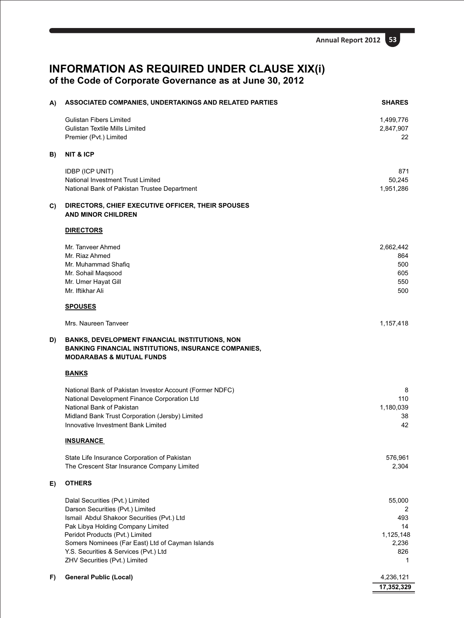## **INFORMATION AS REQUIRED UNDER CLAUSE XIX(i) of the Code of Corporate Governance as at June 30, 2012**

| A) | ASSOCIATED COMPANIES, UNDERTAKINGS AND RELATED PARTIES                                                                                                      | <b>SHARES</b>          |
|----|-------------------------------------------------------------------------------------------------------------------------------------------------------------|------------------------|
|    | <b>Gulistan Fibers Limited</b><br><b>Gulistan Textile Mills Limited</b>                                                                                     | 1,499,776<br>2,847,907 |
|    | Premier (Pvt.) Limited                                                                                                                                      | 22                     |
| B) | <b>NIT &amp; ICP</b>                                                                                                                                        |                        |
|    | <b>IDBP (ICP UNIT)</b>                                                                                                                                      | 871                    |
|    | <b>National Investment Trust Limited</b><br>National Bank of Pakistan Trustee Department                                                                    | 50,245<br>1,951,286    |
| C) | DIRECTORS, CHIEF EXECUTIVE OFFICER, THEIR SPOUSES<br><b>AND MINOR CHILDREN</b>                                                                              |                        |
|    | <b>DIRECTORS</b>                                                                                                                                            |                        |
|    | Mr. Tanveer Ahmed                                                                                                                                           | 2,662,442              |
|    | Mr. Riaz Ahmed<br>Mr. Muhammad Shafiq                                                                                                                       | 864<br>500             |
|    | Mr. Sohail Maqsood                                                                                                                                          | 605                    |
|    | Mr. Umer Hayat Gill<br>Mr. Iftikhar Ali                                                                                                                     | 550<br>500             |
|    | <b>SPOUSES</b>                                                                                                                                              |                        |
|    | Mrs. Naureen Tanveer                                                                                                                                        | 1,157,418              |
| D) | <b>BANKS, DEVELOPMENT FINANCIAL INSTITUTIONS, NON</b><br><b>BANKING FINANCIAL INSTITUTIONS, INSURANCE COMPANIES,</b><br><b>MODARABAS &amp; MUTUAL FUNDS</b> |                        |
|    | <b>BANKS</b>                                                                                                                                                |                        |
|    | National Bank of Pakistan Investor Account (Former NDFC)                                                                                                    | 8                      |
|    | National Development Finance Corporation Ltd<br>National Bank of Pakistan                                                                                   | 110<br>1,180,039       |
|    | Midland Bank Trust Corporation (Jersby) Limited                                                                                                             | 38                     |
|    | <b>Innovative Investment Bank Limited</b>                                                                                                                   | 42                     |
|    | <b>INSURANCE</b>                                                                                                                                            |                        |
|    | State Life Insurance Corporation of Pakistan<br>The Crescent Star Insurance Company Limited                                                                 | 576,961<br>2,304       |
| E) | <b>OTHERS</b>                                                                                                                                               |                        |
|    |                                                                                                                                                             |                        |
|    | Dalal Securities (Pvt.) Limited<br>Darson Securities (Pvt.) Limited                                                                                         | 55,000<br>2            |
|    | Ismail Abdul Shakoor Securities (Pvt.) Ltd                                                                                                                  | 493                    |
|    | Pak Libya Holding Company Limited                                                                                                                           | 14                     |
|    | Peridot Products (Pvt.) Limited<br>Somers Nominees (Far East) Ltd of Cayman Islands                                                                         | 1,125,148<br>2,236     |
|    | Y.S. Securities & Services (Pvt.) Ltd                                                                                                                       | 826                    |
|    | ZHV Securities (Pvt.) Limited                                                                                                                               | 1                      |
| F) | <b>General Public (Local)</b>                                                                                                                               | 4,236,121              |
|    |                                                                                                                                                             | 17,352,329             |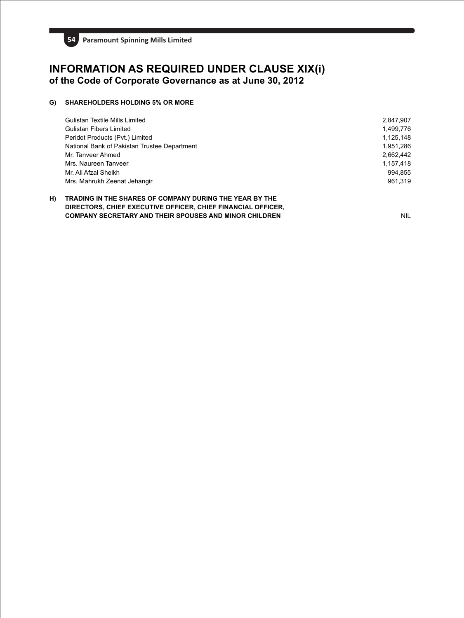

## **INFORMATION AS REQUIRED UNDER CLAUSE XIX(i) of the Code of Corporate Governance as at June 30, 2012**

## **G) SHAREHOLDERS HOLDING 5% OR MORE**

| Gulistan Textile Mills Limited               | 2,847,907 |
|----------------------------------------------|-----------|
| Gulistan Fibers Limited                      | 1.499.776 |
| Peridot Products (Pvt.) Limited              | 1.125.148 |
| National Bank of Pakistan Trustee Department | 1.951.286 |
| Mr. Tanveer Ahmed                            | 2.662.442 |
| Mrs. Naureen Tanveer                         | 1.157.418 |
| Mr. Ali Afzal Sheikh                         | 994.855   |
| Mrs. Mahrukh Zeenat Jehangir                 | 961.319   |
|                                              |           |

## **H) TRADING IN THE SHARES OF COMPANY DURING THE YEAR BY THE DIRECTORS, CHIEF EXECUTIVE OFFICER, CHIEF FINANCIAL OFFICER, COMPANY SECRETARY AND THEIR SPOUSES AND MINOR CHILDREN** NIL